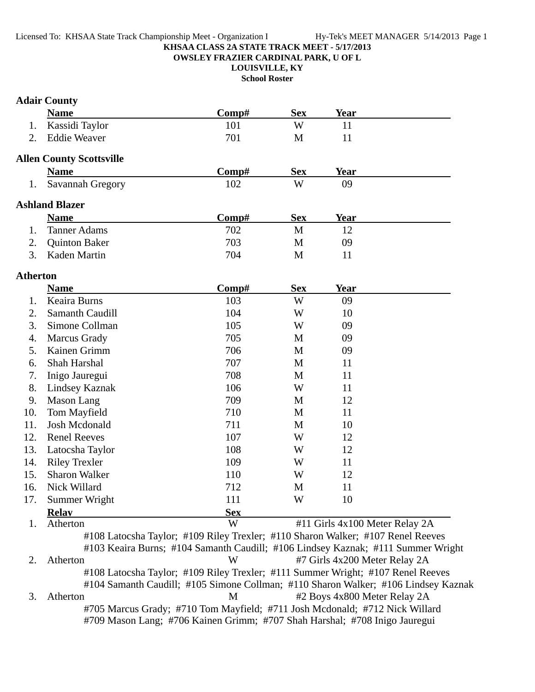#### **KHSAA CLASS 2A STATE TRACK MEET - 5/17/2013 OWSLEY FRAZIER CARDINAL PARK, U OF L**

**LOUISVILLE, KY**

**School Roster**

# **Adair County**

|                 | <b>Name</b>                     | Comp# | <b>Sex</b>   | Year        |  |
|-----------------|---------------------------------|-------|--------------|-------------|--|
| 1.              | Kassidi Taylor                  | 101   | W            | 11          |  |
| 2               | <b>Eddie Weaver</b>             | 701   | M            | 11          |  |
|                 | <b>Allen County Scottsville</b> |       |              |             |  |
|                 | <b>Name</b>                     | Comp# | <b>Sex</b>   | Year        |  |
| 1.              | Savannah Gregory                | 102   | W            | 09          |  |
|                 | <b>Ashland Blazer</b>           |       |              |             |  |
|                 | <b>Name</b>                     | Comp# | <b>Sex</b>   | Year        |  |
|                 | <b>Tanner Adams</b>             | 702   | M            | 12          |  |
| 2.              | <b>Quinton Baker</b>            | 703   | М            | 09          |  |
| 3.              | Kaden Martin                    | 704   | M            | 11          |  |
| <b>Atherton</b> |                                 |       |              |             |  |
|                 | <b>Name</b>                     | Comp# | <b>Sex</b>   | <b>Year</b> |  |
| $\mathbf{1}$    | $V_{\text{coine}}$ Drams        | 102   | $\mathbf{X}$ | $\Omega$    |  |

|     | <b>Name</b>            | $\bf Comp\#$ | <b>Sex</b> | Year |  |
|-----|------------------------|--------------|------------|------|--|
|     | Keaira Burns           | 103          | W          | 09   |  |
| 2.  | <b>Samanth Caudill</b> | 104          | W          | 10   |  |
| 3.  | Simone Collman         | 105          | W          | 09   |  |
| 4.  | Marcus Grady           | 705          | M          | 09   |  |
| 5.  | Kainen Grimm           | 706          | M          | 09   |  |
| 6.  | Shah Harshal           | 707          | M          | 11   |  |
| 7.  | Inigo Jauregui         | 708          | M          | 11   |  |
| 8.  | <b>Lindsey Kaznak</b>  | 106          | W          | 11   |  |
| 9.  | Mason Lang             | 709          | M          | 12   |  |
| 10. | Tom Mayfield           | 710          | M          | 11   |  |
| 11. | Josh Mcdonald          | 711          | M          | 10   |  |
| 12. | <b>Renel Reeves</b>    | 107          | W          | 12   |  |
| 13. | Latocsha Taylor        | 108          | W          | 12   |  |
| 14. | <b>Riley Trexler</b>   | 109          | W          | 11   |  |
| 15. | <b>Sharon Walker</b>   | 110          | W          | 12   |  |
| 16. | Nick Willard           | 712          | M          | 11   |  |
| 17. | Summer Wright          | 111          | W          | 10   |  |
|     | <b>Relav</b>           | <b>Sex</b>   |            |      |  |

1. Atherton W #11 Girls 4x100 Meter Relay 2A #108 Latocsha Taylor; #109 Riley Trexler; #110 Sharon Walker; #107 Renel Reeves #103 Keaira Burns; #104 Samanth Caudill; #106 Lindsey Kaznak; #111 Summer Wright 2. Atherton W #7 Girls 4x200 Meter Relay 2A #108 Latocsha Taylor; #109 Riley Trexler; #111 Summer Wright; #107 Renel Reeves #104 Samanth Caudill; #105 Simone Collman; #110 Sharon Walker; #106 Lindsey Kaznak 3. Atherton M #2 Boys 4x800 Meter Relay 2A #705 Marcus Grady; #710 Tom Mayfield; #711 Josh Mcdonald; #712 Nick Willard #709 Mason Lang; #706 Kainen Grimm; #707 Shah Harshal; #708 Inigo Jauregui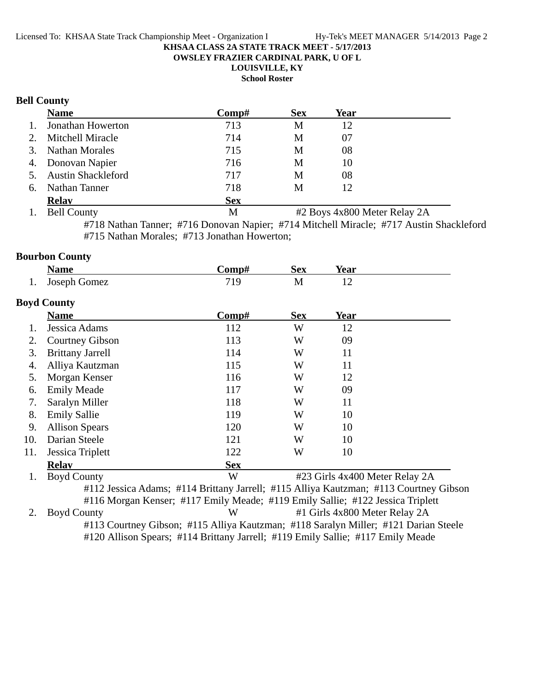**OWSLEY FRAZIER CARDINAL PARK, U OF L**

**LOUISVILLE, KY**

**School Roster**

# **Bell County**

|    | <b>Name</b>           | Comp#      | <b>Sex</b> | Year |  |
|----|-----------------------|------------|------------|------|--|
| 1. | Jonathan Howerton     | 713        | М          | 12   |  |
|    | 2. Mitchell Miracle   | 714        | М          | 07   |  |
|    | 3. Nathan Morales     | 715        | М          | 08   |  |
|    | 4. Donovan Napier     | 716        | М          | 10   |  |
|    | 5. Austin Shackleford | 717        | M          | 08   |  |
|    | 6. Nathan Tanner      | 718        | М          | 12   |  |
|    | <b>Relay</b>          | <b>Sex</b> |            |      |  |

1. Bell County M #2 Boys 4x800 Meter Relay 2A

#718 Nathan Tanner; #716 Donovan Napier; #714 Mitchell Miracle; #717 Austin Shackleford #715 Nathan Morales; #713 Jonathan Howerton;

# **Bourbon County**

|     | <b>Name</b>             | Comp#                                                                                 | <b>Sex</b> | Year                           |  |
|-----|-------------------------|---------------------------------------------------------------------------------------|------------|--------------------------------|--|
| 1.  | Joseph Gomez            | 719                                                                                   | M          | 12                             |  |
|     | <b>Boyd County</b>      |                                                                                       |            |                                |  |
|     | <b>Name</b>             | Comp#                                                                                 | <b>Sex</b> | <b>Year</b>                    |  |
|     | Jessica Adams           | 112                                                                                   | W          | 12                             |  |
| 2.  | <b>Courtney Gibson</b>  | 113                                                                                   | W          | 09                             |  |
| 3.  | <b>Brittany Jarrell</b> | 114                                                                                   | W          | 11                             |  |
| 4.  | Alliya Kautzman         | 115                                                                                   | W          | 11                             |  |
| 5.  | Morgan Kenser           | 116                                                                                   | W          | 12                             |  |
| 6.  | <b>Emily Meade</b>      | 117                                                                                   | W          | 09                             |  |
| 7.  | Saralyn Miller          | 118                                                                                   | W          | 11                             |  |
| 8.  | <b>Emily Sallie</b>     | 119                                                                                   | W          | 10                             |  |
| 9.  | <b>Allison Spears</b>   | 120                                                                                   | W          | 10                             |  |
| 10. | Darian Steele           | 121                                                                                   | W          | 10                             |  |
| 11. | Jessica Triplett        | 122                                                                                   | W          | 10                             |  |
|     | <b>Relav</b>            | <b>Sex</b>                                                                            |            |                                |  |
| 1.  | <b>Boyd County</b>      | W                                                                                     |            | #23 Girls 4x400 Meter Relay 2A |  |
|     |                         | #112 Jessica Adams; #114 Brittany Jarrell; #115 Alliya Kautzman; #113 Courtney Gibson |            |                                |  |
|     |                         | #116 Morgan Kenser; #117 Emily Meade; #119 Emily Sallie; #122 Jessica Triplett        |            |                                |  |
| 2.  | <b>Boyd County</b>      | W                                                                                     |            | #1 Girls 4x800 Meter Relay 2A  |  |
|     |                         | #113 Courtney Gibson; #115 Alliya Kautzman; #118 Saralyn Miller; #121 Darian Steele   |            |                                |  |

#120 Allison Spears; #114 Brittany Jarrell; #119 Emily Sallie; #117 Emily Meade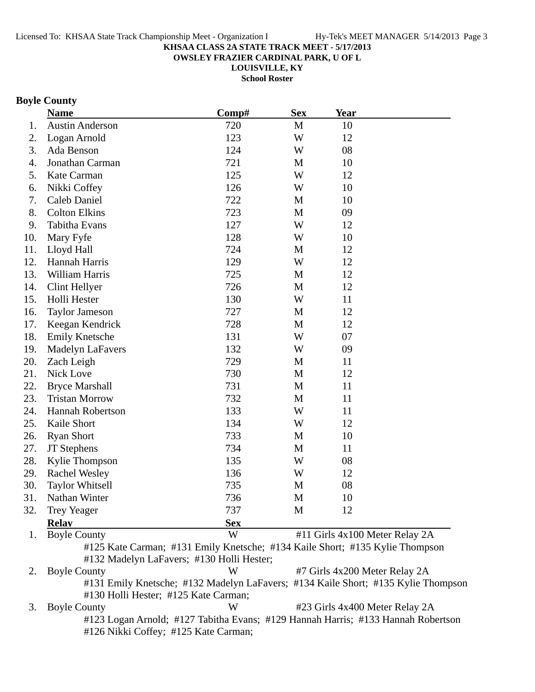**OWSLEY FRAZIER CARDINAL PARK, U OF L**

**LOUISVILLE, KY**

**School Roster**

# **Boyle County**

|     | <b>Name</b>                          | Comp#                                                                             | <b>Sex</b>  | <b>Year</b>                   |                                |
|-----|--------------------------------------|-----------------------------------------------------------------------------------|-------------|-------------------------------|--------------------------------|
| 1.  | <b>Austin Anderson</b>               | 720                                                                               | $\mathbf M$ | 10                            |                                |
| 2.  | Logan Arnold                         | 123                                                                               | W           | 12                            |                                |
| 3.  | Ada Benson                           | 124                                                                               | W           | 08                            |                                |
| 4.  | Jonathan Carman                      | 721                                                                               | M           | 10                            |                                |
| 5.  | Kate Carman                          | 125                                                                               | W           | 12                            |                                |
| 6.  | Nikki Coffey                         | 126                                                                               | W           | 10                            |                                |
| 7.  | Caleb Daniel                         | 722                                                                               | M           | 10                            |                                |
| 8.  | <b>Colton Elkins</b>                 | 723                                                                               | M           | 09                            |                                |
| 9.  | Tabitha Evans                        | 127                                                                               | W           | 12                            |                                |
| 10. | Mary Fyfe                            | 128                                                                               | W           | 10                            |                                |
| 11. | Lloyd Hall                           | 724                                                                               | M           | 12                            |                                |
| 12. | Hannah Harris                        | 129                                                                               | W           | 12                            |                                |
| 13. | William Harris                       | 725                                                                               | M           | 12                            |                                |
| 14. | Clint Hellyer                        | 726                                                                               | M           | 12                            |                                |
| 15. | Holli Hester                         | 130                                                                               | W           | 11                            |                                |
| 16. | <b>Taylor Jameson</b>                | 727                                                                               | M           | 12                            |                                |
| 17. | Keegan Kendrick                      | 728                                                                               | M           | 12                            |                                |
| 18. | <b>Emily Knetsche</b>                | 131                                                                               | W           | 07                            |                                |
| 19. | Madelyn LaFavers                     | 132                                                                               | W           | 09                            |                                |
| 20. | Zach Leigh                           | 729                                                                               | M           | 11                            |                                |
| 21. | Nick Love                            | 730                                                                               | M           | 12                            |                                |
| 22. | <b>Bryce Marshall</b>                | 731                                                                               | M           | 11                            |                                |
| 23. | <b>Tristan Morrow</b>                | 732                                                                               | M           | 11                            |                                |
| 24. | Hannah Robertson                     | 133                                                                               | W           | 11                            |                                |
| 25. | Kaile Short                          | 134                                                                               | W           | 12                            |                                |
| 26. | <b>Ryan Short</b>                    | 733                                                                               | M           | 10                            |                                |
| 27. | JT Stephens                          | 734                                                                               | M           | 11                            |                                |
| 28. | Kylie Thompson                       | 135                                                                               | W           | 08                            |                                |
| 29. | <b>Rachel Wesley</b>                 | 136                                                                               | W           | 12                            |                                |
| 30. | <b>Taylor Whitsell</b>               | 735                                                                               | M           | 08                            |                                |
| 31. | Nathan Winter                        | 736                                                                               | M           | 10                            |                                |
| 32. | <b>Trey Yeager</b>                   | 737                                                                               | M           | 12                            |                                |
|     | <b>Relay</b>                         | <b>Sex</b>                                                                        |             |                               |                                |
| 1.  | <b>Boyle County</b>                  | W                                                                                 |             |                               | #11 Girls 4x100 Meter Relay 2A |
|     |                                      | #125 Kate Carman; #131 Emily Knetsche; #134 Kaile Short; #135 Kylie Thompson      |             |                               |                                |
|     |                                      | #132 Madelyn LaFavers; #130 Holli Hester;                                         |             |                               |                                |
| 2.  | <b>Boyle County</b>                  | W                                                                                 |             | #7 Girls 4x200 Meter Relay 2A |                                |
|     | #130 Holli Hester; #125 Kate Carman; | #131 Emily Knetsche; #132 Madelyn LaFavers; #134 Kaile Short; #135 Kylie Thompson |             |                               |                                |
| 3.  | <b>Boyle County</b>                  | W                                                                                 |             |                               | #23 Girls 4x400 Meter Relay 2A |
|     |                                      | #123 Logan Arnold; #127 Tabitha Evans; #129 Hannah Harris; #133 Hannah Robertson  |             |                               |                                |
|     |                                      | #126 Nikki Coffey; #125 Kate Carman;                                              |             |                               |                                |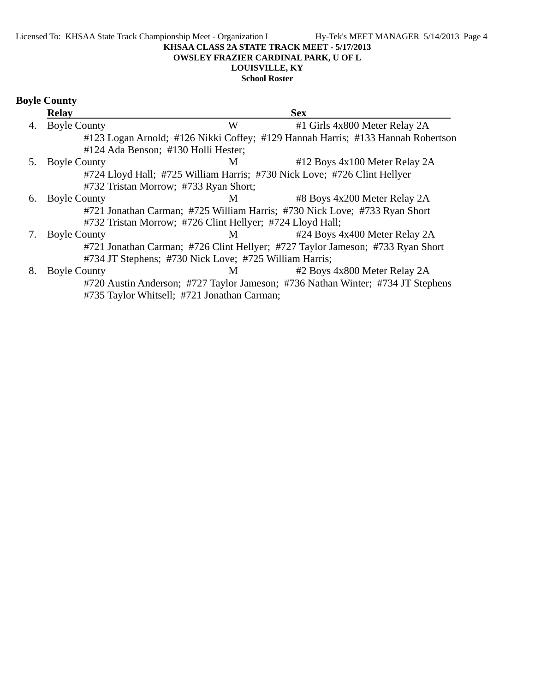# **LOUISVILLE, KY**

# **School Roster**

|    | <b>Relay</b>                          |                                                           | <b>Sex</b>                                                                      |
|----|---------------------------------------|-----------------------------------------------------------|---------------------------------------------------------------------------------|
| 4. | <b>Boyle County</b>                   | W                                                         | #1 Girls 4x800 Meter Relay 2A                                                   |
|    |                                       |                                                           | #123 Logan Arnold; #126 Nikki Coffey; #129 Hannah Harris; #133 Hannah Robertson |
|    | #124 Ada Benson; #130 Holli Hester;   |                                                           |                                                                                 |
| 5. | <b>Boyle County</b>                   | M                                                         | #12 Boys 4x100 Meter Relay 2A                                                   |
|    |                                       |                                                           | #724 Lloyd Hall; #725 William Harris; #730 Nick Love; #726 Clint Hellyer        |
|    | #732 Tristan Morrow; #733 Ryan Short; |                                                           |                                                                                 |
| 6. | <b>Boyle County</b>                   | M                                                         | #8 Boys 4x200 Meter Relay 2A                                                    |
|    |                                       |                                                           | #721 Jonathan Carman; #725 William Harris; #730 Nick Love; #733 Ryan Short      |
|    |                                       | #732 Tristan Morrow; #726 Clint Hellyer; #724 Lloyd Hall; |                                                                                 |
| 7. | <b>Boyle County</b>                   | M <sub>1</sub>                                            | #24 Boys 4x400 Meter Relay 2A                                                   |
|    |                                       |                                                           | #721 Jonathan Carman; #726 Clint Hellyer; #727 Taylor Jameson; #733 Ryan Short  |
|    |                                       | #734 JT Stephens; #730 Nick Love; #725 William Harris;    |                                                                                 |
| 8. | <b>Boyle County</b>                   | M <sub>1</sub>                                            | #2 Boys 4x800 Meter Relay 2A                                                    |
|    |                                       |                                                           | #720 Austin Anderson; #727 Taylor Jameson; #736 Nathan Winter; #734 JT Stephens |
|    |                                       | #735 Taylor Whitsell; #721 Jonathan Carman;               |                                                                                 |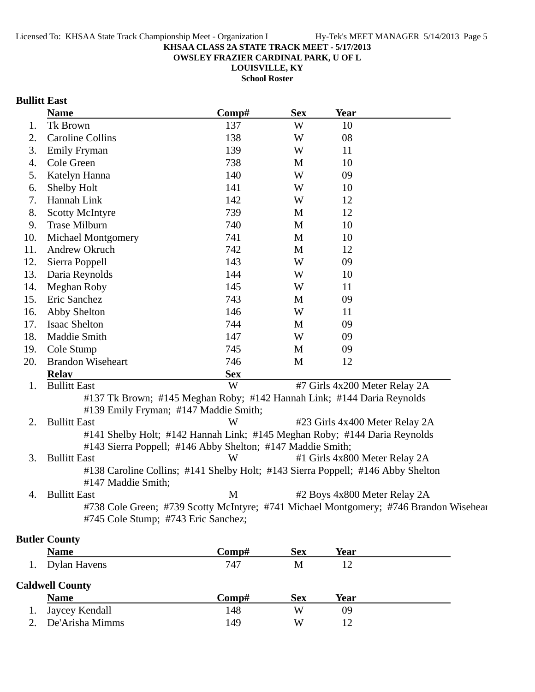**OWSLEY FRAZIER CARDINAL PARK, U OF L**

**LOUISVILLE, KY**

**School Roster**

# **Bullitt East**

|     | <b>Name</b>                                                | Comp#      | <b>Sex</b> | <b>Year</b>                                                                           |  |
|-----|------------------------------------------------------------|------------|------------|---------------------------------------------------------------------------------------|--|
| 1.  | Tk Brown                                                   | 137        | W          | 10                                                                                    |  |
| 2.  | <b>Caroline Collins</b>                                    | 138        | W          | 08                                                                                    |  |
| 3.  | <b>Emily Fryman</b>                                        | 139        | W          | 11                                                                                    |  |
| 4.  | Cole Green                                                 | 738        | M          | 10                                                                                    |  |
| 5.  | Katelyn Hanna                                              | 140        | W          | 09                                                                                    |  |
| 6.  | Shelby Holt                                                | 141        | W          | 10                                                                                    |  |
| 7.  | Hannah Link                                                | 142        | W          | 12                                                                                    |  |
| 8.  | <b>Scotty McIntyre</b>                                     | 739        | M          | 12                                                                                    |  |
| 9.  | <b>Trase Milburn</b>                                       | 740        | M          | 10                                                                                    |  |
| 10. | <b>Michael Montgomery</b>                                  | 741        | M          | 10                                                                                    |  |
| 11. | Andrew Okruch                                              | 742        | M          | 12                                                                                    |  |
| 12. | Sierra Poppell                                             | 143        | W          | 09                                                                                    |  |
| 13. | Daria Reynolds                                             | 144        | W          | 10                                                                                    |  |
| 14. | Meghan Roby                                                | 145        | W          | 11                                                                                    |  |
| 15. | Eric Sanchez                                               | 743        | M          | 09                                                                                    |  |
| 16. | Abby Shelton                                               | 146        | W          | 11                                                                                    |  |
| 17. | <b>Isaac Shelton</b>                                       | 744        | M          | 09                                                                                    |  |
| 18. | Maddie Smith                                               | 147        | W          | 09                                                                                    |  |
| 19. | Cole Stump                                                 | 745        | M          | 09                                                                                    |  |
| 20. | <b>Brandon Wiseheart</b>                                   | 746        | M          | 12                                                                                    |  |
|     | <b>Relay</b>                                               | <b>Sex</b> |            |                                                                                       |  |
| 1.  | <b>Bullitt East</b>                                        | W          |            | #7 Girls 4x200 Meter Relay 2A                                                         |  |
|     | #139 Emily Fryman; #147 Maddie Smith;                      |            |            | #137 Tk Brown; #145 Meghan Roby; #142 Hannah Link; #144 Daria Reynolds                |  |
| 2.  | <b>Bullitt East</b>                                        | W          |            | #23 Girls 4x400 Meter Relay 2A                                                        |  |
|     |                                                            |            |            | #141 Shelby Holt; #142 Hannah Link; #145 Meghan Roby; #144 Daria Reynolds             |  |
|     | #143 Sierra Poppell; #146 Abby Shelton; #147 Maddie Smith; |            |            |                                                                                       |  |
| 3.  | <b>Bullitt East</b>                                        | W          |            | #1 Girls 4x800 Meter Relay 2A                                                         |  |
|     | #147 Maddie Smith;                                         |            |            | #138 Caroline Collins; #141 Shelby Holt; #143 Sierra Poppell; #146 Abby Shelton       |  |
| 4.  | <b>Bullitt East</b>                                        | M          |            | #2 Boys 4x800 Meter Relay 2A                                                          |  |
|     | #745 Cole Stump; #743 Eric Sanchez;                        |            |            | #738 Cole Green; #739 Scotty McIntyre; #741 Michael Montgomery; #746 Brandon Wisehear |  |
|     |                                                            |            |            |                                                                                       |  |

# **Butler County**

| <b>Name</b>            | $\bf Comp\#$ | <b>Sex</b> | Year |  |
|------------------------|--------------|------------|------|--|
| 1. Dylan Havens        | 747          | M          | 12   |  |
| <b>Caldwell County</b> |              |            |      |  |
|                        |              |            |      |  |
| <b>Name</b>            | Comp#        | <b>Sex</b> | Year |  |
| Jaycey Kendall         | 148          | W          | 09   |  |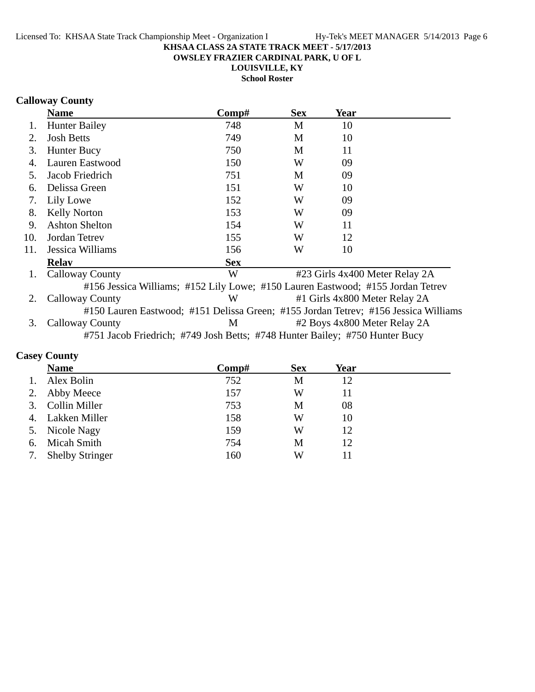**OWSLEY FRAZIER CARDINAL PARK, U OF L**

**LOUISVILLE, KY**

**School Roster**

# **Calloway County**

|     | <b>Name</b>                                                                         | Comp#      | <b>Sex</b> | Year |                                |
|-----|-------------------------------------------------------------------------------------|------------|------------|------|--------------------------------|
| 1.  | <b>Hunter Bailey</b>                                                                | 748        | M          | 10   |                                |
| 2.  | <b>Josh Betts</b>                                                                   | 749        | M          | 10   |                                |
| 3.  | Hunter Bucy                                                                         | 750        | M          | 11   |                                |
| 4.  | Lauren Eastwood                                                                     | 150        | W          | 09   |                                |
| 5.  | Jacob Friedrich                                                                     | 751        | M          | 09   |                                |
| 6.  | Delissa Green                                                                       | 151        | W          | 10   |                                |
| 7.  | Lily Lowe                                                                           | 152        | W          | 09   |                                |
| 8.  | <b>Kelly Norton</b>                                                                 | 153        | W          | 09   |                                |
| 9.  | <b>Ashton Shelton</b>                                                               | 154        | W          | 11   |                                |
| 10. | Jordan Tetrey                                                                       | 155        | W          | 12   |                                |
| 11. | Jessica Williams                                                                    | 156        | W          | 10   |                                |
|     | <b>Relay</b>                                                                        | <b>Sex</b> |            |      |                                |
| 1.  | <b>Calloway County</b>                                                              | W          |            |      | #23 Girls 4x400 Meter Relay 2A |
|     | #156 Jessica Williams; #152 Lily Lowe; #150 Lauren Eastwood; #155 Jordan Tetrev     |            |            |      |                                |
| 2.  | <b>Calloway County</b>                                                              | W          |            |      | #1 Girls 4x800 Meter Relay 2A  |
|     | #150 Lauren Eastwood; #151 Delissa Green; #155 Jordan Tetrev; #156 Jessica Williams |            |            |      |                                |
| 3.  | <b>Calloway County</b>                                                              | M          |            |      | #2 Boys 4x800 Meter Relay 2A   |
|     | #751 Jacob Friedrich; #749 Josh Betts; #748 Hunter Bailey; #750 Hunter Bucy         |            |            |      |                                |
|     |                                                                                     |            |            |      |                                |

# **Casey County**

|    | <b>Name</b>            | Comp# | <b>Sex</b> | Year |
|----|------------------------|-------|------------|------|
|    | Alex Bolin             | 752   | М          | 12   |
|    | Abby Meece             | 157   | W          | 11   |
| 3. | Collin Miller          | 753   | M          | 08   |
| 4. | Lakken Miller          | 158   | W          | 10   |
|    | 5. Nicole Nagy         | 159   | W          | 12   |
| 6. | Micah Smith            | 754   | М          | 12   |
| 7. | <b>Shelby Stringer</b> | 160   | W          | 11   |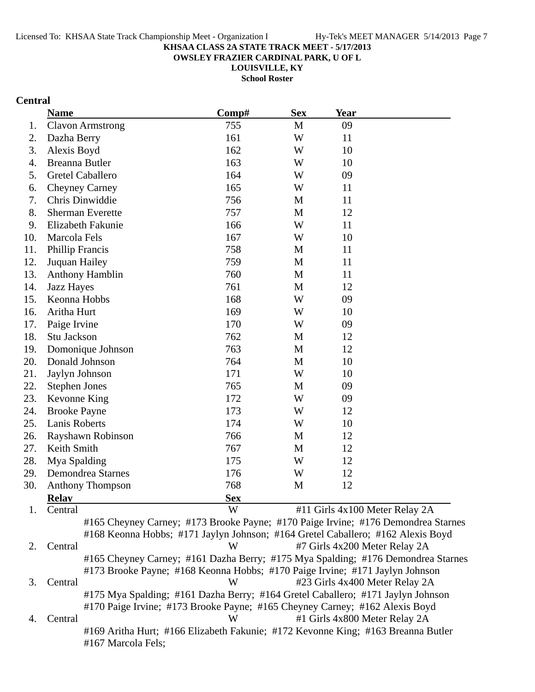**OWSLEY FRAZIER CARDINAL PARK, U OF L**

**LOUISVILLE, KY**

**School Roster**

# **Central**

|     | <b>Name</b>             | Comp#                                                                             | <b>Sex</b> | <b>Year</b>                    |  |
|-----|-------------------------|-----------------------------------------------------------------------------------|------------|--------------------------------|--|
| 1.  | <b>Clavon Armstrong</b> | 755                                                                               | M          | 09                             |  |
| 2.  | Dazha Berry             | 161                                                                               | W          | 11                             |  |
| 3.  | Alexis Boyd             | 162                                                                               | W          | 10                             |  |
| 4.  | Breanna Butler          | 163                                                                               | W          | 10                             |  |
| 5.  | Gretel Caballero        | 164                                                                               | W          | 09                             |  |
| 6.  | <b>Cheyney Carney</b>   | 165                                                                               | W          | 11                             |  |
| 7.  | Chris Dinwiddie         | 756                                                                               | M          | 11                             |  |
| 8.  | <b>Sherman Everette</b> | 757                                                                               | M          | 12                             |  |
| 9.  | Elizabeth Fakunie       | 166                                                                               | W          | 11                             |  |
| 10. | Marcola Fels            | 167                                                                               | W          | 10                             |  |
| 11. | <b>Phillip Francis</b>  | 758                                                                               | M          | 11                             |  |
| 12. | Juquan Hailey           | 759                                                                               | M          | 11                             |  |
| 13. | <b>Anthony Hamblin</b>  | 760                                                                               | M          | 11                             |  |
| 14. | Jazz Hayes              | 761                                                                               | M          | 12                             |  |
| 15. | Keonna Hobbs            | 168                                                                               | W          | 09                             |  |
| 16. | Aritha Hurt             | 169                                                                               | W          | 10                             |  |
| 17. | Paige Irvine            | 170                                                                               | W          | 09                             |  |
| 18. | Stu Jackson             | 762                                                                               | M          | 12                             |  |
| 19. | Domonique Johnson       | 763                                                                               | M          | 12                             |  |
| 20. | Donald Johnson          | 764                                                                               | M          | 10                             |  |
| 21. | Jaylyn Johnson          | 171                                                                               | W          | 10                             |  |
| 22. | <b>Stephen Jones</b>    | 765                                                                               | M          | 09                             |  |
| 23. | Kevonne King            | 172                                                                               | W          | 09                             |  |
| 24. | <b>Brooke Payne</b>     | 173                                                                               | W          | 12                             |  |
| 25. | Lanis Roberts           | 174                                                                               | W          | 10                             |  |
| 26. | Rayshawn Robinson       | 766                                                                               | M          | 12                             |  |
| 27. | Keith Smith             | 767                                                                               | M          | 12                             |  |
| 28. | Mya Spalding            | 175                                                                               | W          | 12                             |  |
| 29. | Demondrea Starnes       | 176                                                                               | W          | 12                             |  |
| 30. | <b>Anthony Thompson</b> | 768                                                                               | M          | 12                             |  |
|     | <b>Relay</b>            | <b>Sex</b>                                                                        |            |                                |  |
| 1.  | Central                 | W                                                                                 |            | #11 Girls 4x100 Meter Relay 2A |  |
|     |                         | #165 Cheyney Carney; #173 Brooke Payne; #170 Paige Irvine; #176 Demondrea Starnes |            |                                |  |
|     |                         | #168 Keonna Hobbs; #171 Jaylyn Johnson; #164 Gretel Caballero; #162 Alexis Boyd   |            |                                |  |
| 2.  | Central                 | W                                                                                 |            | #7 Girls 4x200 Meter Relay 2A  |  |
|     |                         | #165 Cheyney Carney; #161 Dazha Berry; #175 Mya Spalding; #176 Demondrea Starnes  |            |                                |  |
|     |                         | #173 Brooke Payne; #168 Keonna Hobbs; #170 Paige Irvine; #171 Jaylyn Johnson      |            |                                |  |
| 3.  | Central                 | W                                                                                 |            | #23 Girls 4x400 Meter Relay 2A |  |
|     |                         | #175 Mya Spalding; #161 Dazha Berry; #164 Gretel Caballero; #171 Jaylyn Johnson   |            |                                |  |
|     |                         | #170 Paige Irvine; #173 Brooke Payne; #165 Cheyney Carney; #162 Alexis Boyd       |            |                                |  |
| 4.  | Central                 | W                                                                                 |            | #1 Girls 4x800 Meter Relay 2A  |  |
|     |                         | #169 Aritha Hurt; #166 Elizabeth Fakunie; #172 Kevonne King; #163 Breanna Butler  |            |                                |  |
|     | #167 Marcola Fels;      |                                                                                   |            |                                |  |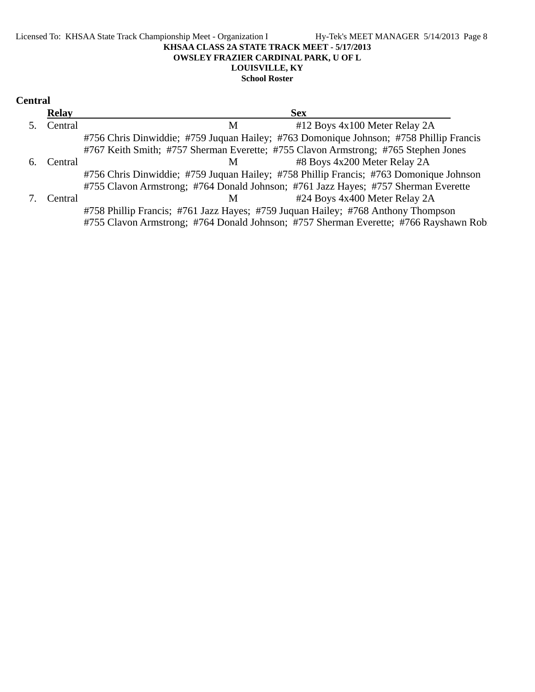#### Licensed To: KHSAA State Track Championship Meet - Organization I Hy-Tek's MEET MANAGER 5/14/2013 Page 8 **KHSAA CLASS 2A STATE TRACK MEET - 5/17/2013 OWSLEY FRAZIER CARDINAL PARK, U OF L LOUISVILLE, KY School Roster**

| <b>Central</b> |              |                                                                                        |
|----------------|--------------|----------------------------------------------------------------------------------------|
|                | <b>Relay</b> | <b>Sex</b>                                                                             |
|                | Central      | #12 Boys 4x100 Meter Relay 2A<br>M                                                     |
|                |              | #756 Chris Dinwiddie; #759 Juquan Hailey; #763 Domonique Johnson; #758 Phillip Francis |
|                |              | #767 Keith Smith; #757 Sherman Everette; #755 Clavon Armstrong; #765 Stephen Jones     |
| 6.             | Central      | #8 Boys 4x200 Meter Relay 2A<br>M                                                      |
|                |              | #756 Chris Dinwiddie; #759 Juquan Hailey; #758 Phillip Francis; #763 Domonique Johnson |
|                |              | #755 Clavon Armstrong; #764 Donald Johnson; #761 Jazz Hayes; #757 Sherman Everette     |
|                | Central      | #24 Boys 4x400 Meter Relay 2A<br>M                                                     |
|                |              | #758 Phillip Francis; #761 Jazz Hayes; #759 Juquan Hailey; #768 Anthony Thompson       |
|                |              | #755 Clavon Armstrong; #764 Donald Johnson; #757 Sherman Everette; #766 Rayshawn Rob   |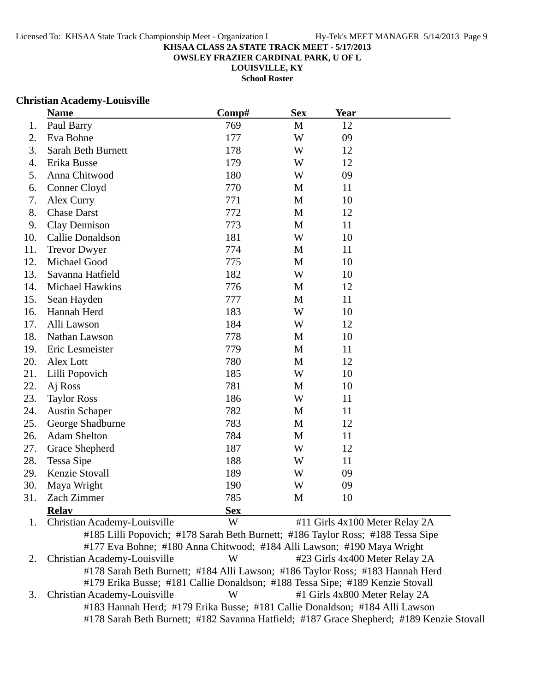**OWSLEY FRAZIER CARDINAL PARK, U OF L**

**LOUISVILLE, KY**

**School Roster**

### **Christian Academy-Louisville**

|     | <b>Name</b>            | Comp#      | <b>Sex</b>   | <b>Year</b>                                                                                          |
|-----|------------------------|------------|--------------|------------------------------------------------------------------------------------------------------|
| 1.  | Paul Barry             | 769        | $\mathbf{M}$ | 12                                                                                                   |
| 2.  | Eva Bohne              | 177        | W            | 09                                                                                                   |
| 3.  | Sarah Beth Burnett     | 178        | W            | 12                                                                                                   |
| 4.  | Erika Busse            | 179        | W            | 12                                                                                                   |
| 5.  | Anna Chitwood          | 180        | W            | 09                                                                                                   |
| 6.  | Conner Cloyd           | 770        | M            | 11                                                                                                   |
| 7.  | Alex Curry             | 771        | M            | 10                                                                                                   |
| 8.  | <b>Chase Darst</b>     | 772        | M            | 12                                                                                                   |
| 9.  | Clay Dennison          | 773        | M            | 11                                                                                                   |
| 10. | Callie Donaldson       | 181        | W            | 10                                                                                                   |
| 11. | <b>Trevor Dwyer</b>    | 774        | M            | 11                                                                                                   |
| 12. | Michael Good           | 775        | M            | 10                                                                                                   |
| 13. | Savanna Hatfield       | 182        | W            | 10                                                                                                   |
| 14. | <b>Michael Hawkins</b> | 776        | M            | 12                                                                                                   |
| 15. | Sean Hayden            | 777        | M            | 11                                                                                                   |
| 16. | Hannah Herd            | 183        | W            | 10                                                                                                   |
| 17. | Alli Lawson            | 184        | W            | 12                                                                                                   |
| 18. | Nathan Lawson          | 778        | M            | 10                                                                                                   |
| 19. | Eric Lesmeister        | 779        | M            | 11                                                                                                   |
| 20. | Alex Lott              | 780        | M            | 12                                                                                                   |
| 21. | Lilli Popovich         | 185        | W            | 10                                                                                                   |
| 22. | Aj Ross                | 781        | M            | 10                                                                                                   |
| 23. | <b>Taylor Ross</b>     | 186        | W            | 11                                                                                                   |
| 24. | <b>Austin Schaper</b>  | 782        | M            | 11                                                                                                   |
| 25. | George Shadburne       | 783        | M            | 12                                                                                                   |
| 26. | <b>Adam Shelton</b>    | 784        | M            | 11                                                                                                   |
| 27. | Grace Shepherd         | 187        | W            | 12                                                                                                   |
| 28. | Tessa Sipe             | 188        | W            | 11                                                                                                   |
| 29. | Kenzie Stovall         | 189        | W            | 09                                                                                                   |
| 30. | Maya Wright            | 190        | W            | 09                                                                                                   |
| 31. | Zach Zimmer            | 785        | M            | 10                                                                                                   |
|     | <b>Relav</b>           | <b>Sex</b> |              |                                                                                                      |
|     | Cl <sub>sub</sub>      | <b>III</b> |              | $\mu$ 11 $C_{\mu}$ $\lambda$ $\mu$ $\lambda$ $\mu$ $\lambda$ $\lambda$ $\lambda$ $\lambda$ $\lambda$ |

1. Christian Academy-Louisville W #11 Girls 4x100 Meter Relay 2A #185 Lilli Popovich; #178 Sarah Beth Burnett; #186 Taylor Ross; #188 Tessa Sipe #177 Eva Bohne; #180 Anna Chitwood; #184 Alli Lawson; #190 Maya Wright 2. Christian Academy-Louisville W #23 Girls 4x400 Meter Relay 2A #178 Sarah Beth Burnett; #184 Alli Lawson; #186 Taylor Ross; #183 Hannah Herd #179 Erika Busse; #181 Callie Donaldson; #188 Tessa Sipe; #189 Kenzie Stovall 3. Christian Academy-Louisville W #1 Girls 4x800 Meter Relay 2A #183 Hannah Herd; #179 Erika Busse; #181 Callie Donaldson; #184 Alli Lawson #178 Sarah Beth Burnett; #182 Savanna Hatfield; #187 Grace Shepherd; #189 Kenzie Stovall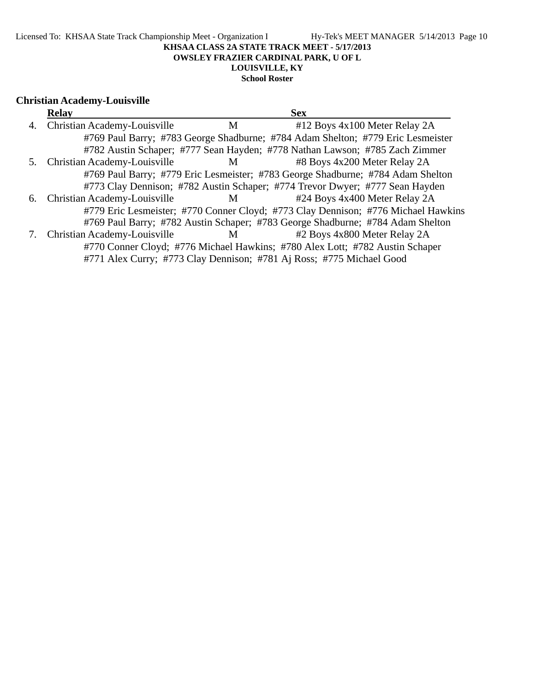**OWSLEY FRAZIER CARDINAL PARK, U OF L**

# **LOUISVILLE, KY**

# **School Roster**

# **Christian Academy-Louisville**

|    | <b>Relay</b>                    |          | <b>Sex</b>                                                                        |
|----|---------------------------------|----------|-----------------------------------------------------------------------------------|
|    | 4. Christian Academy-Louisville | M        | #12 Boys 4x100 Meter Relay 2A                                                     |
|    |                                 |          | #769 Paul Barry; #783 George Shadburne; #784 Adam Shelton; #779 Eric Lesmeister   |
|    |                                 |          | #782 Austin Schaper; #777 Sean Hayden; #778 Nathan Lawson; #785 Zach Zimmer       |
| 5. | Christian Academy-Louisville    | $M \sim$ | #8 Boys 4x200 Meter Relay 2A                                                      |
|    |                                 |          | #769 Paul Barry; #779 Eric Lesmeister; #783 George Shadburne; #784 Adam Shelton   |
|    |                                 |          | #773 Clay Dennison; #782 Austin Schaper; #774 Trevor Dwyer; #777 Sean Hayden      |
| 6. | Christian Academy-Louisville    | $M \sim$ | #24 Boys 4x400 Meter Relay 2A                                                     |
|    |                                 |          | #779 Eric Lesmeister; #770 Conner Cloyd; #773 Clay Dennison; #776 Michael Hawkins |
|    |                                 |          | #769 Paul Barry; #782 Austin Schaper; #783 George Shadburne; #784 Adam Shelton    |
| 7. | Christian Academy-Louisville    | M        | #2 Boys 4x800 Meter Relay 2A                                                      |
|    |                                 |          | #770 Conner Cloyd; #776 Michael Hawkins; #780 Alex Lott; #782 Austin Schaper      |
|    |                                 |          | #771 Alex Curry; #773 Clay Dennison; #781 Aj Ross; #775 Michael Good              |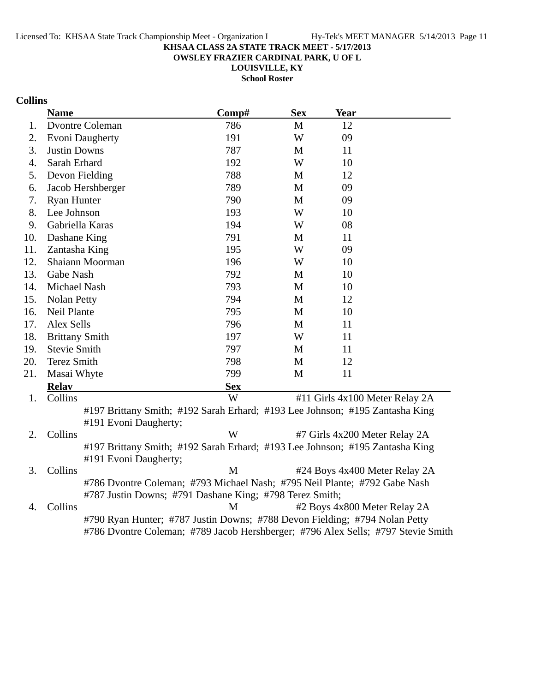**OWSLEY FRAZIER CARDINAL PARK, U OF L**

**LOUISVILLE, KY**

**School Roster**

# **Collins**

|     | <b>Name</b>                                                                      | Comp#      | <b>Sex</b>   | <b>Year</b>                   |                                |
|-----|----------------------------------------------------------------------------------|------------|--------------|-------------------------------|--------------------------------|
| 1.  | <b>Dvontre Coleman</b>                                                           | 786        | $\mathbf{M}$ | 12                            |                                |
| 2.  | <b>Evoni</b> Daugherty                                                           | 191        | W            | 09                            |                                |
| 3.  | <b>Justin Downs</b>                                                              | 787        | M            | 11                            |                                |
| 4.  | Sarah Erhard                                                                     | 192        | W            | 10                            |                                |
| 5.  | Devon Fielding                                                                   | 788        | M            | 12                            |                                |
| 6.  | Jacob Hershberger                                                                | 789        | $\mathbf M$  | 09                            |                                |
| 7.  | <b>Ryan Hunter</b>                                                               | 790        | M            | 09                            |                                |
| 8.  | Lee Johnson                                                                      | 193        | W            | 10                            |                                |
| 9.  | Gabriella Karas                                                                  | 194        | W            | 08                            |                                |
| 10. | Dashane King                                                                     | 791        | M            | 11                            |                                |
| 11. | Zantasha King                                                                    | 195        | W            | 09                            |                                |
| 12. | Shaiann Moorman                                                                  | 196        | W            | 10                            |                                |
| 13. | Gabe Nash                                                                        | 792        | M            | 10                            |                                |
| 14. | Michael Nash                                                                     | 793        | M            | 10                            |                                |
| 15. | <b>Nolan Petty</b>                                                               | 794        | M            | 12                            |                                |
| 16. | <b>Neil Plante</b>                                                               | 795        | M            | 10                            |                                |
| 17. | Alex Sells                                                                       | 796        | M            | 11                            |                                |
| 18. | <b>Brittany Smith</b>                                                            | 197        | W            | 11                            |                                |
| 19. | <b>Stevie Smith</b>                                                              | 797        | M            | 11                            |                                |
| 20. | <b>Terez Smith</b>                                                               | 798        | M            | 12                            |                                |
| 21. | Masai Whyte                                                                      | 799        | M            | 11                            |                                |
|     | <b>Relay</b>                                                                     | <b>Sex</b> |              |                               |                                |
| 1.  | Collins                                                                          | W          |              |                               | #11 Girls 4x100 Meter Relay 2A |
|     | #197 Brittany Smith; #192 Sarah Erhard; #193 Lee Johnson; #195 Zantasha King     |            |              |                               |                                |
|     | #191 Evoni Daugherty;                                                            |            |              |                               |                                |
| 2.  | Collins                                                                          | W          |              | #7 Girls 4x200 Meter Relay 2A |                                |
|     | #197 Brittany Smith; #192 Sarah Erhard; #193 Lee Johnson; #195 Zantasha King     |            |              |                               |                                |
|     | #191 Evoni Daugherty;                                                            |            |              |                               |                                |
| 3.  | Collins                                                                          | M          |              |                               | #24 Boys 4x400 Meter Relay 2A  |
|     | #786 Dvontre Coleman; #793 Michael Nash; #795 Neil Plante; #792 Gabe Nash        |            |              |                               |                                |
|     | #787 Justin Downs; #791 Dashane King; #798 Terez Smith;                          |            |              |                               |                                |
| 4.  | Collins                                                                          | M          |              | #2 Boys 4x800 Meter Relay 2A  |                                |
|     | #790 Ryan Hunter; #787 Justin Downs; #788 Devon Fielding; #794 Nolan Petty       |            |              |                               |                                |
|     | #786 Dvontre Coleman; #789 Jacob Hershberger; #796 Alex Sells; #797 Stevie Smith |            |              |                               |                                |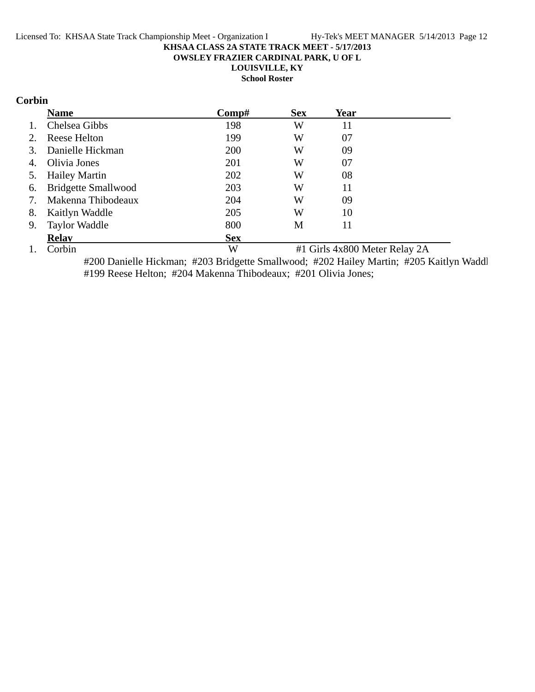**OWSLEY FRAZIER CARDINAL PARK, U OF L**

**LOUISVILLE, KY**

**School Roster**

# **Corbin**

|    | <b>Name</b>                | Comp#      | <b>Sex</b> | Year |  |
|----|----------------------------|------------|------------|------|--|
| 1. | Chelsea Gibbs              | 198        | W          | 11   |  |
| 2. | Reese Helton               | 199        | W          | 07   |  |
| 3. | Danielle Hickman           | 200        | W          | 09   |  |
| 4. | Olivia Jones               | 201        | W          | 07   |  |
| 5. | <b>Hailey Martin</b>       | 202        | W          | 08   |  |
| 6. | <b>Bridgette Smallwood</b> | 203        | W          | 11   |  |
| 7. | Makenna Thibodeaux         | 204        | W          | 09   |  |
| 8. | Kaitlyn Waddle             | 205        | W          | 10   |  |
| 9. | <b>Taylor Waddle</b>       | 800        | M          | 11   |  |
|    | <b>Relav</b>               | <b>Sex</b> |            |      |  |
|    |                            |            |            |      |  |

1. Corbin W #1 Girls 4x800 Meter Relay 2A #200 Danielle Hickman; #203 Bridgette Smallwood; #202 Hailey Martin; #205 Kaitlyn Waddl #199 Reese Helton; #204 Makenna Thibodeaux; #201 Olivia Jones;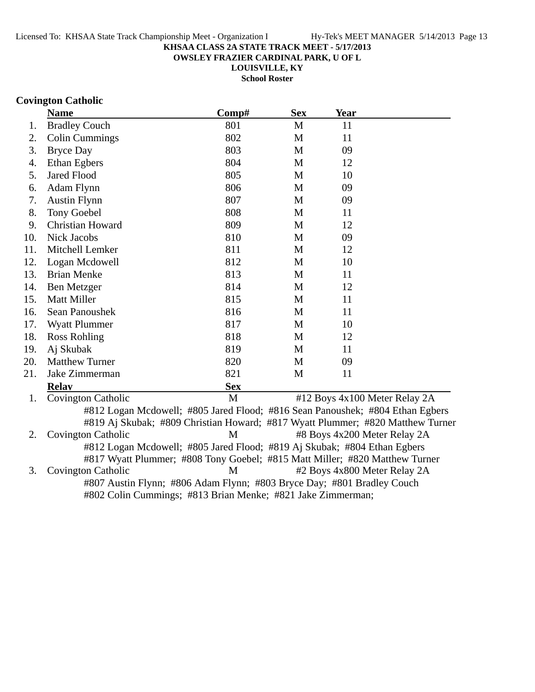**OWSLEY FRAZIER CARDINAL PARK, U OF L**

**LOUISVILLE, KY School Roster**

# **Covington Catholic**

|     | <b>Name</b>                                                                    | Comp#      | <b>Sex</b> | <b>Year</b>                   |  |
|-----|--------------------------------------------------------------------------------|------------|------------|-------------------------------|--|
| 1.  | <b>Bradley Couch</b>                                                           | 801        | M          | 11                            |  |
| 2.  | Colin Cummings                                                                 | 802        | M          | 11                            |  |
| 3.  | <b>Bryce Day</b>                                                               | 803        | M          | 09                            |  |
| 4.  | Ethan Egbers                                                                   | 804        | M          | 12                            |  |
| 5.  | <b>Jared Flood</b>                                                             | 805        | M          | 10                            |  |
| 6.  | Adam Flynn                                                                     | 806        | M          | 09                            |  |
| 7.  | <b>Austin Flynn</b>                                                            | 807        | M          | 09                            |  |
| 8.  | <b>Tony Goebel</b>                                                             | 808        | M          | 11                            |  |
| 9.  | <b>Christian Howard</b>                                                        | 809        | M          | 12                            |  |
| 10. | <b>Nick Jacobs</b>                                                             | 810        | M          | 09                            |  |
| 11. | Mitchell Lemker                                                                | 811        | M          | 12                            |  |
| 12. | Logan Mcdowell                                                                 | 812        | M          | 10                            |  |
| 13. | <b>Brian Menke</b>                                                             | 813        | M          | 11                            |  |
| 14. | Ben Metzger                                                                    | 814        | M          | 12                            |  |
| 15. | Matt Miller                                                                    | 815        | M          | 11                            |  |
| 16. | Sean Panoushek                                                                 | 816        | M          | 11                            |  |
| 17. | <b>Wyatt Plummer</b>                                                           | 817        | M          | 10                            |  |
| 18. | <b>Ross Rohling</b>                                                            | 818        | M          | 12                            |  |
| 19. | Aj Skubak                                                                      | 819        | M          | 11                            |  |
| 20. | <b>Matthew Turner</b>                                                          | 820        | M          | 09                            |  |
| 21. | Jake Zimmerman                                                                 | 821        | M          | 11                            |  |
|     | <b>Relay</b>                                                                   | <b>Sex</b> |            |                               |  |
| 1.  | Covington Catholic                                                             | M          |            | #12 Boys 4x100 Meter Relay 2A |  |
|     | #812 Logan Mcdowell; #805 Jared Flood; #816 Sean Panoushek; #804 Ethan Egbers  |            |            |                               |  |
|     | #819 Aj Skubak; #809 Christian Howard; #817 Wyatt Plummer; #820 Matthew Turner |            |            |                               |  |
| 2.  | <b>Covington Catholic</b>                                                      | M          |            | #8 Boys 4x200 Meter Relay 2A  |  |
|     | #812 Logan Mcdowell; #805 Jared Flood; #819 Aj Skubak; #804 Ethan Egbers       |            |            |                               |  |
|     | #817 Wyatt Plummer; #808 Tony Goebel; #815 Matt Miller; #820 Matthew Turner    |            |            |                               |  |
| 3.  | <b>Covington Catholic</b>                                                      | M          |            | #2 Boys 4x800 Meter Relay 2A  |  |

#807 Austin Flynn; #806 Adam Flynn; #803 Bryce Day; #801 Bradley Couch #802 Colin Cummings; #813 Brian Menke; #821 Jake Zimmerman;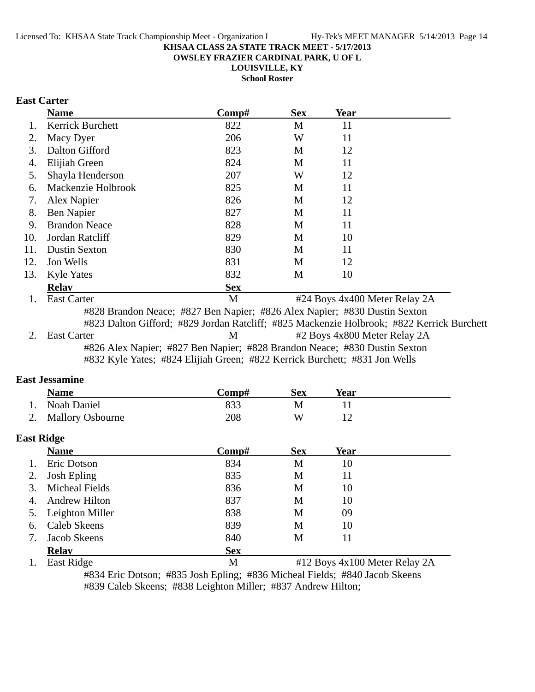**OWSLEY FRAZIER CARDINAL PARK, U OF L**

**LOUISVILLE, KY**

**School Roster**

# **East Carter**

|     | <b>Name</b>                                                                                                                                                            | Comp#      | <b>Sex</b> | Year                          |  |
|-----|------------------------------------------------------------------------------------------------------------------------------------------------------------------------|------------|------------|-------------------------------|--|
|     | Kerrick Burchett                                                                                                                                                       | 822        | М          | 11                            |  |
| 2.  | Macy Dyer                                                                                                                                                              | 206        | W          | 11                            |  |
| 3.  | Dalton Gifford                                                                                                                                                         | 823        | M          | 12                            |  |
| 4.  | Elijiah Green                                                                                                                                                          | 824        | M          | 11                            |  |
| 5.  | Shayla Henderson                                                                                                                                                       | 207        | W          | 12                            |  |
| 6.  | Mackenzie Holbrook                                                                                                                                                     | 825        | M          | 11                            |  |
| 7.  | Alex Napier                                                                                                                                                            | 826        | M          | 12                            |  |
| 8.  | Ben Napier                                                                                                                                                             | 827        | M          | 11                            |  |
| 9.  | <b>Brandon Neace</b>                                                                                                                                                   | 828        | M          | 11                            |  |
| 10. | Jordan Ratcliff                                                                                                                                                        | 829        | M          | 10                            |  |
| 11. | <b>Dustin Sexton</b>                                                                                                                                                   | 830        | M          | 11                            |  |
| 12. | Jon Wells                                                                                                                                                              | 831        | M          | 12                            |  |
| 13. | <b>Kyle Yates</b>                                                                                                                                                      | 832        | M          | 10                            |  |
|     | <b>Relav</b>                                                                                                                                                           | <b>Sex</b> |            |                               |  |
|     | <b>East Carter</b>                                                                                                                                                     | M          |            | #24 Boys 4x400 Meter Relay 2A |  |
|     | #828 Brandon Neace; #827 Ben Napier; #826 Alex Napier; #830 Dustin Sexton<br>#823 Dalton Gifford; #829 Jordan Ratcliff; #825 Mackenzie Holbrook; #822 Kerrick Burchett |            |            |                               |  |

2. East Carter M  $\mu$  #2 Boys 4x800 Meter Relay 2A #826 Alex Napier; #827 Ben Napier; #828 Brandon Neace; #830 Dustin Sexton #832 Kyle Yates; #824 Elijiah Green; #822 Kerrick Burchett; #831 Jon Wells

# **East Jessamine**

|                   | <b>Name</b>             | Comp#      | <b>Sex</b> | Year |  |
|-------------------|-------------------------|------------|------------|------|--|
|                   | <b>Noah Daniel</b>      | 833        | M          | 11   |  |
| 2.                | <b>Mallory Osbourne</b> | 208        | W          | 12   |  |
| <b>East Ridge</b> |                         |            |            |      |  |
|                   | <b>Name</b>             | Comp#      | <b>Sex</b> | Year |  |
|                   | Eric Dotson             | 834        | M          | 10   |  |
| 2.                | <b>Josh Epling</b>      | 835        | M          | 11   |  |
| 3.                | <b>Micheal Fields</b>   | 836        | M          | 10   |  |
| 4.                | Andrew Hilton           | 837        | M          | 10   |  |
| 5.                | Leighton Miller         | 838        | M          | 09   |  |
| 6.                | Caleb Skeens            | 839        | M          | 10   |  |
| 7.                | Jacob Skeens            | 840        | M          | 11   |  |
|                   | <b>Relav</b>            | <b>Sex</b> |            |      |  |
|                   |                         |            |            |      |  |

1. East Ridge M #12 Boys 4x100 Meter Relay 2A #834 Eric Dotson; #835 Josh Epling; #836 Micheal Fields; #840 Jacob Skeens #839 Caleb Skeens; #838 Leighton Miller; #837 Andrew Hilton;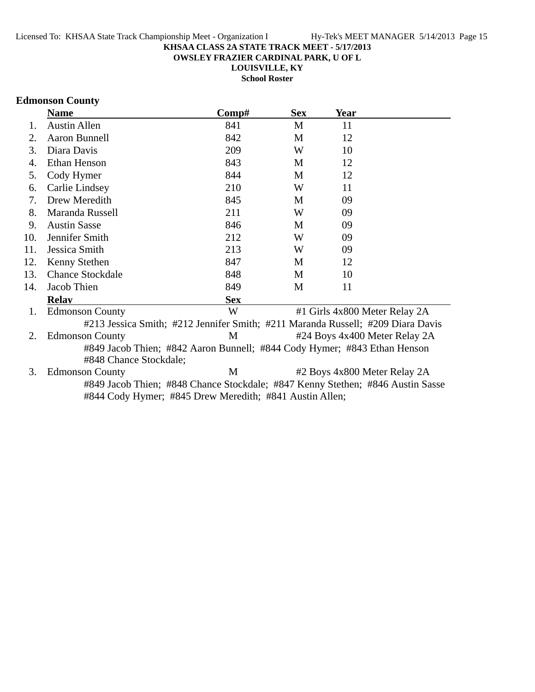**OWSLEY FRAZIER CARDINAL PARK, U OF L**

**LOUISVILLE, KY**

**School Roster**

# **Edmonson County**

|     | <b>Name</b>                                                                                                                               | Comp#      | <b>Sex</b> | Year                          |  |
|-----|-------------------------------------------------------------------------------------------------------------------------------------------|------------|------------|-------------------------------|--|
| 1.  | <b>Austin Allen</b>                                                                                                                       | 841        | M          | 11                            |  |
| 2.  | Aaron Bunnell                                                                                                                             | 842        | M          | 12                            |  |
| 3.  | Diara Davis                                                                                                                               | 209        | W          | 10                            |  |
| 4.  | Ethan Henson                                                                                                                              | 843        | M          | 12                            |  |
| 5.  | Cody Hymer                                                                                                                                | 844        | M          | 12                            |  |
| 6.  | Carlie Lindsey                                                                                                                            | 210        | W          | 11                            |  |
| 7.  | Drew Meredith                                                                                                                             | 845        | М          | 09                            |  |
| 8.  | Maranda Russell                                                                                                                           | 211        | W          | 09                            |  |
| 9.  | <b>Austin Sasse</b>                                                                                                                       | 846        | M          | 09                            |  |
| 10. | Jennifer Smith                                                                                                                            | 212        | W          | 09                            |  |
| 11. | Jessica Smith                                                                                                                             | 213        | W          | 09                            |  |
| 12. | Kenny Stethen                                                                                                                             | 847        | M          | 12                            |  |
| 13. | <b>Chance Stockdale</b>                                                                                                                   | 848        | M          | 10                            |  |
| 14. | Jacob Thien                                                                                                                               | 849        | М          | 11                            |  |
|     | <b>Relav</b>                                                                                                                              | <b>Sex</b> |            |                               |  |
| 1.  | <b>Edmonson County</b>                                                                                                                    | W          |            | #1 Girls 4x800 Meter Relay 2A |  |
|     | #213 Jessica Smith; #212 Jennifer Smith; #211 Maranda Russell; #209 Diara Davis                                                           |            |            |                               |  |
| 2.  | <b>Edmonson County</b>                                                                                                                    | M          |            | #24 Boys 4x400 Meter Relay 2A |  |
|     | #849 Jacob Thien; #842 Aaron Bunnell; #844 Cody Hymer; #843 Ethan Henson<br>#848 Chance Stockdale;                                        |            |            |                               |  |
| 3.  | <b>Edmonson County</b>                                                                                                                    | М          |            | #2 Boys 4x800 Meter Relay 2A  |  |
|     | #849 Jacob Thien; #848 Chance Stockdale; #847 Kenny Stethen; #846 Austin Sasse<br>#844 Cody Hymer; #845 Drew Meredith; #841 Austin Allen; |            |            |                               |  |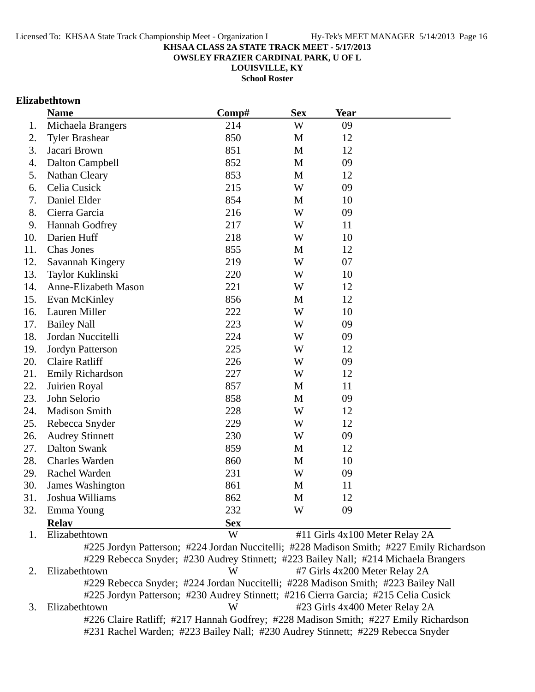**OWSLEY FRAZIER CARDINAL PARK, U OF L**

**LOUISVILLE, KY**

**School Roster**

# **Elizabethtown**

|     | <b>Name</b>                                                                         | Comp#      | <b>Sex</b>  | <b>Year</b>                    |                                                                                          |
|-----|-------------------------------------------------------------------------------------|------------|-------------|--------------------------------|------------------------------------------------------------------------------------------|
| 1.  | Michaela Brangers                                                                   | 214        | W           | 09                             |                                                                                          |
| 2.  | <b>Tyler Brashear</b>                                                               | 850        | M           | 12                             |                                                                                          |
| 3.  | Jacari Brown                                                                        | 851        | M           | 12                             |                                                                                          |
| 4.  | Dalton Campbell                                                                     | 852        | M           | 09                             |                                                                                          |
| 5.  | <b>Nathan Cleary</b>                                                                | 853        | $\mathbf M$ | 12                             |                                                                                          |
| 6.  | Celia Cusick                                                                        | 215        | W           | 09                             |                                                                                          |
| 7.  | Daniel Elder                                                                        | 854        | M           | 10                             |                                                                                          |
| 8.  | Cierra Garcia                                                                       | 216        | W           | 09                             |                                                                                          |
| 9.  | Hannah Godfrey                                                                      | 217        | W           | 11                             |                                                                                          |
| 10. | Darien Huff                                                                         | 218        | W           | 10                             |                                                                                          |
| 11. | Chas Jones                                                                          | 855        | M           | 12                             |                                                                                          |
| 12. | Savannah Kingery                                                                    | 219        | W           | 07                             |                                                                                          |
| 13. | Taylor Kuklinski                                                                    | 220        | W           | 10                             |                                                                                          |
| 14. | Anne-Elizabeth Mason                                                                | 221        | W           | 12                             |                                                                                          |
| 15. | Evan McKinley                                                                       | 856        | M           | 12                             |                                                                                          |
| 16. | Lauren Miller                                                                       | 222        | W           | 10                             |                                                                                          |
| 17. | <b>Bailey Nall</b>                                                                  | 223        | W           | 09                             |                                                                                          |
| 18. | Jordan Nuccitelli                                                                   | 224        | W           | 09                             |                                                                                          |
| 19. | Jordyn Patterson                                                                    | 225        | W           | 12                             |                                                                                          |
| 20. | <b>Claire Ratliff</b>                                                               | 226        | W           | 09                             |                                                                                          |
| 21. | Emily Richardson                                                                    | 227        | W           | 12                             |                                                                                          |
| 22. | Juirien Royal                                                                       | 857        | M           | 11                             |                                                                                          |
| 23. | John Selorio                                                                        | 858        | M           | 09                             |                                                                                          |
| 24. | <b>Madison Smith</b>                                                                | 228        | W           | 12                             |                                                                                          |
| 25. | Rebecca Snyder                                                                      | 229        | W           | 12                             |                                                                                          |
| 26. | <b>Audrey Stinnett</b>                                                              | 230        | W           | 09                             |                                                                                          |
| 27. | <b>Dalton Swank</b>                                                                 | 859        | M           | 12                             |                                                                                          |
| 28. | <b>Charles Warden</b>                                                               | 860        | M           | 10                             |                                                                                          |
| 29. | Rachel Warden                                                                       | 231        | W           | 09                             |                                                                                          |
| 30. | James Washington                                                                    | 861        | M           | 11                             |                                                                                          |
| 31. | Joshua Williams                                                                     | 862        | M           | 12                             |                                                                                          |
| 32. | Emma Young                                                                          | 232        | W           | 09                             |                                                                                          |
|     | <b>Relav</b>                                                                        | <b>Sex</b> |             |                                |                                                                                          |
| 1.  | Elizabethtown                                                                       | W          |             | #11 Girls 4x100 Meter Relay 2A |                                                                                          |
|     |                                                                                     |            |             |                                | #225 Jordyn Patterson; #224 Jordan Nuccitelli; #228 Madison Smith; #227 Emily Richardson |
|     | #229 Rebecca Snyder; #230 Audrey Stinnett; #223 Bailey Nall; #214 Michaela Brangers |            |             |                                |                                                                                          |
| 2.  | Elizabethtown                                                                       | W          |             | #7 Girls 4x200 Meter Relay 2A  |                                                                                          |

#229 Rebecca Snyder; #224 Jordan Nuccitelli; #228 Madison Smith; #223 Bailey Nall

#225 Jordyn Patterson; #230 Audrey Stinnett; #216 Cierra Garcia; #215 Celia Cusick 3. Elizabethtown W #23 Girls 4x400 Meter Relay 2A #226 Claire Ratliff; #217 Hannah Godfrey; #228 Madison Smith; #227 Emily Richardson #231 Rachel Warden; #223 Bailey Nall; #230 Audrey Stinnett; #229 Rebecca Snyder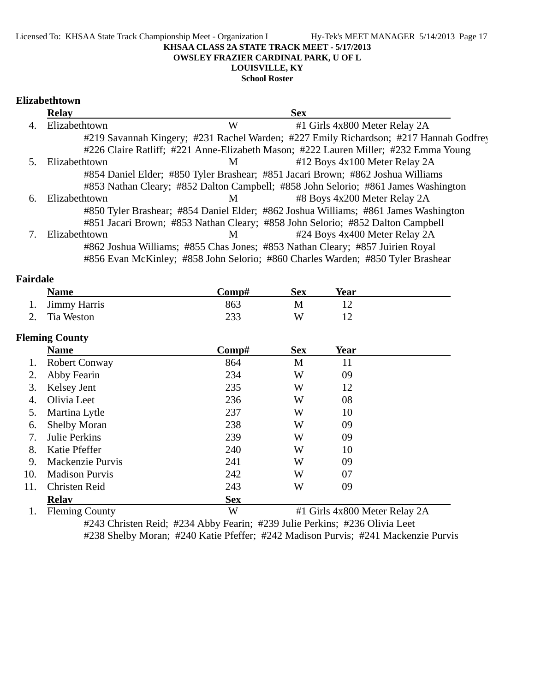#### Licensed To: KHSAA State Track Championship Meet - Organization I Hy-Tek's MEET MANAGER 5/14/2013 Page 17 **KHSAA CLASS 2A STATE TRACK MEET - 5/17/2013 OWSLEY FRAZIER CARDINAL PARK, U OF L LOUISVILLE, KY**

**School Roster**

### **Elizabethtown**

|    | <b>Relay</b>  |   | <b>Sex</b>                                                                            |  |
|----|---------------|---|---------------------------------------------------------------------------------------|--|
| 4. | Elizabethtown | W | #1 Girls 4x800 Meter Relay 2A                                                         |  |
|    |               |   | #219 Savannah Kingery; #231 Rachel Warden; #227 Emily Richardson; #217 Hannah Godfrey |  |
|    |               |   | #226 Claire Ratliff; #221 Anne-Elizabeth Mason; #222 Lauren Miller; #232 Emma Young   |  |
|    | Elizabethtown | M | #12 Boys 4x100 Meter Relay 2A                                                         |  |
|    |               |   | #854 Daniel Elder; #850 Tyler Brashear; #851 Jacari Brown; #862 Joshua Williams       |  |
|    |               |   | #853 Nathan Cleary; #852 Dalton Campbell; #858 John Selorio; #861 James Washington    |  |
| 6. | Elizabethtown | М | #8 Boys 4x200 Meter Relay 2A                                                          |  |
|    |               |   | #850 Tyler Brashear; #854 Daniel Elder; #862 Joshua Williams; #861 James Washington   |  |
|    |               |   | #851 Jacari Brown; #853 Nathan Cleary; #858 John Selorio; #852 Dalton Campbell        |  |
|    | Elizabethtown | M | #24 Boys 4x400 Meter Relay 2A                                                         |  |
|    |               |   | #862 Joshua Williams; #855 Chas Jones; #853 Nathan Cleary; #857 Juirien Royal         |  |
|    |               |   | #856 Evan McKinley; #858 John Selorio; #860 Charles Warden; #850 Tyler Brashear       |  |

| Fairdale |  |
|----------|--|
|----------|--|

| <b>Name</b>     | Comp# | Sex | Year |  |
|-----------------|-------|-----|------|--|
| 1. Jimmy Harris | 863   |     |      |  |
| 2. Tia Weston   | 233   | W   |      |  |

### **Fleming County**

|     | $\cdots$              |            |            |                               |  |
|-----|-----------------------|------------|------------|-------------------------------|--|
|     | <b>Name</b>           | Comp#      | <b>Sex</b> | <b>Year</b>                   |  |
|     | <b>Robert Conway</b>  | 864        | M          | 11                            |  |
| 2.  | Abby Fearin           | 234        | W          | 09                            |  |
| 3.  | Kelsey Jent           | 235        | W          | 12                            |  |
| 4.  | Olivia Leet           | 236        | W          | 08                            |  |
| 5.  | Martina Lytle         | 237        | W          | 10                            |  |
| 6.  | <b>Shelby Moran</b>   | 238        | W          | 09                            |  |
| 7.  | <b>Julie Perkins</b>  | 239        | W          | 09                            |  |
| 8.  | Katie Pfeffer         | 240        | W          | 10                            |  |
| 9.  | Mackenzie Purvis      | 241        | W          | 09                            |  |
| 10. | <b>Madison Purvis</b> | 242        | W          | 07                            |  |
| 11. | <b>Christen Reid</b>  | 243        | W          | 09                            |  |
|     | <b>Relav</b>          | <b>Sex</b> |            |                               |  |
|     | <b>Fleming County</b> | W          |            | #1 Girls 4x800 Meter Relay 2A |  |

#243 Christen Reid; #234 Abby Fearin; #239 Julie Perkins; #236 Olivia Leet #238 Shelby Moran; #240 Katie Pfeffer; #242 Madison Purvis; #241 Mackenzie Purvis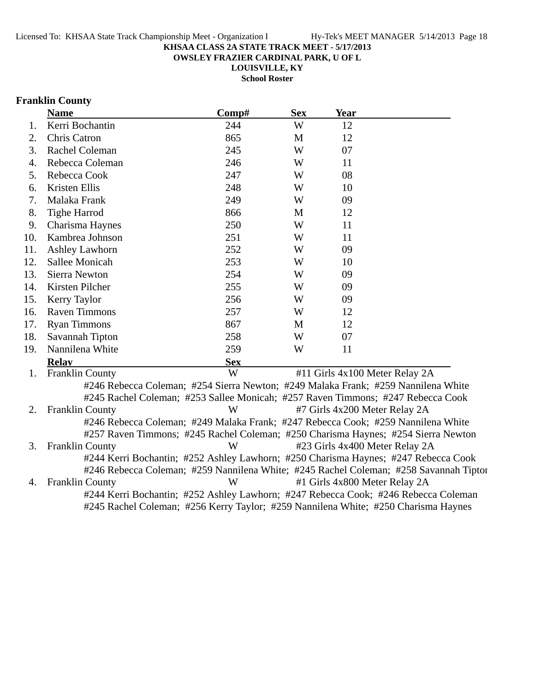**OWSLEY FRAZIER CARDINAL PARK, U OF L**

**LOUISVILLE, KY**

**School Roster**

# **Franklin County**

|     | <b>Name</b>                                                                           | Comp#      | <b>Sex</b> | <b>Year</b>                    |  |
|-----|---------------------------------------------------------------------------------------|------------|------------|--------------------------------|--|
| 1.  | Kerri Bochantin                                                                       | 244        | W          | 12                             |  |
| 2.  | Chris Catron                                                                          | 865        | M          | 12                             |  |
| 3.  | Rachel Coleman                                                                        | 245        | W          | 07                             |  |
| 4.  | Rebecca Coleman                                                                       | 246        | W          | 11                             |  |
| 5.  | Rebecca Cook                                                                          | 247        | W          | 08                             |  |
| 6.  | Kristen Ellis                                                                         | 248        | W          | 10                             |  |
| 7.  | Malaka Frank                                                                          | 249        | W          | 09                             |  |
| 8.  | <b>Tighe Harrod</b>                                                                   | 866        | M          | 12                             |  |
| 9.  | Charisma Haynes                                                                       | 250        | W          | 11                             |  |
| 10. | Kambrea Johnson                                                                       | 251        | W          | 11                             |  |
| 11. | <b>Ashley Lawhorn</b>                                                                 | 252        | W          | 09                             |  |
| 12. | Sallee Monicah                                                                        | 253        | W          | 10                             |  |
| 13. | <b>Sierra Newton</b>                                                                  | 254        | W          | 09                             |  |
| 14. | Kirsten Pilcher                                                                       | 255        | W          | 09                             |  |
| 15. | Kerry Taylor                                                                          | 256        | W          | 09                             |  |
| 16. | <b>Raven Timmons</b>                                                                  | 257        | W          | 12                             |  |
| 17. | <b>Ryan Timmons</b>                                                                   | 867        | M          | 12                             |  |
| 18. | Savannah Tipton                                                                       | 258        | W          | 07                             |  |
| 19. | Nannilena White                                                                       | 259        | W          | 11                             |  |
|     | <b>Relay</b>                                                                          | <b>Sex</b> |            |                                |  |
| 1.  | <b>Franklin County</b>                                                                | W          |            | #11 Girls 4x100 Meter Relay 2A |  |
|     | #246 Rebecca Coleman; #254 Sierra Newton; #249 Malaka Frank; #259 Nannilena White     |            |            |                                |  |
|     | #245 Rachel Coleman; #253 Sallee Monicah; #257 Raven Timmons; #247 Rebecca Cook       |            |            |                                |  |
| 2.  | <b>Franklin County</b>                                                                | W          |            | #7 Girls 4x200 Meter Relay 2A  |  |
|     | #246 Rebecca Coleman; #249 Malaka Frank; #247 Rebecca Cook; #259 Nannilena White      |            |            |                                |  |
|     | #257 Raven Timmons; #245 Rachel Coleman; #250 Charisma Haynes; #254 Sierra Newton     |            |            |                                |  |
| 3.  | <b>Franklin County</b>                                                                | W          |            | #23 Girls 4x400 Meter Relay 2A |  |
|     | #244 Kerri Bochantin; #252 Ashley Lawhorn; #250 Charisma Haynes; #247 Rebecca Cook    |            |            |                                |  |
|     | #246 Rebecca Coleman; #259 Nannilena White; #245 Rachel Coleman; #258 Savannah Tiptor |            |            |                                |  |
| 4.  | <b>Franklin County</b>                                                                | W          |            | #1 Girls 4x800 Meter Relay 2A  |  |
|     | #244 Kerri Bochantin; #252 Ashley Lawhorn; #247 Rebecca Cook; #246 Rebecca Coleman    |            |            |                                |  |
|     | #245 Rachel Coleman; #256 Kerry Taylor; #259 Nannilena White; #250 Charisma Haynes    |            |            |                                |  |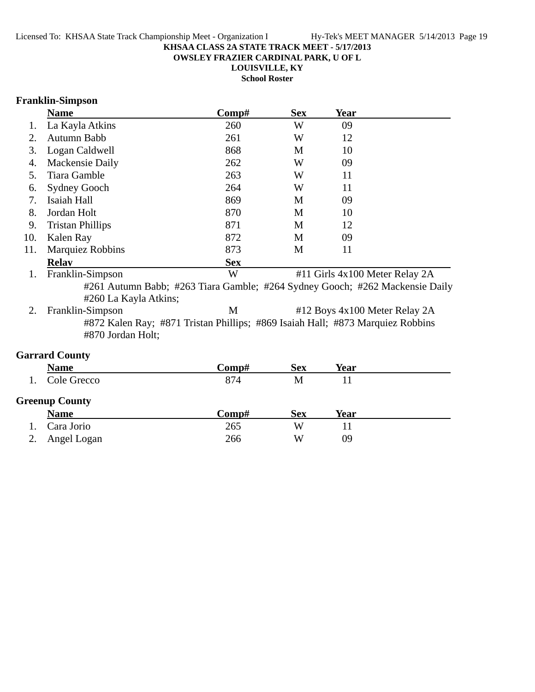**OWSLEY FRAZIER CARDINAL PARK, U OF L**

**LOUISVILLE, KY**

**School Roster**

# **Franklin-Simpson**

|     | <b>Name</b>                                                                                           | Comp#      | <b>Sex</b> | Year |                                |
|-----|-------------------------------------------------------------------------------------------------------|------------|------------|------|--------------------------------|
| 1.  | La Kayla Atkins                                                                                       | 260        | W          | 09   |                                |
| 2.  | Autumn Babb                                                                                           | 261        | W          | 12   |                                |
| 3.  | Logan Caldwell                                                                                        | 868        | M          | 10   |                                |
| 4.  | Mackensie Daily                                                                                       | 262        | W          | 09   |                                |
| 5.  | Tiara Gamble                                                                                          | 263        | W          | 11   |                                |
| 6.  | <b>Sydney Gooch</b>                                                                                   | 264        | W          | 11   |                                |
| 7.  | Isaiah Hall                                                                                           | 869        | M          | 09   |                                |
| 8.  | Jordan Holt                                                                                           | 870        | М          | 10   |                                |
| 9.  | <b>Tristan Phillips</b>                                                                               | 871        | M          | 12   |                                |
| 10. | Kalen Ray                                                                                             | 872        | M          | 09   |                                |
| 11. | <b>Marquiez Robbins</b>                                                                               | 873        | M          | 11   |                                |
|     | <b>Relay</b>                                                                                          | <b>Sex</b> |            |      |                                |
| 1.  | Franklin-Simpson                                                                                      | W          |            |      | #11 Girls 4x100 Meter Relay 2A |
|     | #261 Autumn Babb; #263 Tiara Gamble; #264 Sydney Gooch; #262 Mackensie Daily<br>#260 La Kayla Atkins; |            |            |      |                                |
| 2.  | Franklin-Simpson                                                                                      | M          |            |      | #12 Boys 4x100 Meter Relay 2A  |
|     | #872 Kalen Ray; #871 Tristan Phillips; #869 Isaiah Hall; #873 Marquiez Robbins<br>#870 Jordan Holt;   |            |            |      |                                |

# **Garrard County**

| <b>Name</b>           | Comp# | <b>Sex</b> | Year |  |
|-----------------------|-------|------------|------|--|
| Cole Grecco           | 874   | M          |      |  |
| <b>Greenup County</b> |       |            |      |  |
| <b>Name</b>           | Comp# | <b>Sex</b> | Year |  |
|                       |       |            |      |  |
| Cara Jorio            | 265   | W          |      |  |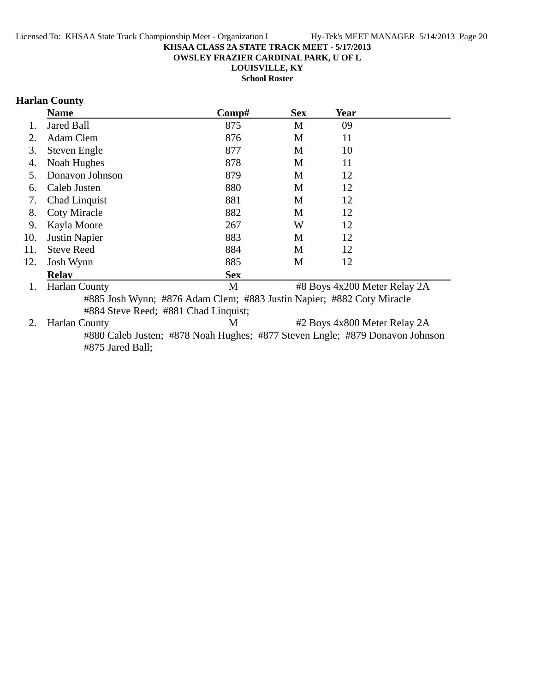**OWSLEY FRAZIER CARDINAL PARK, U OF L**

**LOUISVILLE, KY**

**School Roster**

# **Harlan County**

|     | <b>Name</b>                                                           | Comp#      | <b>Sex</b> | <b>Year</b>                  |  |
|-----|-----------------------------------------------------------------------|------------|------------|------------------------------|--|
| 1.  | <b>Jared Ball</b>                                                     | 875        | М          | 09                           |  |
| 2.  | Adam Clem                                                             | 876        | M          | 11                           |  |
| 3.  | Steven Engle                                                          | 877        | M          | 10                           |  |
| 4.  | Noah Hughes                                                           | 878        | M          | 11                           |  |
| 5.  | Donavon Johnson                                                       | 879        | M          | 12                           |  |
| 6.  | Caleb Justen                                                          | 880        | M          | 12                           |  |
| 7.  | Chad Linquist                                                         | 881        | M          | 12                           |  |
| 8.  | <b>Coty Miracle</b>                                                   | 882        | M          | 12                           |  |
| 9.  | Kayla Moore                                                           | 267        | W          | 12                           |  |
| 10. | <b>Justin Napier</b>                                                  | 883        | M          | 12                           |  |
| 11. | <b>Steve Reed</b>                                                     | 884        | M          | 12                           |  |
| 12. | Josh Wynn                                                             | 885        | M          | 12                           |  |
|     | <b>Relay</b>                                                          | <b>Sex</b> |            |                              |  |
| 1.  | <b>Harlan County</b>                                                  | M          |            | #8 Boys 4x200 Meter Relay 2A |  |
|     | #885 Josh Wynn; #876 Adam Clem; #883 Justin Napier; #882 Coty Miracle |            |            |                              |  |
|     | #884 Steve Reed; #881 Chad Linquist;                                  |            |            |                              |  |

2. Harlan County **1.** M  $\overrightarrow{M}$  #2 Boys 4x800 Meter Relay 2A #880 Caleb Justen; #878 Noah Hughes; #877 Steven Engle; #879 Donavon Johnson #875 Jared Ball;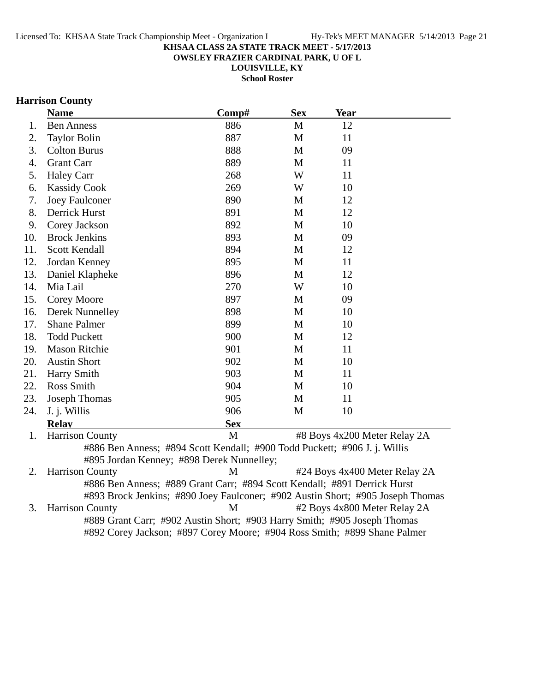**OWSLEY FRAZIER CARDINAL PARK, U OF L**

**LOUISVILLE, KY School Roster**

# **Harrison County**

|     | <b>Name</b>                                                                    | Comp#        | <b>Sex</b>  | <b>Year</b>                   |  |
|-----|--------------------------------------------------------------------------------|--------------|-------------|-------------------------------|--|
| 1.  | <b>Ben Anness</b>                                                              | 886          | $\mathbf M$ | 12                            |  |
| 2.  | <b>Taylor Bolin</b>                                                            | 887          | M           | 11                            |  |
| 3.  | <b>Colton Burus</b>                                                            | 888          | M           | 09                            |  |
| 4.  | <b>Grant Carr</b>                                                              | 889          | M           | 11                            |  |
| 5.  | <b>Haley Carr</b>                                                              | 268          | W           | 11                            |  |
| 6.  | <b>Kassidy Cook</b>                                                            | 269          | W           | 10                            |  |
| 7.  | Joey Faulconer                                                                 | 890          | M           | 12                            |  |
| 8.  | Derrick Hurst                                                                  | 891          | M           | 12                            |  |
| 9.  | Corey Jackson                                                                  | 892          | M           | 10                            |  |
| 10. | <b>Brock Jenkins</b>                                                           | 893          | M           | 09                            |  |
| 11. | Scott Kendall                                                                  | 894          | M           | 12                            |  |
| 12. | Jordan Kenney                                                                  | 895          | M           | 11                            |  |
| 13. | Daniel Klapheke                                                                | 896          | M           | 12                            |  |
| 14. | Mia Lail                                                                       | 270          | W           | 10                            |  |
| 15. | <b>Corey Moore</b>                                                             | 897          | M           | 09                            |  |
| 16. | Derek Nunnelley                                                                | 898          | M           | 10                            |  |
| 17. | <b>Shane Palmer</b>                                                            | 899          | M           | 10                            |  |
| 18. | <b>Todd Puckett</b>                                                            | 900          | M           | 12                            |  |
| 19. | <b>Mason Ritchie</b>                                                           | 901          | M           | 11                            |  |
| 20. | <b>Austin Short</b>                                                            | 902          | M           | 10                            |  |
| 21. | Harry Smith                                                                    | 903          | M           | 11                            |  |
| 22. | Ross Smith                                                                     | 904          | M           | 10                            |  |
| 23. | <b>Joseph Thomas</b>                                                           | 905          | M           | 11                            |  |
| 24. | J. j. Willis                                                                   | 906          | M           | 10                            |  |
|     | <b>Relav</b>                                                                   | <b>Sex</b>   |             |                               |  |
| 1.  | <b>Harrison County</b>                                                         | $\mathbf{M}$ |             | #8 Boys 4x200 Meter Relay 2A  |  |
|     | #886 Ben Anness; #894 Scott Kendall; #900 Todd Puckett; #906 J. j. Willis      |              |             |                               |  |
|     | #895 Jordan Kenney; #898 Derek Nunnelley;                                      |              |             |                               |  |
| 2.  | <b>Harrison County</b>                                                         | M            |             | #24 Boys 4x400 Meter Relay 2A |  |
|     | #886 Ben Anness; #889 Grant Carr; #894 Scott Kendall; #891 Derrick Hurst       |              |             |                               |  |
|     | #893 Brock Jenkins; #890 Joey Faulconer; #902 Austin Short; #905 Joseph Thomas |              |             |                               |  |
| 3.  | <b>Harrison County</b>                                                         | M            |             | #2 Boys 4x800 Meter Relay 2A  |  |
|     | #889 Grant Carr; #902 Austin Short; #903 Harry Smith; #905 Joseph Thomas       |              |             |                               |  |
|     | #892 Corey Jackson; #897 Corey Moore; #904 Ross Smith; #899 Shane Palmer       |              |             |                               |  |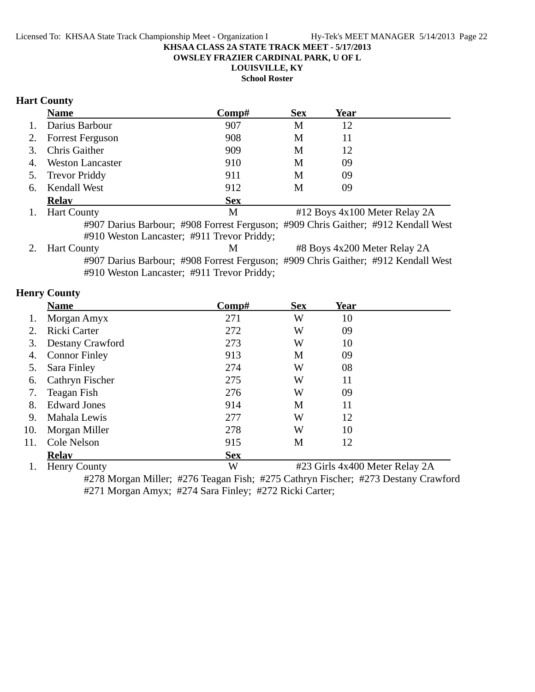**OWSLEY FRAZIER CARDINAL PARK, U OF L**

**LOUISVILLE, KY**

**School Roster**

# **Hart County**

|    | <b>Name</b>             | $\bf Comp\#$                                                                      | <b>Sex</b> | Year |                               |
|----|-------------------------|-----------------------------------------------------------------------------------|------------|------|-------------------------------|
|    | Darius Barbour          | 907                                                                               | M          | 12   |                               |
|    | <b>Forrest Ferguson</b> | 908                                                                               | M          | 11   |                               |
| 3. | <b>Chris Gaither</b>    | 909                                                                               | M          | 12   |                               |
| 4. | <b>Weston Lancaster</b> | 910                                                                               | M          | 09   |                               |
| 5. | <b>Trevor Priddy</b>    | 911                                                                               | M          | 09   |                               |
| 6. | <b>Kendall West</b>     | 912                                                                               | M          | 09   |                               |
|    | <b>Relav</b>            | <b>Sex</b>                                                                        |            |      |                               |
|    | <b>Hart County</b>      | M                                                                                 |            |      | #12 Boys 4x100 Meter Relay 2A |
|    |                         | #907 Darius Barbour; #908 Forrest Ferguson; #909 Chris Gaither; #912 Kendall West |            |      |                               |
|    |                         | #910 Weston Lancaster; #911 Trevor Priddy;                                        |            |      |                               |
|    | <b>Hart County</b>      | M                                                                                 |            |      | #8 Boys 4x200 Meter Relay 2A  |
|    |                         | #907 Darius Barbour; #908 Forrest Ferguson; #909 Chris Gaither; #912 Kendall West |            |      |                               |

#910 Weston Lancaster; #911 Trevor Priddy;

# **Henry County**

|     | <b>Name</b>            | $\bf Comp\#$ | <b>Sex</b> | <b>Year</b>                    |  |
|-----|------------------------|--------------|------------|--------------------------------|--|
|     | Morgan Amyx            | 271          | W          | 10                             |  |
|     | Ricki Carter           | 272          | W          | 09                             |  |
| 3.  | Destany Crawford       | 273          | W          | 10                             |  |
| 4.  | <b>Connor Finley</b>   | 913          | M          | 09                             |  |
| 5.  | Sara Finley            | 274          | W          | 08                             |  |
| 6.  | <b>Cathryn Fischer</b> | 275          | W          | 11                             |  |
| 7.  | Teagan Fish            | 276          | W          | 09                             |  |
| 8.  | <b>Edward Jones</b>    | 914          | M          | 11                             |  |
| 9.  | Mahala Lewis           | 277          | W          | 12                             |  |
| 10. | Morgan Miller          | 278          | W          | 10                             |  |
| 11. | Cole Nelson            | 915          | M          | 12                             |  |
|     | <b>Relav</b>           | <b>Sex</b>   |            |                                |  |
|     | <b>Henry County</b>    | W            |            | #23 Girls 4x400 Meter Relay 2A |  |

#278 Morgan Miller; #276 Teagan Fish; #275 Cathryn Fischer; #273 Destany Crawford #271 Morgan Amyx; #274 Sara Finley; #272 Ricki Carter;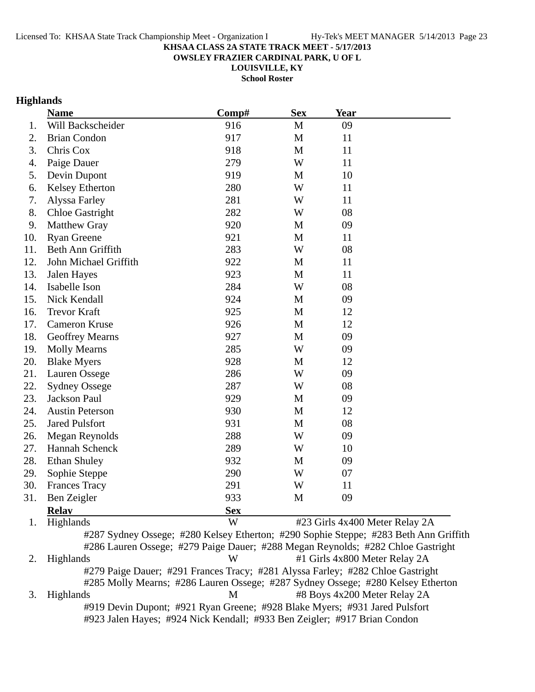**OWSLEY FRAZIER CARDINAL PARK, U OF L**

**LOUISVILLE, KY**

**School Roster**

# **Highlands**

|     | <b>Name</b>            | Comp#      | <b>Sex</b>   | <b>Year</b>                    |  |
|-----|------------------------|------------|--------------|--------------------------------|--|
| 1.  | Will Backscheider      | 916        | $\mathbf M$  | 09                             |  |
| 2.  | <b>Brian Condon</b>    | 917        | M            | 11                             |  |
| 3.  | Chris Cox              | 918        | M            | 11                             |  |
| 4.  | Paige Dauer            | 279        | W            | 11                             |  |
| 5.  | Devin Dupont           | 919        | M            | 10                             |  |
| 6.  | Kelsey Etherton        | 280        | W            | 11                             |  |
| 7.  | Alyssa Farley          | 281        | W            | 11                             |  |
| 8.  | <b>Chloe Gastright</b> | 282        | W            | 08                             |  |
| 9.  | Matthew Gray           | 920        | M            | 09                             |  |
| 10. | <b>Ryan Greene</b>     | 921        | M            | 11                             |  |
| 11. | Beth Ann Griffith      | 283        | W            | 08                             |  |
| 12. | John Michael Griffith  | 922        | M            | 11                             |  |
| 13. | Jalen Hayes            | 923        | M            | 11                             |  |
| 14. | Isabelle Ison          | 284        | W            | 08                             |  |
| 15. | Nick Kendall           | 924        | M            | 09                             |  |
| 16. | <b>Trevor Kraft</b>    | 925        | M            | 12                             |  |
| 17. | Cameron Kruse          | 926        | M            | 12                             |  |
| 18. | <b>Geoffrey Mearns</b> | 927        | M            | 09                             |  |
| 19. | <b>Molly Mearns</b>    | 285        | W            | 09                             |  |
| 20. | <b>Blake Myers</b>     | 928        | M            | 12                             |  |
| 21. | Lauren Ossege          | 286        | W            | 09                             |  |
| 22. | <b>Sydney Ossege</b>   | 287        | W            | 08                             |  |
| 23. | Jackson Paul           | 929        | M            | 09                             |  |
| 24. | <b>Austin Peterson</b> | 930        | M            | 12                             |  |
| 25. | <b>Jared Pulsfort</b>  | 931        | M            | 08                             |  |
| 26. | Megan Reynolds         | 288        | W            | 09                             |  |
| 27. | Hannah Schenck         | 289        | W            | 10                             |  |
| 28. | <b>Ethan Shuley</b>    | 932        | M            | 09                             |  |
| 29. | Sophie Steppe          | 290        | W            | 07                             |  |
| 30. | <b>Frances Tracy</b>   | 291        | W            | 11                             |  |
| 31. | Ben Zeigler            | 933        | $\mathbf{M}$ | 09                             |  |
|     | <b>Relay</b>           | <b>Sex</b> |              |                                |  |
| 1.  | Highlands              | W          |              | #23 Girls 4x400 Meter Relay 2A |  |

#287 Sydney Ossege; #280 Kelsey Etherton; #290 Sophie Steppe; #283 Beth Ann Griffith #286 Lauren Ossege; #279 Paige Dauer; #288 Megan Reynolds; #282 Chloe Gastright 2. Highlands W #1 Girls 4x800 Meter Relay 2A #279 Paige Dauer; #291 Frances Tracy; #281 Alyssa Farley; #282 Chloe Gastright #285 Molly Mearns; #286 Lauren Ossege; #287 Sydney Ossege; #280 Kelsey Etherton 3. Highlands M #8 Boys 4x200 Meter Relay 2A #919 Devin Dupont; #921 Ryan Greene; #928 Blake Myers; #931 Jared Pulsfort #923 Jalen Hayes; #924 Nick Kendall; #933 Ben Zeigler; #917 Brian Condon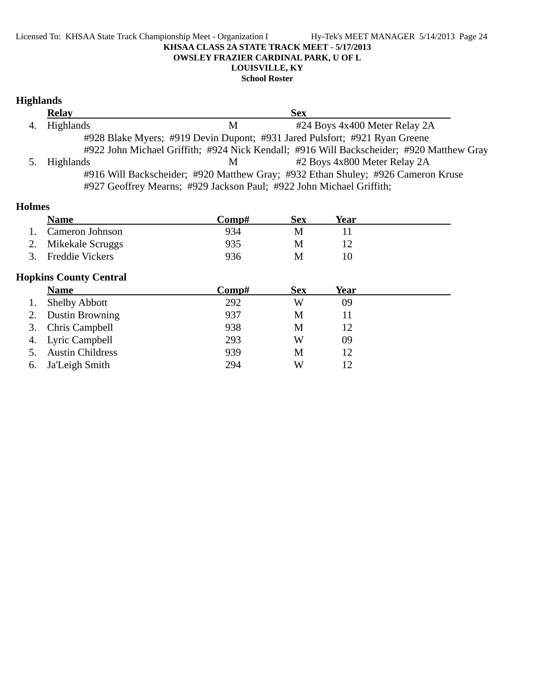#### Licensed To: KHSAA State Track Championship Meet - Organization I Hy-Tek's MEET MANAGER 5/14/2013 Page 24 **KHSAA CLASS 2A STATE TRACK MEET - 5/17/2013 OWSLEY FRAZIER CARDINAL PARK, U OF L LOUISVILLE, KY**

**School Roster**

# **Highlands**

|    | <b>Relay</b> | <b>Sex</b>                                                                               |  |
|----|--------------|------------------------------------------------------------------------------------------|--|
| 4. | Highlands    | #24 Boys 4x400 Meter Relay 2A<br>M                                                       |  |
|    |              | #928 Blake Myers; #919 Devin Dupont; #931 Jared Pulsfort; #921 Ryan Greene               |  |
|    |              | #922 John Michael Griffith; #924 Nick Kendall; #916 Will Backscheider; #920 Matthew Gray |  |
| 5. | Highlands    | #2 Boys 4x800 Meter Relay 2A<br>M                                                        |  |
|    |              | #916 Will Backscheider; #920 Matthew Gray; #932 Ethan Shuley; #926 Cameron Kruse         |  |
|    |              | #927 Geoffrey Mearns; #929 Jackson Paul; #922 John Michael Griffith;                     |  |

# **Holmes**

| <b>Name</b>         | Comp# | Sex | Year |  |
|---------------------|-------|-----|------|--|
| Cameron Johnson     | 934   | M   |      |  |
| 2. Mikekale Scruggs | 935   |     |      |  |
| 3. Freddie Vickers  | 936   |     |      |  |

# **Hopkins County Central**

|    | <b>Name</b>             | Comp# | <b>Sex</b> | Year |  |
|----|-------------------------|-------|------------|------|--|
|    | <b>Shelby Abbott</b>    | 292   | W          | 09   |  |
|    | Dustin Browning         | 937   | М          |      |  |
|    | 3. Chris Campbell       | 938   | М          | 12   |  |
|    | 4. Lyric Campbell       | 293   | W          | 09   |  |
|    | <b>Austin Childress</b> | 939   | М          | 12   |  |
| 6. | Ja'Leigh Smith          | 294   | W          |      |  |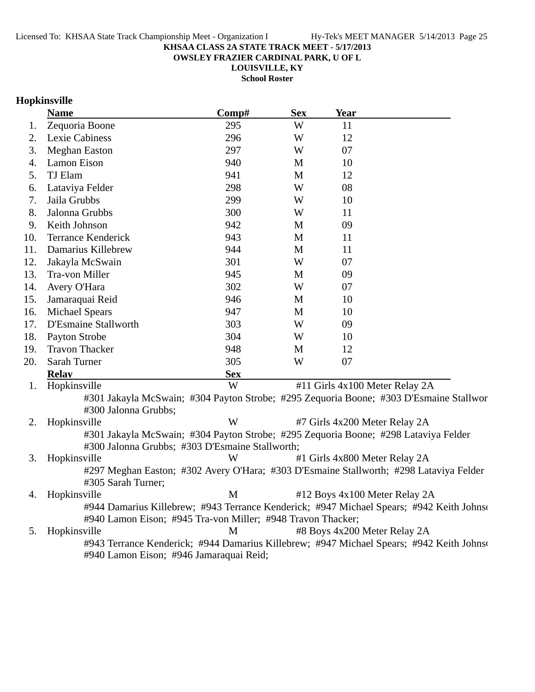**OWSLEY FRAZIER CARDINAL PARK, U OF L**

**LOUISVILLE, KY**

**School Roster**

# **Hopkinsville**

|     | <b>Name</b>                                                                                                  | Comp#      | <b>Sex</b>  | <b>Year</b> |                                                                                           |
|-----|--------------------------------------------------------------------------------------------------------------|------------|-------------|-------------|-------------------------------------------------------------------------------------------|
| 1.  | Zequoria Boone                                                                                               | 295        | W           | 11          |                                                                                           |
| 2.  | Lexie Cabiness                                                                                               | 296        | W           | 12          |                                                                                           |
| 3.  | <b>Meghan Easton</b>                                                                                         | 297        | W           | 07          |                                                                                           |
| 4.  | Lamon Eison                                                                                                  | 940        | M           | 10          |                                                                                           |
| 5.  | TJ Elam                                                                                                      | 941        | $\mathbf M$ | 12          |                                                                                           |
| 6.  | Lataviya Felder                                                                                              | 298        | W           | 08          |                                                                                           |
| 7.  | Jaila Grubbs                                                                                                 | 299        | W           | 10          |                                                                                           |
| 8.  | Jalonna Grubbs                                                                                               | 300        | W           | 11          |                                                                                           |
| 9.  | Keith Johnson                                                                                                | 942        | M           | 09          |                                                                                           |
| 10. | <b>Terrance Kenderick</b>                                                                                    | 943        | M           | 11          |                                                                                           |
| 11. | Damarius Killebrew                                                                                           | 944        | M           | 11          |                                                                                           |
| 12. | Jakayla McSwain                                                                                              | 301        | W           | 07          |                                                                                           |
| 13. | Tra-von Miller                                                                                               | 945        | M           | 09          |                                                                                           |
| 14. | Avery O'Hara                                                                                                 | 302        | W           | 07          |                                                                                           |
| 15. | Jamaraquai Reid                                                                                              | 946        | M           | 10          |                                                                                           |
| 16. | <b>Michael Spears</b>                                                                                        | 947        | M           | 10          |                                                                                           |
| 17. | D'Esmaine Stallworth                                                                                         | 303        | W           | 09          |                                                                                           |
| 18. | Payton Strobe                                                                                                | 304        | W           | 10          |                                                                                           |
| 19. | <b>Travon Thacker</b>                                                                                        | 948        | M           | 12          |                                                                                           |
| 20. | Sarah Turner                                                                                                 | 305        | W           | 07          |                                                                                           |
|     | <b>Relay</b>                                                                                                 | <b>Sex</b> |             |             |                                                                                           |
| 1.  | Hopkinsville                                                                                                 | W          |             |             | #11 Girls 4x100 Meter Relay 2A                                                            |
|     |                                                                                                              |            |             |             | #301 Jakayla McSwain; #304 Payton Strobe; #295 Zequoria Boone; #303 D'Esmaine Stallwor    |
|     | #300 Jalonna Grubbs;                                                                                         |            |             |             |                                                                                           |
| 2.  | Hopkinsville                                                                                                 | W          |             |             | #7 Girls 4x200 Meter Relay 2A                                                             |
|     | #301 Jakayla McSwain; #304 Payton Strobe; #295 Zequoria Boone; #298 Lataviya Felder                          |            |             |             |                                                                                           |
|     | #300 Jalonna Grubbs; #303 D'Esmaine Stallworth;                                                              | W          |             |             |                                                                                           |
| 3.  | Hopkinsville                                                                                                 |            |             |             | #1 Girls 4x800 Meter Relay 2A                                                             |
|     | #297 Meghan Easton; #302 Avery O'Hara; #303 D'Esmaine Stallworth; #298 Lataviya Felder<br>#305 Sarah Turner; |            |             |             |                                                                                           |
| 4.  | Hopkinsville                                                                                                 | M          |             |             | #12 Boys 4x100 Meter Relay 2A                                                             |
|     |                                                                                                              |            |             |             | #944 Damarius Killebrew; #943 Terrance Kenderick; #947 Michael Spears; #942 Keith Johnson |
|     | #940 Lamon Eison; #945 Tra-von Miller; #948 Travon Thacker;                                                  |            |             |             |                                                                                           |
| 5.  | Hopkinsville                                                                                                 | M          |             |             | #8 Boys 4x200 Meter Relay 2A                                                              |
|     |                                                                                                              |            |             |             | #943 Terrance Kenderick; #944 Damarius Killebrew; #947 Michael Spears; #942 Keith Johnson |
|     | #940 Lamon Eison; #946 Jamaraquai Reid;                                                                      |            |             |             |                                                                                           |
|     |                                                                                                              |            |             |             |                                                                                           |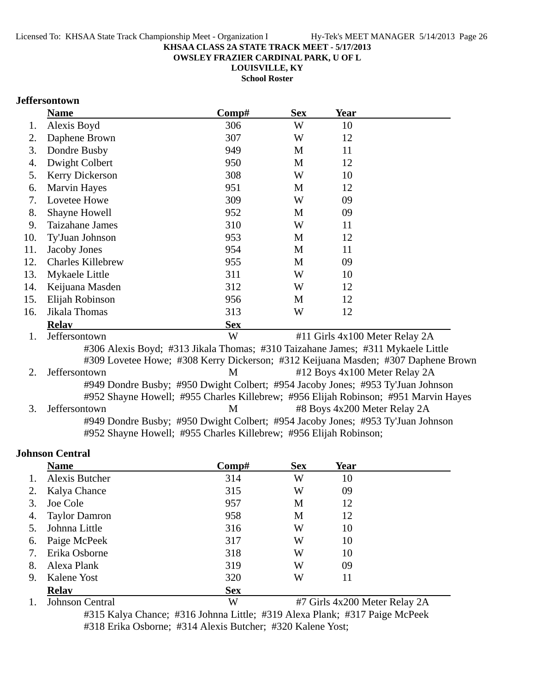**OWSLEY FRAZIER CARDINAL PARK, U OF L**

**LOUISVILLE, KY**

**School Roster**

# **Jeffersontown**

|     | <b>Name</b>              | Comp#                                                                              | <b>Sex</b> | Year                           |  |
|-----|--------------------------|------------------------------------------------------------------------------------|------------|--------------------------------|--|
| 1.  | Alexis Boyd              | 306                                                                                | W          | 10                             |  |
| 2.  | Daphene Brown            | 307                                                                                | W          | 12                             |  |
| 3.  | Dondre Busby             | 949                                                                                | M          | 11                             |  |
| 4.  | Dwight Colbert           | 950                                                                                | M          | 12                             |  |
| 5.  | <b>Kerry Dickerson</b>   | 308                                                                                | W          | 10                             |  |
| 6.  | <b>Marvin Hayes</b>      | 951                                                                                | M          | 12                             |  |
| 7.  | Lovetee Howe             | 309                                                                                | W          | 09                             |  |
| 8.  | Shayne Howell            | 952                                                                                | M          | 09                             |  |
| 9.  | Taizahane James          | 310                                                                                | W          | 11                             |  |
| 10. | Ty'Juan Johnson          | 953                                                                                | M          | 12                             |  |
| 11. | Jacoby Jones             | 954                                                                                | M          | 11                             |  |
| 12. | <b>Charles Killebrew</b> | 955                                                                                | M          | 09                             |  |
| 13. | Mykaele Little           | 311                                                                                | W          | 10                             |  |
| 14. | Keijuana Masden          | 312                                                                                | W          | 12                             |  |
| 15. | Elijah Robinson          | 956                                                                                | M          | 12                             |  |
| 16. | Jikala Thomas            | 313                                                                                | W          | 12                             |  |
|     | <b>Relav</b>             | <b>Sex</b>                                                                         |            |                                |  |
| 1.  | Jeffersontown            | W                                                                                  |            | #11 Girls 4x100 Meter Relay 2A |  |
|     |                          | 4206. A levia Devid, 4212 Elvele Themse, 4210 Teighema Leman, 4211 Medicale Little |            |                                |  |

#306 Alexis Boyd; #313 Jikala Thomas; #310 Taizahane James; #311 Mykaele Little #309 Lovetee Howe; #308 Kerry Dickerson; #312 Keijuana Masden; #307 Daphene Brown 2. Jeffersontown M #12 Boys 4x100 Meter Relay 2A #949 Dondre Busby; #950 Dwight Colbert; #954 Jacoby Jones; #953 Ty'Juan Johnson #952 Shayne Howell; #955 Charles Killebrew; #956 Elijah Robinson; #951 Marvin Hayes 3. Jeffersontown M #8 Boys 4x200 Meter Relay 2A #949 Dondre Busby; #950 Dwight Colbert; #954 Jacoby Jones; #953 Ty'Juan Johnson #952 Shayne Howell; #955 Charles Killebrew; #956 Elijah Robinson;

# **Johnson Central**

|    | <b>Name</b>          | $\bf Comp\#$ | <b>Sex</b> | Year |  |
|----|----------------------|--------------|------------|------|--|
|    | Alexis Butcher       | 314          | W          | 10   |  |
| 2. | Kalya Chance         | 315          | W          | 09   |  |
| 3. | Joe Cole             | 957          | M          | 12   |  |
| 4. | <b>Taylor Damron</b> | 958          | M          | 12   |  |
| 5. | Johnna Little        | 316          | W          | 10   |  |
| 6. | Paige McPeek         | 317          | W          | 10   |  |
| 7. | Erika Osborne        | 318          | W          | 10   |  |
| 8. | Alexa Plank          | 319          | W          | 09   |  |
| 9. | Kalene Yost          | 320          | W          | 11   |  |
|    | <b>Relay</b>         | <b>Sex</b>   |            |      |  |

1. Johnson Central W #7 Girls 4x200 Meter Relay 2A

#315 Kalya Chance; #316 Johnna Little; #319 Alexa Plank; #317 Paige McPeek #318 Erika Osborne; #314 Alexis Butcher; #320 Kalene Yost;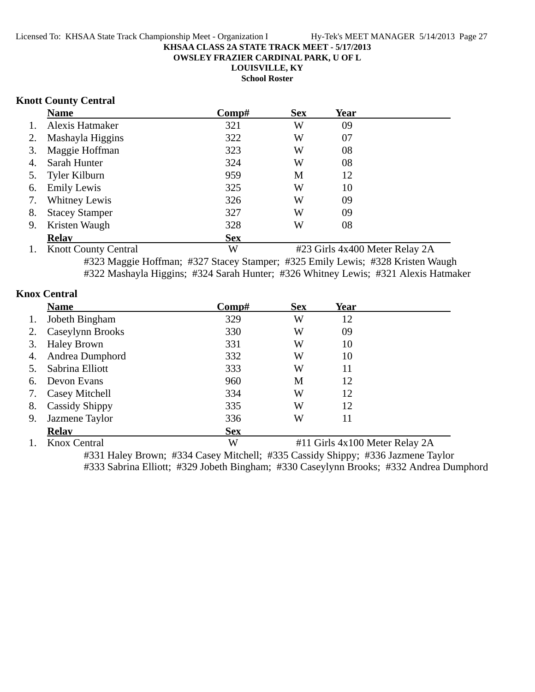**OWSLEY FRAZIER CARDINAL PARK, U OF L**

**LOUISVILLE, KY**

**School Roster**

# **Knott County Central**

|    | <b>Name</b>           | Comp#      | <b>Sex</b> | Year |  |
|----|-----------------------|------------|------------|------|--|
| 1. | Alexis Hatmaker       | 321        | W          | 09   |  |
| 2. | Mashayla Higgins      | 322        | W          | 07   |  |
| 3. | Maggie Hoffman        | 323        | W          | 08   |  |
| 4. | Sarah Hunter          | 324        | W          | 08   |  |
|    | 5. Tyler Kilburn      | 959        | M          | 12   |  |
| 6. | <b>Emily Lewis</b>    | 325        | W          | 10   |  |
| 7. | Whitney Lewis         | 326        | W          | 09   |  |
| 8. | <b>Stacey Stamper</b> | 327        | W          | 09   |  |
| 9. | Kristen Waugh         | 328        | W          | 08   |  |
|    | <b>Relav</b>          | <b>Sex</b> |            |      |  |

1. Knott County Central W #23 Girls 4x400 Meter Relay 2A #323 Maggie Hoffman; #327 Stacey Stamper; #325 Emily Lewis; #328 Kristen Waugh #322 Mashayla Higgins; #324 Sarah Hunter; #326 Whitney Lewis; #321 Alexis Hatmaker

# **Knox Central**

|    | <b>Name</b>           | Comp#      | <b>Sex</b> | Year                           |  |
|----|-----------------------|------------|------------|--------------------------------|--|
| 1. | Jobeth Bingham        | 329        | W          | 12                             |  |
| 2. | Caseylynn Brooks      | 330        | W          | 09                             |  |
| 3. | <b>Haley Brown</b>    | 331        | W          | 10                             |  |
| 4. | Andrea Dumphord       | 332        | W          | 10                             |  |
| 5. | Sabrina Elliott       | 333        | W          | 11                             |  |
| 6. | Devon Evans           | 960        | M          | 12                             |  |
| 7. | Casey Mitchell        | 334        | W          | 12                             |  |
| 8. | <b>Cassidy Shippy</b> | 335        | W          | 12                             |  |
| 9. | Jazmene Taylor        | 336        | W          | 11                             |  |
|    | <b>Relav</b>          | <b>Sex</b> |            |                                |  |
|    | Knox Central          | W          |            | #11 Girls 4x100 Meter Relay 2A |  |

#331 Haley Brown; #334 Casey Mitchell; #335 Cassidy Shippy; #336 Jazmene Taylor #333 Sabrina Elliott; #329 Jobeth Bingham; #330 Caseylynn Brooks; #332 Andrea Dumphord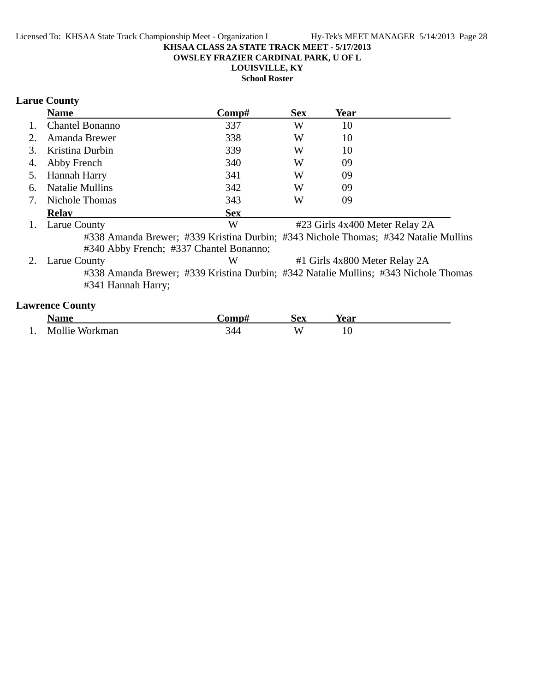**OWSLEY FRAZIER CARDINAL PARK, U OF L**

**LOUISVILLE, KY**

**School Roster**

# **Larue County**

|    | <b>Name</b>                             | Comp#                                                                               | <b>Sex</b> | Year                           |  |
|----|-----------------------------------------|-------------------------------------------------------------------------------------|------------|--------------------------------|--|
| 1. | <b>Chantel Bonanno</b>                  | 337                                                                                 | W          | 10                             |  |
| 2. | Amanda Brewer                           | 338                                                                                 | W          | 10                             |  |
| 3. | Kristina Durbin                         | 339                                                                                 | W          | 10                             |  |
| 4. | Abby French                             | 340                                                                                 | W          | 09                             |  |
| 5. | Hannah Harry                            | 341                                                                                 | W          | 09                             |  |
| 6. | <b>Natalie Mullins</b>                  | 342                                                                                 | W          | 09                             |  |
| 7. | Nichole Thomas                          | 343                                                                                 | W          | 09                             |  |
|    | <b>Relay</b>                            | <b>Sex</b>                                                                          |            |                                |  |
| 1. | Larue County                            | W                                                                                   |            | #23 Girls 4x400 Meter Relay 2A |  |
|    |                                         | #338 Amanda Brewer; #339 Kristina Durbin; #343 Nichole Thomas; #342 Natalie Mullins |            |                                |  |
|    | #340 Abby French; #337 Chantel Bonanno; |                                                                                     |            |                                |  |
| 2. | Larue County                            | W                                                                                   |            | #1 Girls 4x800 Meter Relay 2A  |  |
|    |                                         | #338 Amanda Brewer; #339 Kristina Durbin; #342 Natalie Mullins; #343 Nichole Thomas |            |                                |  |
|    | #341 Hannah Harry;                      |                                                                                     |            |                                |  |
|    | <b>Lawrence County</b>                  |                                                                                     |            |                                |  |

|     | <b>Name</b>    | -`omp# | Sex | rear |  |
|-----|----------------|--------|-----|------|--|
| . . | Mollie Workman | 344    | W   | 1 V  |  |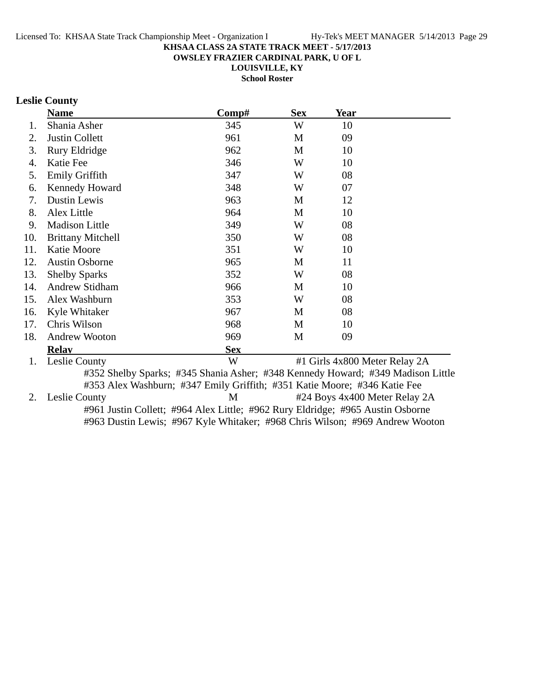**OWSLEY FRAZIER CARDINAL PARK, U OF L**

**LOUISVILLE, KY**

**School Roster**

# **Leslie County**

|     | <b>Name</b>              | Comp#                                                                           | <b>Sex</b> | Year                          |  |
|-----|--------------------------|---------------------------------------------------------------------------------|------------|-------------------------------|--|
| 1.  | Shania Asher             | 345                                                                             | W          | 10                            |  |
| 2.  | <b>Justin Collett</b>    | 961                                                                             | M          | 09                            |  |
| 3.  | Rury Eldridge            | 962                                                                             | M          | 10                            |  |
| 4.  | Katie Fee                | 346                                                                             | W          | 10                            |  |
| 5.  | Emily Griffith           | 347                                                                             | W          | 08                            |  |
| 6.  | Kennedy Howard           | 348                                                                             | W          | 07                            |  |
| 7.  | Dustin Lewis             | 963                                                                             | M          | 12                            |  |
| 8.  | Alex Little              | 964                                                                             | M          | 10                            |  |
| 9.  | <b>Madison Little</b>    | 349                                                                             | W          | 08                            |  |
| 10. | <b>Brittany Mitchell</b> | 350                                                                             | W          | 08                            |  |
| 11. | Katie Moore              | 351                                                                             | W          | 10                            |  |
| 12. | <b>Austin Osborne</b>    | 965                                                                             | M          | 11                            |  |
| 13. | <b>Shelby Sparks</b>     | 352                                                                             | W          | 08                            |  |
| 14. | Andrew Stidham           | 966                                                                             | M          | 10                            |  |
| 15. | Alex Washburn            | 353                                                                             | W          | 08                            |  |
| 16. | Kyle Whitaker            | 967                                                                             | M          | 08                            |  |
| 17. | Chris Wilson             | 968                                                                             | M          | 10                            |  |
| 18. | <b>Andrew Wooton</b>     | 969                                                                             | M          | 09                            |  |
|     | <b>Relay</b>             | <b>Sex</b>                                                                      |            |                               |  |
| 1.  | Leslie County            | W                                                                               |            | #1 Girls 4x800 Meter Relay 2A |  |
|     |                          | #352 Shelby Sparks; #345 Shania Asher; #348 Kennedy Howard; #349 Madison Little |            |                               |  |
|     |                          | #353 Alex Washburn; #347 Emily Griffith; #351 Katie Moore; #346 Katie Fee       |            |                               |  |
| 2.  | Leslie County            | M                                                                               |            | #24 Boys 4x400 Meter Relay 2A |  |
|     |                          | #961 Justin Collett; #964 Alex Little; #962 Rury Eldridge; #965 Austin Osborne  |            |                               |  |

#963 Dustin Lewis; #967 Kyle Whitaker; #968 Chris Wilson; #969 Andrew Wooton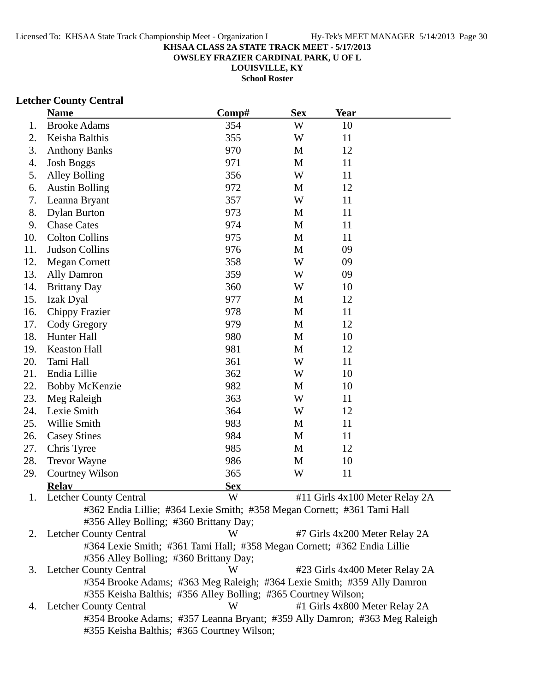**OWSLEY FRAZIER CARDINAL PARK, U OF L**

**LOUISVILLE, KY School Roster**

# **Letcher County Central**

|     | <b>Name</b>                                                               | Comp#      | <b>Sex</b>  | <b>Year</b> |                                |
|-----|---------------------------------------------------------------------------|------------|-------------|-------------|--------------------------------|
| 1.  | <b>Brooke Adams</b>                                                       | 354        | W           | 10          |                                |
| 2.  | Keisha Balthis                                                            | 355        | W           | 11          |                                |
| 3.  | <b>Anthony Banks</b>                                                      | 970        | M           | 12          |                                |
| 4.  | <b>Josh Boggs</b>                                                         | 971        | M           | 11          |                                |
| 5.  | <b>Alley Bolling</b>                                                      | 356        | W           | 11          |                                |
| 6.  | <b>Austin Bolling</b>                                                     | 972        | M           | 12          |                                |
| 7.  | Leanna Bryant                                                             | 357        | W           | 11          |                                |
| 8.  | <b>Dylan Burton</b>                                                       | 973        | M           | 11          |                                |
| 9.  | <b>Chase Cates</b>                                                        | 974        | M           | 11          |                                |
| 10. | <b>Colton Collins</b>                                                     | 975        | M           | 11          |                                |
| 11. | <b>Judson Collins</b>                                                     | 976        | M           | 09          |                                |
| 12. | <b>Megan Cornett</b>                                                      | 358        | W           | 09          |                                |
| 13. | Ally Damron                                                               | 359        | W           | 09          |                                |
| 14. | <b>Brittany Day</b>                                                       | 360        | W           | 10          |                                |
| 15. | Izak Dyal                                                                 | 977        | M           | 12          |                                |
| 16. | <b>Chippy Frazier</b>                                                     | 978        | M           | 11          |                                |
| 17. | Cody Gregory                                                              | 979        | M           | 12          |                                |
| 18. | Hunter Hall                                                               | 980        | M           | 10          |                                |
| 19. | <b>Keaston Hall</b>                                                       | 981        | $\mathbf M$ | 12          |                                |
| 20. | Tami Hall                                                                 | 361        | W           | 11          |                                |
| 21. | Endia Lillie                                                              | 362        | W           | 10          |                                |
| 22. | <b>Bobby McKenzie</b>                                                     | 982        | M           | 10          |                                |
| 23. | Meg Raleigh                                                               | 363        | W           | 11          |                                |
| 24. | Lexie Smith                                                               | 364        | W           | 12          |                                |
| 25. | Willie Smith                                                              | 983        | M           | 11          |                                |
| 26. | <b>Casey Stines</b>                                                       | 984        | M           | 11          |                                |
| 27. | Chris Tyree                                                               | 985        | M           | 12          |                                |
| 28. | <b>Trevor Wayne</b>                                                       | 986        | M           | 10          |                                |
| 29. | <b>Courtney Wilson</b>                                                    | 365        | W           | 11          |                                |
|     | <b>Relay</b>                                                              | <b>Sex</b> |             |             |                                |
| 1.  | <b>Letcher County Central</b>                                             | W          |             |             | #11 Girls 4x100 Meter Relay 2A |
|     | #362 Endia Lillie; #364 Lexie Smith; #358 Megan Cornett; #361 Tami Hall   |            |             |             |                                |
|     | #356 Alley Bolling; #360 Brittany Day;                                    |            |             |             |                                |
|     | 2. Letcher County Central                                                 | W          |             |             | #7 Girls 4x200 Meter Relay 2A  |
|     | #364 Lexie Smith; #361 Tami Hall; #358 Megan Cornett; #362 Endia Lillie   |            |             |             |                                |
|     | #356 Alley Bolling; #360 Brittany Day;                                    |            |             |             |                                |
| 3.  | <b>Letcher County Central</b>                                             | W          |             |             | #23 Girls 4x400 Meter Relay 2A |
|     | #354 Brooke Adams; #363 Meg Raleigh; #364 Lexie Smith; #359 Ally Damron   |            |             |             |                                |
|     | #355 Keisha Balthis; #356 Alley Bolling; #365 Courtney Wilson;            | W          |             |             |                                |
| 4.  | <b>Letcher County Central</b>                                             |            |             |             | #1 Girls 4x800 Meter Relay 2A  |
|     | #354 Brooke Adams; #357 Leanna Bryant; #359 Ally Damron; #363 Meg Raleigh |            |             |             |                                |
|     | #355 Keisha Balthis; #365 Courtney Wilson;                                |            |             |             |                                |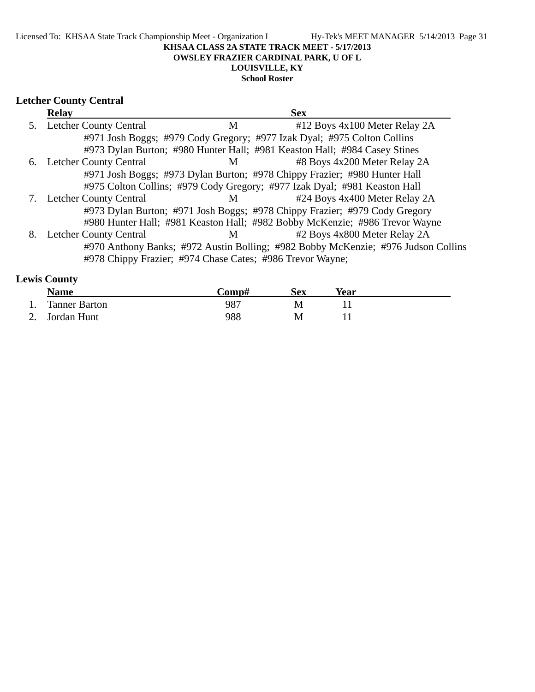# **Letcher County Central**

|    | <b>Relay</b>                                              |   | <b>Sex</b>                                                                        |
|----|-----------------------------------------------------------|---|-----------------------------------------------------------------------------------|
| 5. | <b>Letcher County Central</b>                             | M | #12 Boys 4x100 Meter Relay 2A                                                     |
|    |                                                           |   | #971 Josh Boggs; #979 Cody Gregory; #977 Izak Dyal; #975 Colton Collins           |
|    |                                                           |   | #973 Dylan Burton; #980 Hunter Hall; #981 Keaston Hall; #984 Casey Stines         |
| 6. | <b>Letcher County Central</b>                             | M | #8 Boys 4x200 Meter Relay 2A                                                      |
|    |                                                           |   | #971 Josh Boggs; #973 Dylan Burton; #978 Chippy Frazier; #980 Hunter Hall         |
|    |                                                           |   | #975 Colton Collins; #979 Cody Gregory; #977 Izak Dyal; #981 Keaston Hall         |
|    | 7. Letcher County Central                                 | M | #24 Boys 4x400 Meter Relay 2A                                                     |
|    |                                                           |   | #973 Dylan Burton; #971 Josh Boggs; #978 Chippy Frazier; #979 Cody Gregory        |
|    |                                                           |   | #980 Hunter Hall; #981 Keaston Hall; #982 Bobby McKenzie; #986 Trevor Wayne       |
| 8. | <b>Letcher County Central</b>                             | М | #2 Boys 4x800 Meter Relay 2A                                                      |
|    |                                                           |   | #970 Anthony Banks; #972 Austin Bolling; #982 Bobby McKenzie; #976 Judson Collins |
|    | #978 Chippy Frazier; #974 Chase Cates; #986 Trevor Wayne; |   |                                                                                   |

# **Lewis County**

| <b>Name</b>      | Comp# | Sex | Year |  |
|------------------|-------|-----|------|--|
| 1. Tanner Barton | 987   |     |      |  |
| 2. Jordan Hunt   | 988   | М   |      |  |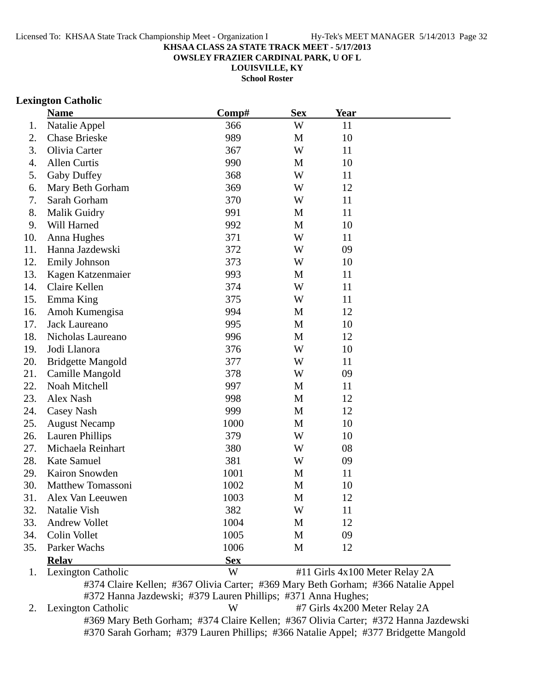**OWSLEY FRAZIER CARDINAL PARK, U OF L**

**LOUISVILLE, KY**

**School Roster**

### **Lexington Catholic**

|     | <b>Name</b>              | Comp#      | <b>Sex</b> | Year |                                |
|-----|--------------------------|------------|------------|------|--------------------------------|
| 1.  | Natalie Appel            | 366        | W          | 11   |                                |
| 2.  | <b>Chase Brieske</b>     | 989        | M          | 10   |                                |
| 3.  | Olivia Carter            | 367        | W          | 11   |                                |
| 4.  | Allen Curtis             | 990        | M          | 10   |                                |
| 5.  | Gaby Duffey              | 368        | W          | 11   |                                |
| 6.  | Mary Beth Gorham         | 369        | W          | 12   |                                |
| 7.  | Sarah Gorham             | 370        | W          | 11   |                                |
| 8.  | <b>Malik Guidry</b>      | 991        | M          | 11   |                                |
| 9.  | Will Harned              | 992        | M          | 10   |                                |
| 10. | Anna Hughes              | 371        | W          | 11   |                                |
| 11. | Hanna Jazdewski          | 372        | W          | 09   |                                |
| 12. | <b>Emily Johnson</b>     | 373        | W          | 10   |                                |
| 13. | Kagen Katzenmaier        | 993        | M          | 11   |                                |
| 14. | Claire Kellen            | 374        | W          | 11   |                                |
| 15. | Emma King                | 375        | W          | 11   |                                |
| 16. | Amoh Kumengisa           | 994        | M          | 12   |                                |
| 17. | Jack Laureano            | 995        | M          | 10   |                                |
| 18. | Nicholas Laureano        | 996        | M          | 12   |                                |
| 19. | Jodi Llanora             | 376        | W          | 10   |                                |
| 20. | <b>Bridgette Mangold</b> | 377        | W          | 11   |                                |
| 21. | Camille Mangold          | 378        | W          | 09   |                                |
| 22. | Noah Mitchell            | 997        | M          | 11   |                                |
| 23. | Alex Nash                | 998        | M          | 12   |                                |
| 24. | Casey Nash               | 999        | M          | 12   |                                |
| 25. | <b>August Necamp</b>     | 1000       | M          | 10   |                                |
| 26. | Lauren Phillips          | 379        | W          | 10   |                                |
| 27. | Michaela Reinhart        | 380        | W          | 08   |                                |
| 28. | Kate Samuel              | 381        | W          | 09   |                                |
| 29. | Kairon Snowden           | 1001       | M          | 11   |                                |
| 30. | Matthew Tomassoni        | 1002       | M          | 10   |                                |
| 31. | Alex Van Leeuwen         | 1003       | M          | 12   |                                |
| 32. | Natalie Vish             | 382        | W          | 11   |                                |
| 33. | <b>Andrew Vollet</b>     | 1004       | M          | 12   |                                |
| 34. | Colin Vollet             | 1005       | M          | 09   |                                |
| 35. | Parker Wachs             | 1006       | M          | 12   |                                |
|     | <b>Relay</b>             | <b>Sex</b> |            |      |                                |
| 1.  | Lexington Catholic       | W          |            |      | #11 Girls 4x100 Meter Relay 2A |

#374 Claire Kellen; #367 Olivia Carter; #369 Mary Beth Gorham; #366 Natalie Appel #372 Hanna Jazdewski; #379 Lauren Phillips; #371 Anna Hughes;

2. Lexington Catholic W #7 Girls 4x200 Meter Relay 2A #369 Mary Beth Gorham; #374 Claire Kellen; #367 Olivia Carter; #372 Hanna Jazdewski #370 Sarah Gorham; #379 Lauren Phillips; #366 Natalie Appel; #377 Bridgette Mangold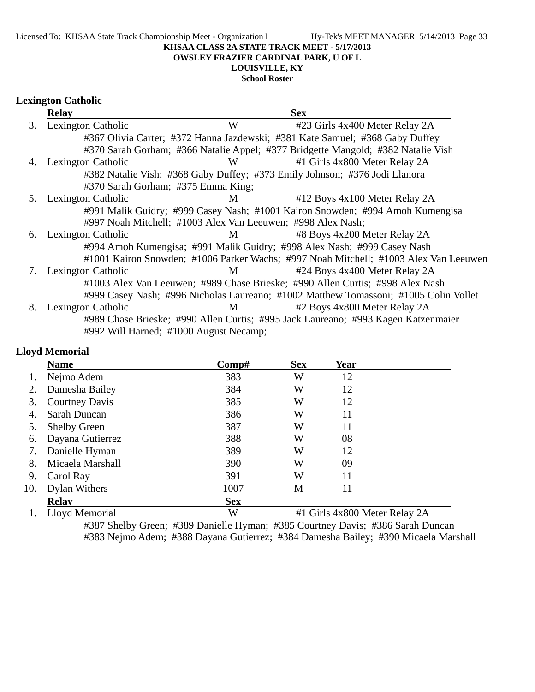Licensed To: KHSAA State Track Championship Meet - Organization I Hy-Tek's MEET MANAGER 5/14/2013 Page 33

#### **KHSAA CLASS 2A STATE TRACK MEET - 5/17/2013**

#### **OWSLEY FRAZIER CARDINAL PARK, U OF L**

# **LOUISVILLE, KY**

### **School Roster**

# **Lexington Catholic**

|    | <b>Relay</b>                           |                                                             | <b>Sex</b>                                                                           |
|----|----------------------------------------|-------------------------------------------------------------|--------------------------------------------------------------------------------------|
| 3. | Lexington Catholic                     | W                                                           | #23 Girls 4x400 Meter Relay 2A                                                       |
|    |                                        |                                                             | #367 Olivia Carter; #372 Hanna Jazdewski; #381 Kate Samuel; #368 Gaby Duffey         |
|    |                                        |                                                             | #370 Sarah Gorham; #366 Natalie Appel; #377 Bridgette Mangold; #382 Natalie Vish     |
| 4. | <b>Lexington Catholic</b>              | W                                                           | #1 Girls 4x800 Meter Relay 2A                                                        |
|    |                                        |                                                             | #382 Natalie Vish; #368 Gaby Duffey; #373 Emily Johnson; #376 Jodi Llanora           |
|    | #370 Sarah Gorham; #375 Emma King;     |                                                             |                                                                                      |
| 5. | Lexington Catholic                     | M                                                           | #12 Boys 4x100 Meter Relay 2A                                                        |
|    |                                        |                                                             | #991 Malik Guidry; #999 Casey Nash; #1001 Kairon Snowden; #994 Amoh Kumengisa        |
|    |                                        | #997 Noah Mitchell; #1003 Alex Van Leeuwen; #998 Alex Nash; |                                                                                      |
| 6. | Lexington Catholic                     | M                                                           | #8 Boys 4x200 Meter Relay 2A                                                         |
|    |                                        |                                                             | #994 Amoh Kumengisa; #991 Malik Guidry; #998 Alex Nash; #999 Casey Nash              |
|    |                                        |                                                             | #1001 Kairon Snowden; #1006 Parker Wachs; #997 Noah Mitchell; #1003 Alex Van Leeuwen |
| 7. | Lexington Catholic                     | M                                                           | #24 Boys 4x400 Meter Relay 2A                                                        |
|    |                                        |                                                             | #1003 Alex Van Leeuwen; #989 Chase Brieske; #990 Allen Curtis; #998 Alex Nash        |
|    |                                        |                                                             | #999 Casey Nash; #996 Nicholas Laureano; #1002 Matthew Tomassoni; #1005 Colin Vollet |
| 8. | Lexington Catholic                     | M                                                           | #2 Boys 4x800 Meter Relay 2A                                                         |
|    |                                        |                                                             | #989 Chase Brieske; #990 Allen Curtis; #995 Jack Laureano; #993 Kagen Katzenmaier    |
|    | #992 Will Harned; #1000 August Necamp; |                                                             |                                                                                      |

# **Lloyd Memorial**

|     | <b>Name</b>           | Comp#      | <b>Sex</b>                    | Year |  |
|-----|-----------------------|------------|-------------------------------|------|--|
|     | Nejmo Adem            | 383        | W                             | 12   |  |
| 2.  | Damesha Bailey        | 384        | W                             | 12   |  |
| 3.  | <b>Courtney Davis</b> | 385        | W                             | 12   |  |
| 4.  | Sarah Duncan          | 386        | W                             | 11   |  |
| 5.  | <b>Shelby Green</b>   | 387        | W                             | 11   |  |
| 6.  | Dayana Gutierrez      | 388        | W                             | 08   |  |
| 7.  | Danielle Hyman        | 389        | W                             | 12   |  |
| 8.  | Micaela Marshall      | 390        | W                             | 09   |  |
| 9.  | Carol Ray             | 391        | W                             | 11   |  |
| 10. | <b>Dylan Withers</b>  | 1007       | M                             | 11   |  |
|     | <b>Relav</b>          | <b>Sex</b> |                               |      |  |
|     | Lloyd Memorial        | W          | #1 Girls 4x800 Meter Relay 2A |      |  |

#387 Shelby Green; #389 Danielle Hyman; #385 Courtney Davis; #386 Sarah Duncan #383 Nejmo Adem; #388 Dayana Gutierrez; #384 Damesha Bailey; #390 Micaela Marshall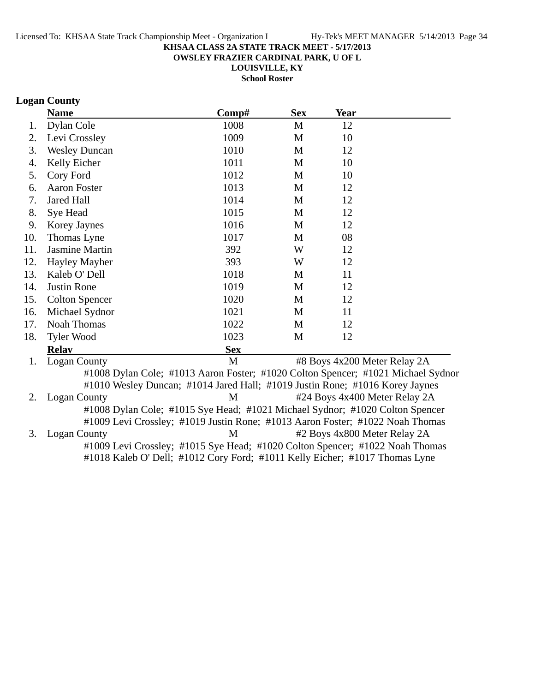**OWSLEY FRAZIER CARDINAL PARK, U OF L**

**LOUISVILLE, KY**

**School Roster**

# **Logan County**

|     | <b>Name</b>                                                                      | Comp#        | <b>Sex</b> | Year |                               |
|-----|----------------------------------------------------------------------------------|--------------|------------|------|-------------------------------|
| 1.  | Dylan Cole                                                                       | 1008         | M          | 12   |                               |
| 2.  | Levi Crossley                                                                    | 1009         | M          | 10   |                               |
| 3.  | <b>Wesley Duncan</b>                                                             | 1010         | M          | 12   |                               |
| 4.  | Kelly Eicher                                                                     | 1011         | M          | 10   |                               |
| 5.  | Cory Ford                                                                        | 1012         | M          | 10   |                               |
| 6.  | <b>Aaron Foster</b>                                                              | 1013         | M          | 12   |                               |
| 7.  | <b>Jared Hall</b>                                                                | 1014         | M          | 12   |                               |
| 8.  | Sye Head                                                                         | 1015         | M          | 12   |                               |
| 9.  | Korey Jaynes                                                                     | 1016         | M          | 12   |                               |
| 10. | Thomas Lyne                                                                      | 1017         | M          | 08   |                               |
| 11. | <b>Jasmine Martin</b>                                                            | 392          | W          | 12   |                               |
| 12. | Hayley Mayher                                                                    | 393          | W          | 12   |                               |
| 13. | Kaleb O' Dell                                                                    | 1018         | M          | 11   |                               |
| 14. | Justin Rone                                                                      | 1019         | M          | 12   |                               |
| 15. | <b>Colton Spencer</b>                                                            | 1020         | M          | 12   |                               |
| 16. | Michael Sydnor                                                                   | 1021         | M          | 11   |                               |
| 17. | Noah Thomas                                                                      | 1022         | M          | 12   |                               |
| 18. | Tyler Wood                                                                       | 1023         | M          | 12   |                               |
|     | <b>Relay</b>                                                                     | <b>Sex</b>   |            |      |                               |
| 1.  | <b>Logan County</b>                                                              | $\mathbf{M}$ |            |      | #8 Boys 4x200 Meter Relay 2A  |
|     | #1008 Dylan Cole; #1013 Aaron Foster; #1020 Colton Spencer; #1021 Michael Sydnor |              |            |      |                               |
|     | #1010 Wesley Duncan; #1014 Jared Hall; #1019 Justin Rone; #1016 Korey Jaynes     |              |            |      |                               |
| 2.  | <b>Logan County</b>                                                              | M            |            |      | #24 Boys 4x400 Meter Relay 2A |
|     | #1008 Dylan Cole; #1015 Sye Head; #1021 Michael Sydnor; #1020 Colton Spencer     |              |            |      |                               |
|     | #1009 Levi Crossley; #1019 Justin Rone; #1013 Aaron Foster; #1022 Noah Thomas    |              |            |      |                               |
| 3.  | <b>Logan County</b>                                                              | M            |            |      | #2 Boys 4x800 Meter Relay 2A  |
|     | #1009 Levi Crossley; #1015 Sye Head; #1020 Colton Spencer; #1022 Noah Thomas     |              |            |      |                               |
|     | #1018 Kaleb O' Dell; #1012 Cory Ford; #1011 Kelly Eicher; #1017 Thomas Lyne      |              |            |      |                               |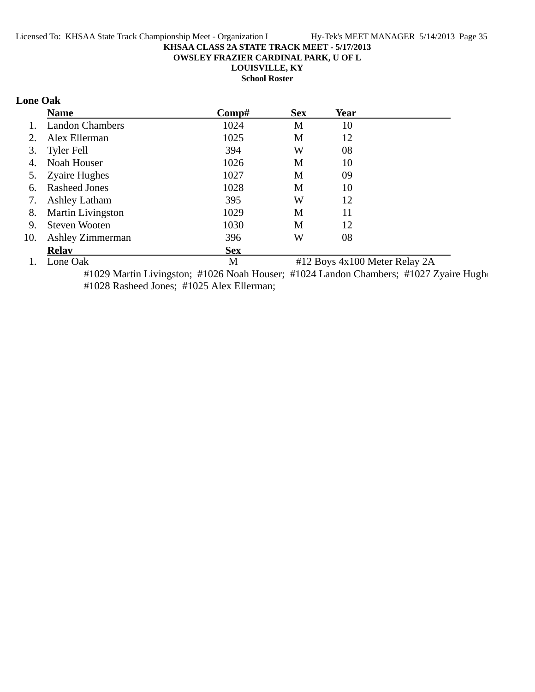**OWSLEY FRAZIER CARDINAL PARK, U OF L**

**LOUISVILLE, KY**

**School Roster**

# **Lone Oak**

|     | <b>Name</b>              | Comp#      | <b>Sex</b>                    | Year |  |
|-----|--------------------------|------------|-------------------------------|------|--|
|     | <b>Landon Chambers</b>   | 1024       | M                             | 10   |  |
| 2.  | Alex Ellerman            | 1025       | M                             | 12   |  |
| 3.  | <b>Tyler Fell</b>        | 394        | W                             | 08   |  |
| 4.  | Noah Houser              | 1026       | M                             | 10   |  |
| 5.  | <b>Zyaire Hughes</b>     | 1027       | M                             | 09   |  |
| 6.  | <b>Rasheed Jones</b>     | 1028       | M                             | 10   |  |
| 7.  | <b>Ashley Latham</b>     | 395        | W                             | 12   |  |
| 8.  | <b>Martin Livingston</b> | 1029       | M                             | 11   |  |
| 9.  | Steven Wooten            | 1030       | M                             | 12   |  |
| 10. | Ashley Zimmerman         | 396        | W                             | 08   |  |
|     | <b>Relav</b>             | <b>Sex</b> |                               |      |  |
|     | Lone Oak                 | M          | #12 Boys 4x100 Meter Relay 2A |      |  |

#1029 Martin Livingston; #1026 Noah Houser; #1024 Landon Chambers; #1027 Zyaire Hugho #1028 Rasheed Jones; #1025 Alex Ellerman;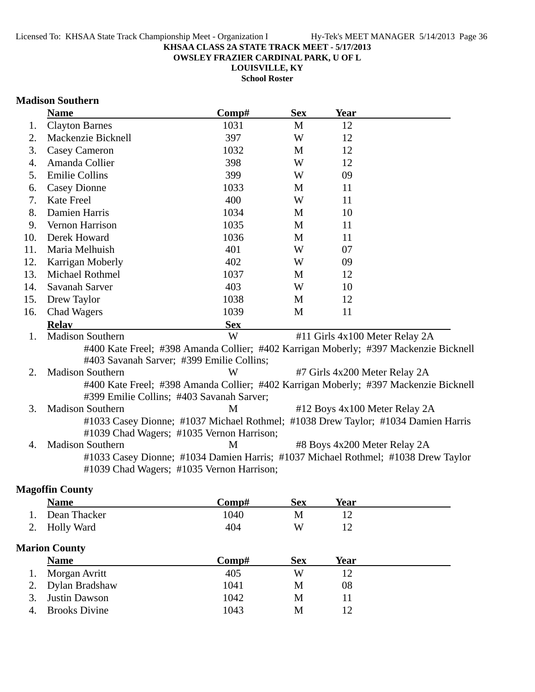**OWSLEY FRAZIER CARDINAL PARK, U OF L**

**LOUISVILLE, KY**

**School Roster**

### **Madison Southern**

|     | <b>Name</b>                                                                                                                       | Comp#      | <b>Sex</b> | <b>Year</b>                    |  |
|-----|-----------------------------------------------------------------------------------------------------------------------------------|------------|------------|--------------------------------|--|
| 1.  | <b>Clayton Barnes</b>                                                                                                             | 1031       | M          | 12                             |  |
| 2.  | Mackenzie Bicknell                                                                                                                | 397        | W          | 12                             |  |
| 3.  | <b>Casey Cameron</b>                                                                                                              | 1032       | M          | 12                             |  |
| 4.  | Amanda Collier                                                                                                                    | 398        | W          | 12                             |  |
| 5.  | <b>Emilie Collins</b>                                                                                                             | 399        | W          | 09                             |  |
| 6.  | <b>Casey Dionne</b>                                                                                                               | 1033       | M          | 11                             |  |
| 7.  | Kate Freel                                                                                                                        | 400        | W          | 11                             |  |
| 8.  | Damien Harris                                                                                                                     | 1034       | M          | 10                             |  |
| 9.  | Vernon Harrison                                                                                                                   | 1035       | M          | 11                             |  |
| 10. | Derek Howard                                                                                                                      | 1036       | M          | 11                             |  |
| 11. | Maria Melhuish                                                                                                                    | 401        | W          | 07                             |  |
| 12. | Karrigan Moberly                                                                                                                  | 402        | W          | 09                             |  |
| 13. | Michael Rothmel                                                                                                                   | 1037       | M          | 12                             |  |
| 14. | Savanah Sarver                                                                                                                    | 403        | W          | 10                             |  |
| 15. | Drew Taylor                                                                                                                       | 1038       | M          | 12                             |  |
| 16. | <b>Chad Wagers</b>                                                                                                                | 1039       | M          | 11                             |  |
|     | <b>Relay</b>                                                                                                                      | <b>Sex</b> |            |                                |  |
| 1.  | <b>Madison Southern</b>                                                                                                           | W          |            | #11 Girls 4x100 Meter Relay 2A |  |
|     | #400 Kate Freel; #398 Amanda Collier; #402 Karrigan Moberly; #397 Mackenzie Bicknell                                              |            |            |                                |  |
|     | #403 Savanah Sarver; #399 Emilie Collins;                                                                                         |            |            |                                |  |
| 2.  | <b>Madison Southern</b>                                                                                                           | W          |            | #7 Girls 4x200 Meter Relay 2A  |  |
|     | #400 Kate Freel; #398 Amanda Collier; #402 Karrigan Moberly; #397 Mackenzie Bicknell<br>#399 Emilie Collins; #403 Savanah Sarver; |            |            |                                |  |
| 3.  | <b>Madison Southern</b>                                                                                                           | M          |            | #12 Boys 4x100 Meter Relay 2A  |  |
|     | #1033 Casey Dionne; #1037 Michael Rothmel; #1038 Drew Taylor; #1034 Damien Harris                                                 |            |            |                                |  |
|     | #1039 Chad Wagers; #1035 Vernon Harrison;                                                                                         |            |            |                                |  |
| 4.  | <b>Madison Southern</b>                                                                                                           | M          |            | #8 Boys 4x200 Meter Relay 2A   |  |
|     | #1033 Casey Dionne; #1034 Damien Harris; #1037 Michael Rothmel; #1038 Drew Taylor<br>#1039 Chad Wagers; #1035 Vernon Harrison;    |            |            |                                |  |
|     | <b>Magoffin County</b>                                                                                                            |            |            |                                |  |

|                      | <b>Name</b>          | Comp# | <b>Sex</b> | Year        |  |
|----------------------|----------------------|-------|------------|-------------|--|
|                      | Dean Thacker         | 1040  | M          | 12          |  |
| 2.                   | <b>Holly Ward</b>    | 404   | W          | 12          |  |
| <b>Marion County</b> |                      |       |            |             |  |
|                      | <b>Name</b>          | Comp# | <b>Sex</b> | <b>Year</b> |  |
|                      | Morgan Avritt        | 405   | W          | 12          |  |
|                      | Dylan Bradshaw       | 1041  | М          | 08          |  |
| 3.                   | <b>Justin Dawson</b> | 1042  | М          | 11          |  |
| 4.                   | <b>Brooks Divine</b> | 1043  | M          | 12          |  |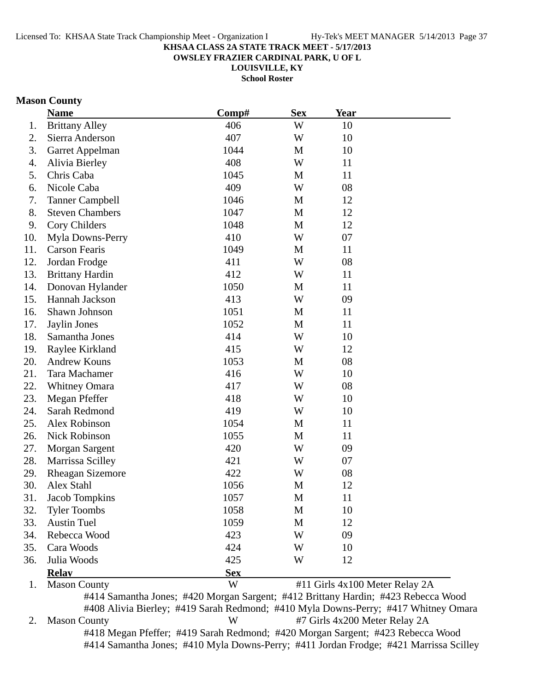**OWSLEY FRAZIER CARDINAL PARK, U OF L**

**LOUISVILLE, KY**

**School Roster**

# **Mason County**

|     | <b>Name</b>             | Comp#                                                                             | <b>Sex</b>  | <b>Year</b> |                                |
|-----|-------------------------|-----------------------------------------------------------------------------------|-------------|-------------|--------------------------------|
| 1.  | <b>Brittany Alley</b>   | 406                                                                               | W           | 10          |                                |
| 2.  | Sierra Anderson         | 407                                                                               | W           | 10          |                                |
| 3.  | Garret Appelman         | 1044                                                                              | M           | 10          |                                |
| 4.  | Alivia Bierley          | 408                                                                               | W           | 11          |                                |
| 5.  | Chris Caba              | 1045                                                                              | M           | 11          |                                |
| 6.  | Nicole Caba             | 409                                                                               | W           | 08          |                                |
| 7.  | <b>Tanner Campbell</b>  | 1046                                                                              | M           | 12          |                                |
| 8.  | <b>Steven Chambers</b>  | 1047                                                                              | M           | 12          |                                |
| 9.  | Cory Childers           | 1048                                                                              | M           | 12          |                                |
| 10. | Myla Downs-Perry        | 410                                                                               | W           | 07          |                                |
| 11. | <b>Carson Fearis</b>    | 1049                                                                              | M           | 11          |                                |
| 12. | Jordan Frodge           | 411                                                                               | W           | 08          |                                |
| 13. | <b>Brittany Hardin</b>  | 412                                                                               | W           | 11          |                                |
| 14. | Donovan Hylander        | 1050                                                                              | M           | 11          |                                |
| 15. | Hannah Jackson          | 413                                                                               | W           | 09          |                                |
| 16. | Shawn Johnson           | 1051                                                                              | M           | 11          |                                |
| 17. | Jaylin Jones            | 1052                                                                              | M           | 11          |                                |
| 18. | Samantha Jones          | 414                                                                               | W           | 10          |                                |
| 19. | Raylee Kirkland         | 415                                                                               | W           | 12          |                                |
| 20. | <b>Andrew Kouns</b>     | 1053                                                                              | M           | 08          |                                |
| 21. | Tara Machamer           | 416                                                                               | W           | 10          |                                |
| 22. | <b>Whitney Omara</b>    | 417                                                                               | W           | 08          |                                |
| 23. | Megan Pfeffer           | 418                                                                               | W           | 10          |                                |
| 24. | Sarah Redmond           | 419                                                                               | W           | 10          |                                |
| 25. | Alex Robinson           | 1054                                                                              | M           | 11          |                                |
| 26. | Nick Robinson           | 1055                                                                              | $\mathbf M$ | 11          |                                |
| 27. | <b>Morgan Sargent</b>   | 420                                                                               | W           | 09          |                                |
| 28. | Marrissa Scilley        | 421                                                                               | W           | 07          |                                |
| 29. | <b>Rheagan Sizemore</b> | 422                                                                               | W           | 08          |                                |
| 30. | Alex Stahl              | 1056                                                                              | M           | 12          |                                |
| 31. | <b>Jacob Tompkins</b>   | 1057                                                                              | M           | 11          |                                |
| 32. | <b>Tyler Toombs</b>     | 1058                                                                              | M           | 10          |                                |
| 33. | <b>Austin Tuel</b>      | 1059                                                                              | M           | 12          |                                |
| 34. | Rebecca Wood            | 423                                                                               | W           | 09          |                                |
| 35. | Cara Woods              | 424                                                                               | W           | 10          |                                |
| 36. | Julia Woods             | 425                                                                               | W           | 12          |                                |
|     | <b>Relay</b>            | <b>Sex</b>                                                                        |             |             |                                |
| 1.  | <b>Mason County</b>     | W                                                                                 |             |             | #11 Girls 4x100 Meter Relay 2A |
|     |                         | #414 Samantha Jones; #420 Morgan Sargent; #412 Brittany Hardin; #423 Rebecca Wood |             |             |                                |

#408 Alivia Bierley; #419 Sarah Redmond; #410 Myla Downs-Perry; #417 Whitney Omara 2. Mason County W #7 Girls 4x200 Meter Relay 2A #418 Megan Pfeffer; #419 Sarah Redmond; #420 Morgan Sargent; #423 Rebecca Wood #414 Samantha Jones; #410 Myla Downs-Perry; #411 Jordan Frodge; #421 Marrissa Scilley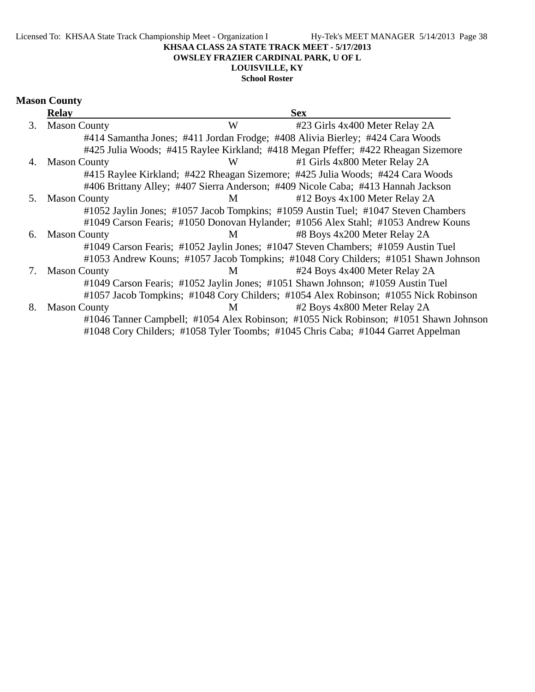Licensed To: KHSAA State Track Championship Meet - Organization I Hy-Tek's MEET MANAGER 5/14/2013 Page 38

### **KHSAA CLASS 2A STATE TRACK MEET - 5/17/2013**

**OWSLEY FRAZIER CARDINAL PARK, U OF L**

# **LOUISVILLE, KY**

**School Roster**

|    | <b>Relay</b>        |   | <b>Sex</b>                                                                           |
|----|---------------------|---|--------------------------------------------------------------------------------------|
| 3. | <b>Mason County</b> | W | #23 Girls 4x400 Meter Relay 2A                                                       |
|    |                     |   | #414 Samantha Jones; #411 Jordan Frodge; #408 Alivia Bierley; #424 Cara Woods        |
|    |                     |   | #425 Julia Woods; #415 Raylee Kirkland; #418 Megan Pfeffer; #422 Rheagan Sizemore    |
| 4. | <b>Mason County</b> | W | #1 Girls 4x800 Meter Relay 2A                                                        |
|    |                     |   | #415 Raylee Kirkland; #422 Rheagan Sizemore; #425 Julia Woods; #424 Cara Woods       |
|    |                     |   | #406 Brittany Alley; #407 Sierra Anderson; #409 Nicole Caba; #413 Hannah Jackson     |
| 5. | <b>Mason County</b> | M | #12 Boys 4x100 Meter Relay 2A                                                        |
|    |                     |   | #1052 Jaylin Jones; #1057 Jacob Tompkins; #1059 Austin Tuel; #1047 Steven Chambers   |
|    |                     |   | #1049 Carson Fearis; #1050 Donovan Hylander; #1056 Alex Stahl; #1053 Andrew Kouns    |
| 6. | <b>Mason County</b> | M | #8 Boys 4x200 Meter Relay 2A                                                         |
|    |                     |   | #1049 Carson Fearis; #1052 Jaylin Jones; #1047 Steven Chambers; #1059 Austin Tuel    |
|    |                     |   | #1053 Andrew Kouns; #1057 Jacob Tompkins; #1048 Cory Childers; #1051 Shawn Johnson   |
| 7. | <b>Mason County</b> | M | #24 Boys 4x400 Meter Relay 2A                                                        |
|    |                     |   | #1049 Carson Fearis; #1052 Jaylin Jones; #1051 Shawn Johnson; #1059 Austin Tuel      |
|    |                     |   | #1057 Jacob Tompkins; #1048 Cory Childers; #1054 Alex Robinson; #1055 Nick Robinson  |
| 8. | <b>Mason County</b> | M | #2 Boys 4x800 Meter Relay 2A                                                         |
|    |                     |   | #1046 Tanner Campbell; #1054 Alex Robinson; #1055 Nick Robinson; #1051 Shawn Johnson |
|    |                     |   | #1048 Cory Childers; #1058 Tyler Toombs; #1045 Chris Caba; #1044 Garret Appelman     |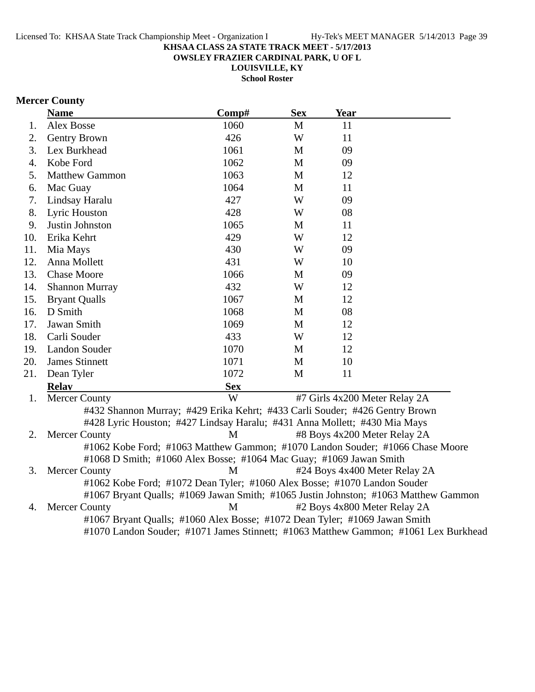**OWSLEY FRAZIER CARDINAL PARK, U OF L**

**LOUISVILLE, KY**

**School Roster**

# **Mercer County**

|     | <b>Name</b>                                                                         | Comp#      | <b>Sex</b> | <b>Year</b>                   |  |
|-----|-------------------------------------------------------------------------------------|------------|------------|-------------------------------|--|
| 1.  | <b>Alex Bosse</b>                                                                   | 1060       | M          | 11                            |  |
| 2.  | Gentry Brown                                                                        | 426        | W          | 11                            |  |
| 3.  | Lex Burkhead                                                                        | 1061       | M          | 09                            |  |
| 4.  | Kobe Ford                                                                           | 1062       | M          | 09                            |  |
| 5.  | <b>Matthew Gammon</b>                                                               | 1063       | M          | 12                            |  |
| 6.  | Mac Guay                                                                            | 1064       | M          | 11                            |  |
| 7.  | Lindsay Haralu                                                                      | 427        | W          | 09                            |  |
| 8.  | Lyric Houston                                                                       | 428        | W          | 08                            |  |
| 9.  | Justin Johnston                                                                     | 1065       | M          | 11                            |  |
| 10. | Erika Kehrt                                                                         | 429        | W          | 12                            |  |
| 11. | Mia Mays                                                                            | 430        | W          | 09                            |  |
| 12. | Anna Mollett                                                                        | 431        | W          | 10                            |  |
| 13. | <b>Chase Moore</b>                                                                  | 1066       | M          | 09                            |  |
| 14. | <b>Shannon Murray</b>                                                               | 432        | W          | 12                            |  |
| 15. | <b>Bryant Qualls</b>                                                                | 1067       | M          | 12                            |  |
| 16. | D Smith                                                                             | 1068       | M          | 08                            |  |
| 17. | Jawan Smith                                                                         | 1069       | M          | 12                            |  |
| 18. | Carli Souder                                                                        | 433        | W          | 12                            |  |
| 19. | <b>Landon Souder</b>                                                                | 1070       | M          | 12                            |  |
| 20. | <b>James Stinnett</b>                                                               | 1071       | M          | 10                            |  |
| 21. | Dean Tyler                                                                          | 1072       | M          | 11                            |  |
|     | <b>Relav</b>                                                                        | <b>Sex</b> |            |                               |  |
| 1.  | <b>Mercer County</b>                                                                | W          |            | #7 Girls 4x200 Meter Relay 2A |  |
|     | #432 Shannon Murray; #429 Erika Kehrt; #433 Carli Souder; #426 Gentry Brown         |            |            |                               |  |
|     | #428 Lyric Houston; #427 Lindsay Haralu; #431 Anna Mollett; #430 Mia Mays           |            |            |                               |  |
| 2.  | <b>Mercer County</b>                                                                | M          |            | #8 Boys 4x200 Meter Relay 2A  |  |
|     | #1062 Kobe Ford; #1063 Matthew Gammon; #1070 Landon Souder; #1066 Chase Moore       |            |            |                               |  |
|     | #1068 D Smith; #1060 Alex Bosse; #1064 Mac Guay; #1069 Jawan Smith                  |            |            |                               |  |
| 3.  | <b>Mercer County</b>                                                                | M          |            | #24 Boys 4x400 Meter Relay 2A |  |
|     | #1062 Kobe Ford; #1072 Dean Tyler; #1060 Alex Bosse; #1070 Landon Souder            |            |            |                               |  |
|     | #1067 Bryant Qualls; #1069 Jawan Smith; #1065 Justin Johnston; #1063 Matthew Gammon |            |            |                               |  |
| 4.  | <b>Mercer County</b>                                                                | M          |            | #2 Boys 4x800 Meter Relay 2A  |  |

#1067 Bryant Qualls; #1060 Alex Bosse; #1072 Dean Tyler; #1069 Jawan Smith

#1070 Landon Souder; #1071 James Stinnett; #1063 Matthew Gammon; #1061 Lex Burkhead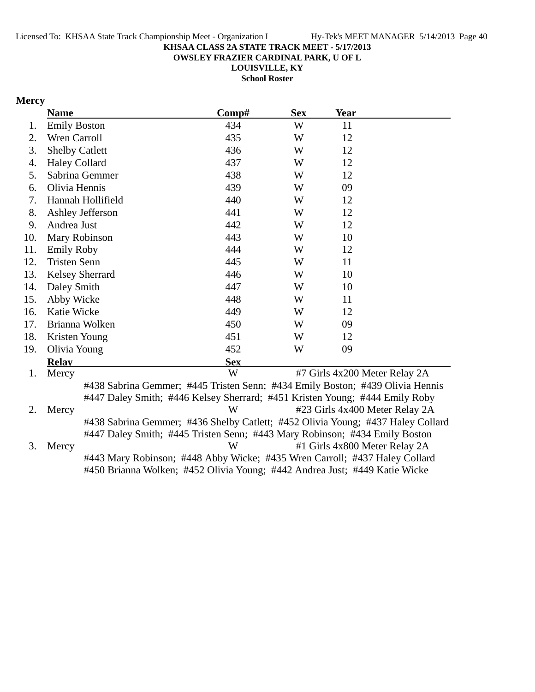**OWSLEY FRAZIER CARDINAL PARK, U OF L**

**LOUISVILLE, KY School Roster**

# **Mercy**

|     | <b>Name</b>            |                                                                                 | Comp#      | <b>Sex</b> | <b>Year</b>                   |                                |
|-----|------------------------|---------------------------------------------------------------------------------|------------|------------|-------------------------------|--------------------------------|
| 1.  | <b>Emily Boston</b>    |                                                                                 | 434        | W          | 11                            |                                |
| 2.  | Wren Carroll           |                                                                                 | 435        | W          | 12                            |                                |
| 3.  | <b>Shelby Catlett</b>  |                                                                                 | 436        | W          | 12                            |                                |
| 4.  | <b>Haley Collard</b>   |                                                                                 | 437        | W          | 12                            |                                |
| 5.  | Sabrina Gemmer         |                                                                                 | 438        | W          | 12                            |                                |
| 6.  | Olivia Hennis          |                                                                                 | 439        | W          | 09                            |                                |
| 7.  | Hannah Hollifield      |                                                                                 | 440        | W          | 12                            |                                |
| 8.  | Ashley Jefferson       |                                                                                 | 441        | W          | 12                            |                                |
| 9.  | Andrea Just            |                                                                                 | 442        | W          | 12                            |                                |
| 10. | Mary Robinson          |                                                                                 | 443        | W          | 10                            |                                |
| 11. | <b>Emily Roby</b>      |                                                                                 | 444        | W          | 12                            |                                |
| 12. | <b>Tristen Senn</b>    |                                                                                 | 445        | W          | 11                            |                                |
| 13. | <b>Kelsey Sherrard</b> |                                                                                 | 446        | W          | 10                            |                                |
| 14. | Daley Smith            |                                                                                 | 447        | W          | 10                            |                                |
| 15. | Abby Wicke             |                                                                                 | 448        | W          | 11                            |                                |
| 16. | Katie Wicke            |                                                                                 | 449        | W          | 12                            |                                |
| 17. | Brianna Wolken         |                                                                                 | 450        | W          | 09                            |                                |
| 18. | Kristen Young          |                                                                                 | 451        | W          | 12                            |                                |
| 19. | Olivia Young           |                                                                                 | 452        | W          | 09                            |                                |
|     | <b>Relay</b>           |                                                                                 | <b>Sex</b> |            |                               |                                |
| 1.  | Mercy                  |                                                                                 | W          |            | #7 Girls 4x200 Meter Relay 2A |                                |
|     |                        | #438 Sabrina Gemmer; #445 Tristen Senn; #434 Emily Boston; #439 Olivia Hennis   |            |            |                               |                                |
|     |                        | #447 Daley Smith; #446 Kelsey Sherrard; #451 Kristen Young; #444 Emily Roby     |            |            |                               |                                |
| 2.  | Mercy                  |                                                                                 | W          |            |                               | #23 Girls 4x400 Meter Relay 2A |
|     |                        | #438 Sabrina Gemmer; #436 Shelby Catlett; #452 Olivia Young; #437 Haley Collard |            |            |                               |                                |
|     |                        | #447 Daley Smith; #445 Tristen Senn; #443 Mary Robinson; #434 Emily Boston      |            |            |                               |                                |
| 3.  | Mercy                  |                                                                                 | W          |            | #1 Girls 4x800 Meter Relay 2A |                                |
|     |                        | #443 Mary Robinson; #448 Abby Wicke; #435 Wren Carroll; #437 Haley Collard      |            |            |                               |                                |
|     |                        | #450 Brianna Wolken; #452 Olivia Young; #442 Andrea Just; #449 Katie Wicke      |            |            |                               |                                |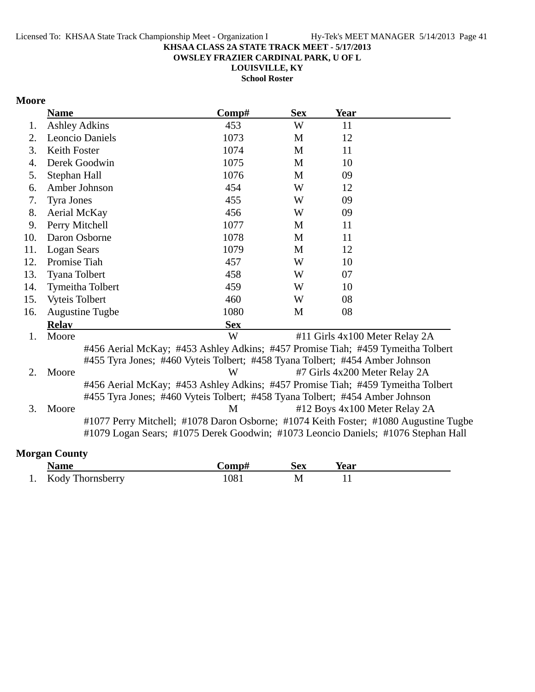**OWSLEY FRAZIER CARDINAL PARK, U OF L**

**LOUISVILLE, KY**

**School Roster**

# **Moore**

|     | <b>Name</b>           |                                                                                                                                                                           | Comp#      | <b>Sex</b> | <b>Year</b>                    |  |
|-----|-----------------------|---------------------------------------------------------------------------------------------------------------------------------------------------------------------------|------------|------------|--------------------------------|--|
| 1.  | <b>Ashley Adkins</b>  |                                                                                                                                                                           | 453        | W          | 11                             |  |
| 2.  |                       | <b>Leoncio Daniels</b>                                                                                                                                                    | 1073       | M          | 12                             |  |
| 3.  | Keith Foster          |                                                                                                                                                                           | 1074       | M          | 11                             |  |
| 4.  |                       | Derek Goodwin                                                                                                                                                             | 1075       | M          | 10                             |  |
| 5.  | Stephan Hall          |                                                                                                                                                                           | 1076       | M          | 09                             |  |
| 6.  |                       | Amber Johnson                                                                                                                                                             | 454        | W          | 12                             |  |
| 7.  | <b>Tyra Jones</b>     |                                                                                                                                                                           | 455        | W          | 09                             |  |
| 8.  | Aerial McKay          |                                                                                                                                                                           | 456        | W          | 09                             |  |
| 9.  | Perry Mitchell        |                                                                                                                                                                           | 1077       | M          | 11                             |  |
| 10. |                       | Daron Osborne                                                                                                                                                             | 1078       | M          | 11                             |  |
| 11. | <b>Logan Sears</b>    |                                                                                                                                                                           | 1079       | M          | 12                             |  |
| 12. | Promise Tiah          |                                                                                                                                                                           | 457        | W          | 10                             |  |
| 13. | Tyana Tolbert         |                                                                                                                                                                           | 458        | W          | 07                             |  |
| 14. |                       | Tymeitha Tolbert                                                                                                                                                          | 459        | W          | 10                             |  |
| 15. | <b>Vyteis Tolbert</b> |                                                                                                                                                                           | 460        | W          | 08                             |  |
| 16. |                       | <b>Augustine Tugbe</b>                                                                                                                                                    | 1080       | M          | 08                             |  |
|     | <b>Relay</b>          |                                                                                                                                                                           | <b>Sex</b> |            |                                |  |
| 1.  | Moore                 |                                                                                                                                                                           | W          |            | #11 Girls 4x100 Meter Relay 2A |  |
|     |                       | #456 Aerial McKay; #453 Ashley Adkins; #457 Promise Tiah; #459 Tymeitha Tolbert                                                                                           |            |            |                                |  |
|     |                       | #455 Tyra Jones; #460 Vyteis Tolbert; #458 Tyana Tolbert; #454 Amber Johnson                                                                                              |            |            |                                |  |
| 2.  | Moore                 |                                                                                                                                                                           | W          |            | #7 Girls 4x200 Meter Relay 2A  |  |
|     |                       | #456 Aerial McKay; #453 Ashley Adkins; #457 Promise Tiah; #459 Tymeitha Tolbert                                                                                           |            |            |                                |  |
|     |                       | #455 Tyra Jones; #460 Vyteis Tolbert; #458 Tyana Tolbert; #454 Amber Johnson                                                                                              |            |            |                                |  |
| 3.  | Moore                 |                                                                                                                                                                           | M          |            | #12 Boys 4x100 Meter Relay 2A  |  |
|     |                       | #1077 Perry Mitchell; #1078 Daron Osborne; #1074 Keith Foster; #1080 Augustine Tugbe<br>#1079 Logan Sears; #1075 Derek Goodwin; #1073 Leoncio Daniels; #1076 Stephan Hall |            |            |                                |  |
|     | <b>Morgan County</b>  |                                                                                                                                                                           |            |            |                                |  |

| <b>Name</b>                    | $^{\circ}$ omn $^{\star}$ | <b>Sex</b> | Year |  |
|--------------------------------|---------------------------|------------|------|--|
| <b>Kody Thornsberry</b><br>. . | 708                       | M          |      |  |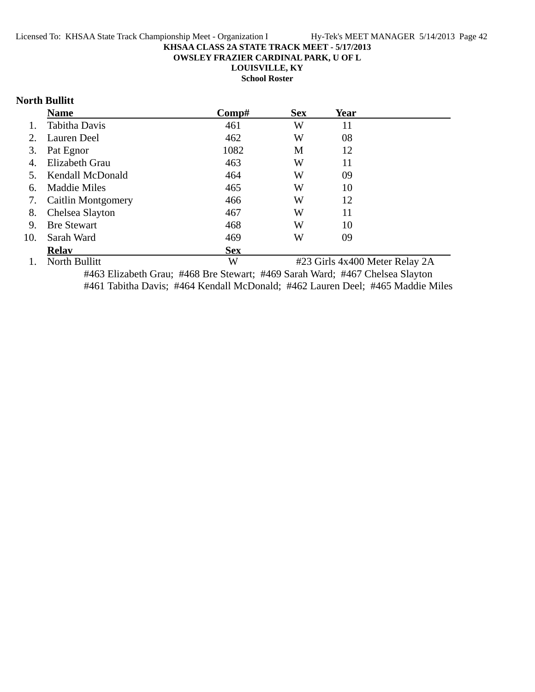**OWSLEY FRAZIER CARDINAL PARK, U OF L**

**LOUISVILLE, KY**

**School Roster**

# **North Bullitt**

|     | <b>Name</b>               | Comp#      | <b>Sex</b> | Year                                                                                                                    |  |
|-----|---------------------------|------------|------------|-------------------------------------------------------------------------------------------------------------------------|--|
|     | Tabitha Davis             | 461        | W          | 11                                                                                                                      |  |
| 2.  | Lauren Deel               | 462        | W          | 08                                                                                                                      |  |
| 3.  | Pat Egnor                 | 1082       | M          | 12                                                                                                                      |  |
| 4.  | Elizabeth Grau            | 463        | W          | 11                                                                                                                      |  |
| 5.  | <b>Kendall McDonald</b>   | 464        | W          | 09                                                                                                                      |  |
| 6.  | Maddie Miles              | 465        | W          | 10                                                                                                                      |  |
| 7.  | Caitlin Montgomery        | 466        | W          | 12                                                                                                                      |  |
| 8.  | Chelsea Slayton           | 467        | W          | 11                                                                                                                      |  |
| 9.  | <b>Bre Stewart</b>        | 468        | W          | 10                                                                                                                      |  |
| 10. | Sarah Ward                | 469        | W          | 09                                                                                                                      |  |
|     | <b>Relav</b>              | <b>Sex</b> |            |                                                                                                                         |  |
|     | $1 \times M = 11.$ D. 11. | <b>TTT</b> |            | $\mu$ 22 $C_{1}$ $\lambda$ $\mu$ $\lambda$ $\Omega$ $\Omega$ $\lambda$ $\mu$ $\mu$ $\mu$ $\Omega$ $\mu$ $\lambda$ $\mu$ |  |

1. North Bullitt W #23 Girls 4x400 Meter Relay 2A #463 Elizabeth Grau; #468 Bre Stewart; #469 Sarah Ward; #467 Chelsea Slayton #461 Tabitha Davis; #464 Kendall McDonald; #462 Lauren Deel; #465 Maddie Miles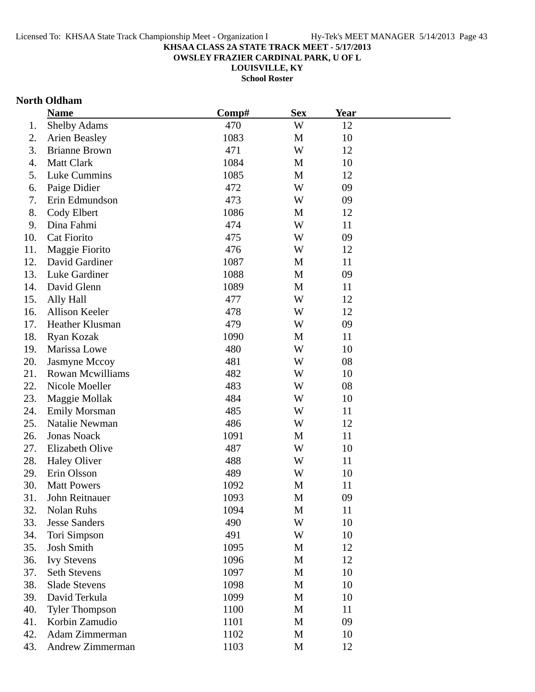**OWSLEY FRAZIER CARDINAL PARK, U OF L**

**LOUISVILLE, KY**

**School Roster**

### **North Oldham**

|     | <b>Name</b>             | Comp# | <b>Sex</b> | <b>Year</b> |  |
|-----|-------------------------|-------|------------|-------------|--|
| 1.  | <b>Shelby Adams</b>     | 470   | W          | 12          |  |
| 2.  | <b>Arien Beasley</b>    | 1083  | M          | 10          |  |
| 3.  | <b>Brianne Brown</b>    | 471   | W          | 12          |  |
| 4.  | Matt Clark              | 1084  | M          | 10          |  |
| 5.  | Luke Cummins            | 1085  | M          | 12          |  |
| 6.  | Paige Didier            | 472   | W          | 09          |  |
| 7.  | Erin Edmundson          | 473   | W          | 09          |  |
| 8.  | Cody Elbert             | 1086  | M          | 12          |  |
| 9.  | Dina Fahmi              | 474   | W          | 11          |  |
| 10. | Cat Fiorito             | 475   | W          | 09          |  |
| 11. | Maggie Fiorito          | 476   | W          | 12          |  |
| 12. | David Gardiner          | 1087  | M          | 11          |  |
| 13. | Luke Gardiner           | 1088  | M          | 09          |  |
| 14. | David Glenn             | 1089  | M          | 11          |  |
| 15. | Ally Hall               | 477   | W          | 12          |  |
| 16. | Allison Keeler          | 478   | W          | 12          |  |
| 17. | Heather Klusman         | 479   | W          | 09          |  |
| 18. | Ryan Kozak              | 1090  | M          | 11          |  |
| 19. | Marissa Lowe            | 480   | W          | 10          |  |
| 20. | Jasmyne Mccoy           | 481   | W          | 08          |  |
| 21. | <b>Rowan Mcwilliams</b> | 482   | W          | 10          |  |
| 22. | Nicole Moeller          | 483   | W          | 08          |  |
| 23. | Maggie Mollak           | 484   | W          | 10          |  |
| 24. | <b>Emily Morsman</b>    | 485   | W          | 11          |  |
| 25. | Natalie Newman          | 486   | W          | 12          |  |
| 26. | <b>Jonas Noack</b>      | 1091  | M          | 11          |  |
| 27. | Elizabeth Olive         | 487   | W          | 10          |  |
| 28. | <b>Haley Oliver</b>     | 488   | W          | 11          |  |
| 29. | Erin Olsson             | 489   | W          | 10          |  |
| 30. | <b>Matt Powers</b>      | 1092  | M          | 11          |  |
| 31. | John Reitnauer          | 1093  | M          | 09          |  |
| 32. | Nolan Ruhs              | 1094  | M          | 11          |  |
| 33. | <b>Jesse Sanders</b>    | 490   | W          | 10          |  |
| 34. | Tori Simpson            | 491   | W          | 10          |  |
| 35. | <b>Josh Smith</b>       | 1095  | M          | 12          |  |
| 36. | <b>Ivy Stevens</b>      | 1096  | M          | 12          |  |
| 37. | <b>Seth Stevens</b>     | 1097  | M          | 10          |  |
| 38. | <b>Slade Stevens</b>    | 1098  | M          | 10          |  |
| 39. | David Terkula           | 1099  | M          | 10          |  |
| 40. | <b>Tyler Thompson</b>   | 1100  | M          | 11          |  |
| 41. | Korbin Zamudio          | 1101  | M          | 09          |  |
| 42. | Adam Zimmerman          | 1102  | M          | 10          |  |
| 43. | Andrew Zimmerman        | 1103  | M          | 12          |  |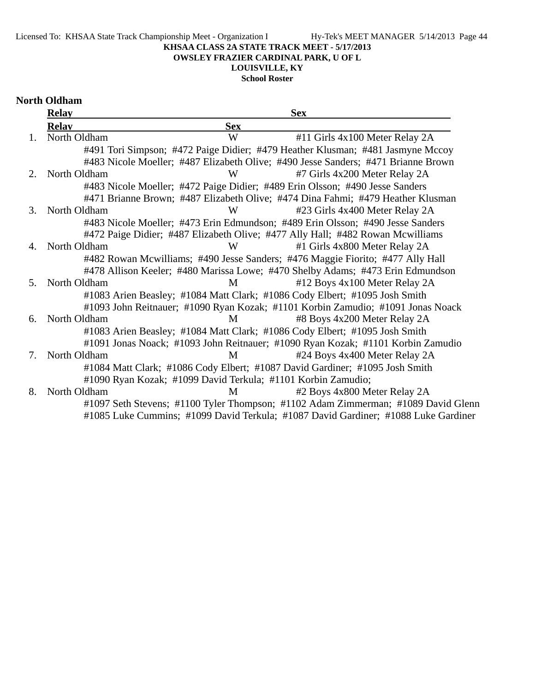#### **KHSAA CLASS 2A STATE TRACK MEET - 5/17/2013 OWSLEY FRAZIER CARDINAL PARK, U OF L**

# **LOUISVILLE, KY**

**School Roster**

#### **North Oldham**

|                | <b>Relay</b> |                                                              | <b>Sex</b>                                                                         |  |
|----------------|--------------|--------------------------------------------------------------|------------------------------------------------------------------------------------|--|
|                | <b>Relav</b> | <b>Sex</b>                                                   |                                                                                    |  |
| 1.             | North Oldham | W                                                            | #11 Girls 4x100 Meter Relay 2A                                                     |  |
|                |              |                                                              | #491 Tori Simpson; #472 Paige Didier; #479 Heather Klusman; #481 Jasmyne Mccoy     |  |
|                |              |                                                              | #483 Nicole Moeller; #487 Elizabeth Olive; #490 Jesse Sanders; #471 Brianne Brown  |  |
| $2_{\cdot}$    | North Oldham | W                                                            | #7 Girls 4x200 Meter Relay 2A                                                      |  |
|                |              |                                                              | #483 Nicole Moeller; #472 Paige Didier; #489 Erin Olsson; #490 Jesse Sanders       |  |
|                |              |                                                              | #471 Brianne Brown; #487 Elizabeth Olive; #474 Dina Fahmi; #479 Heather Klusman    |  |
| 3.             | North Oldham | W                                                            | #23 Girls 4x400 Meter Relay 2A                                                     |  |
|                |              |                                                              | #483 Nicole Moeller; #473 Erin Edmundson; #489 Erin Olsson; #490 Jesse Sanders     |  |
|                |              |                                                              | #472 Paige Didier; #487 Elizabeth Olive; #477 Ally Hall; #482 Rowan Mcwilliams     |  |
| 4.             | North Oldham | W                                                            | #1 Girls 4x800 Meter Relay 2A                                                      |  |
|                |              |                                                              | #482 Rowan Mcwilliams; #490 Jesse Sanders; #476 Maggie Fiorito; #477 Ally Hall     |  |
|                |              |                                                              | #478 Allison Keeler; #480 Marissa Lowe; #470 Shelby Adams; #473 Erin Edmundson     |  |
| 5 <sub>1</sub> | North Oldham | M                                                            | #12 Boys 4x100 Meter Relay 2A                                                      |  |
|                |              |                                                              | #1083 Arien Beasley; #1084 Matt Clark; #1086 Cody Elbert; #1095 Josh Smith         |  |
|                |              |                                                              | #1093 John Reitnauer; #1090 Ryan Kozak; #1101 Korbin Zamudio; #1091 Jonas Noack    |  |
| 6.             | North Oldham | M                                                            | #8 Boys 4x200 Meter Relay 2A                                                       |  |
|                |              |                                                              | #1083 Arien Beasley; #1084 Matt Clark; #1086 Cody Elbert; #1095 Josh Smith         |  |
|                |              |                                                              | #1091 Jonas Noack; #1093 John Reitnauer; #1090 Ryan Kozak; #1101 Korbin Zamudio    |  |
| 7.             | North Oldham | M                                                            | #24 Boys 4x400 Meter Relay 2A                                                      |  |
|                |              |                                                              | #1084 Matt Clark; #1086 Cody Elbert; #1087 David Gardiner; #1095 Josh Smith        |  |
|                |              | #1090 Ryan Kozak; #1099 David Terkula; #1101 Korbin Zamudio; |                                                                                    |  |
| 8.             | North Oldham | M                                                            | #2 Boys 4x800 Meter Relay 2A                                                       |  |
|                |              |                                                              | #1097 Seth Stevens; #1100 Tyler Thompson; #1102 Adam Zimmerman; #1089 David Glenn  |  |
|                |              |                                                              | #1085 Luke Cummins; #1099 David Terkula; #1087 David Gardiner; #1088 Luke Gardiner |  |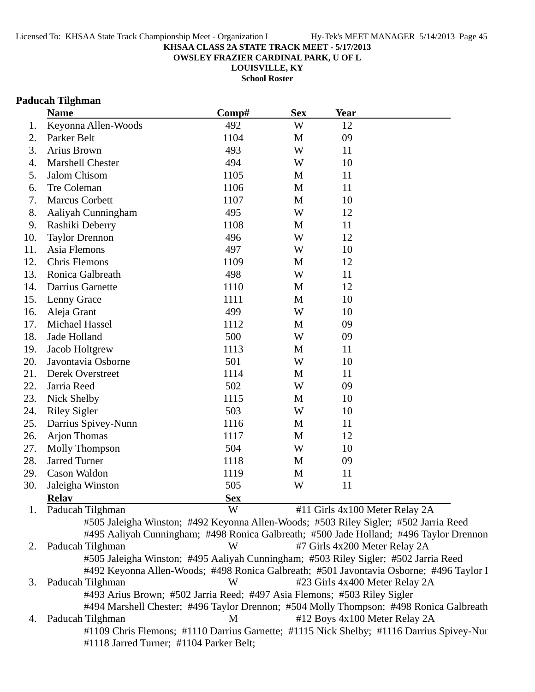**OWSLEY FRAZIER CARDINAL PARK, U OF L**

**LOUISVILLE, KY**

**School Roster**

### **Paducah Tilghman**

|     | <b>Name</b>                                                                          | Comp#      | <b>Sex</b> | <b>Year</b>                   |                                                                                         |
|-----|--------------------------------------------------------------------------------------|------------|------------|-------------------------------|-----------------------------------------------------------------------------------------|
| 1.  | Keyonna Allen-Woods                                                                  | 492        | W          | 12                            |                                                                                         |
| 2.  | Parker Belt                                                                          | 1104       | M          | 09                            |                                                                                         |
| 3.  | Arius Brown                                                                          | 493        | W          | 11                            |                                                                                         |
| 4.  | Marshell Chester                                                                     | 494        | W          | 10                            |                                                                                         |
| 5.  | Jalom Chisom                                                                         | 1105       | M          | 11                            |                                                                                         |
| 6.  | Tre Coleman                                                                          | 1106       | M          | 11                            |                                                                                         |
| 7.  | <b>Marcus Corbett</b>                                                                | 1107       | M          | 10                            |                                                                                         |
| 8.  | Aaliyah Cunningham                                                                   | 495        | W          | 12                            |                                                                                         |
| 9.  | Rashiki Deberry                                                                      | 1108       | M          | 11                            |                                                                                         |
| 10. | <b>Taylor Drennon</b>                                                                | 496        | W          | 12                            |                                                                                         |
| 11. | Asia Flemons                                                                         | 497        | W          | 10                            |                                                                                         |
| 12. | <b>Chris Flemons</b>                                                                 | 1109       | M          | 12                            |                                                                                         |
| 13. | Ronica Galbreath                                                                     | 498        | W          | 11                            |                                                                                         |
| 14. | Darrius Garnette                                                                     | 1110       | M          | 12                            |                                                                                         |
| 15. | Lenny Grace                                                                          | 1111       | M          | 10                            |                                                                                         |
| 16. | Aleja Grant                                                                          | 499        | W          | 10                            |                                                                                         |
| 17. | Michael Hassel                                                                       | 1112       | M          | 09                            |                                                                                         |
| 18. | Jade Holland                                                                         | 500        | W          | 09                            |                                                                                         |
| 19. | Jacob Holtgrew                                                                       | 1113       | M          | 11                            |                                                                                         |
| 20. | Javontavia Osborne                                                                   | 501        | W          | 10                            |                                                                                         |
| 21. | Derek Overstreet                                                                     | 1114       | M          | 11                            |                                                                                         |
| 22. | Jarria Reed                                                                          | 502        | W          | 09                            |                                                                                         |
| 23. | Nick Shelby                                                                          | 1115       | M          | 10                            |                                                                                         |
| 24. | <b>Riley Sigler</b>                                                                  | 503        | W          | 10                            |                                                                                         |
| 25. | Darrius Spivey-Nunn                                                                  | 1116       | M          | 11                            |                                                                                         |
| 26. | <b>Arjon Thomas</b>                                                                  | 1117       | M          | 12                            |                                                                                         |
| 27. | Molly Thompson                                                                       | 504        | W          | 10                            |                                                                                         |
| 28. | <b>Jarred Turner</b>                                                                 | 1118       | M          | 09                            |                                                                                         |
| 29. | Cason Waldon                                                                         | 1119       | M          | 11                            |                                                                                         |
| 30. | Jaleigha Winston                                                                     | 505        | W          | 11                            |                                                                                         |
|     | <b>Relay</b>                                                                         | <b>Sex</b> |            |                               |                                                                                         |
| 1.  | Paducah Tilghman                                                                     | W          |            |                               | #11 Girls 4x100 Meter Relay 2A                                                          |
|     | #505 Jaleigha Winston; #492 Keyonna Allen-Woods; #503 Riley Sigler; #502 Jarria Reed |            |            |                               |                                                                                         |
|     |                                                                                      |            |            |                               | #495 Aaliyah Cunningham; #498 Ronica Galbreath; #500 Jade Holland; #496 Taylor Drennon  |
| 2.  | Paducah Tilghman                                                                     | W          |            | #7 Girls 4x200 Meter Relay 2A |                                                                                         |
|     | #505 Jaleigha Winston; #495 Aaliyah Cunningham; #503 Riley Sigler; #502 Jarria Reed  |            |            |                               |                                                                                         |
|     |                                                                                      |            |            |                               | #492 Keyonna Allen-Woods; #498 Ronica Galbreath; #501 Javontavia Osborne; #496 Taylor I |
| 3.  | Paducah Tilghman                                                                     | W          |            |                               | #23 Girls 4x400 Meter Relay 2A                                                          |

#493 Arius Brown; #502 Jarria Reed; #497 Asia Flemons; #503 Riley Sigler

#494 Marshell Chester; #496 Taylor Drennon; #504 Molly Thompson; #498 Ronica Galbreath 4. Paducah Tilghman M #12 Boys 4x100 Meter Relay 2A #1109 Chris Flemons; #1110 Darrius Garnette; #1115 Nick Shelby; #1116 Darrius Spivey-Nur #1118 Jarred Turner; #1104 Parker Belt;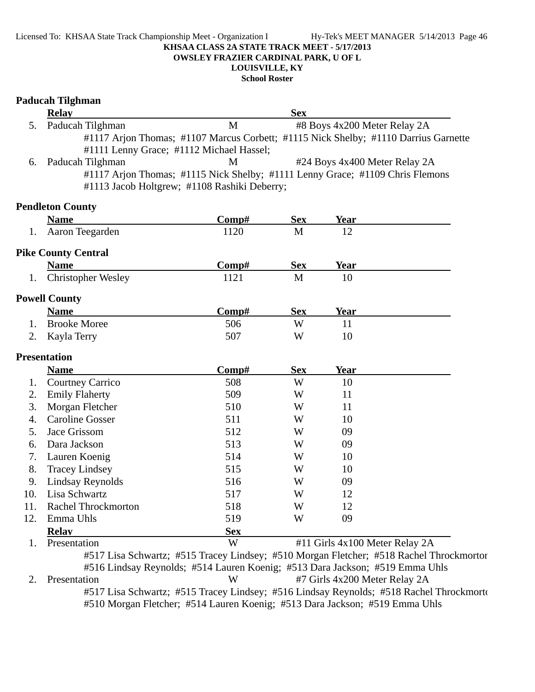#### Licensed To: KHSAA State Track Championship Meet - Organization I Hy-Tek's MEET MANAGER 5/14/2013 Page 46 **KHSAA CLASS 2A STATE TRACK MEET - 5/17/2013 OWSLEY FRAZIER CARDINAL PARK, U OF L LOUISVILLE, KY**

**School Roster**

# **Paducah Tilghman Relay Sex** 5. Paducah Tilghman M #8 Boys 4x200 Meter Relay 2A #1117 Arjon Thomas; #1107 Marcus Corbett; #1115 Nick Shelby; #1110 Darrius Garnette #1111 Lenny Grace; #1112 Michael Hassel; 6. Paducah Tilghman M<sup>#24</sup> Boys 4x400 Meter Relay 2A #1117 Arjon Thomas; #1115 Nick Shelby; #1111 Lenny Grace; #1109 Chris Flemons #1113 Jacob Holtgrew; #1108 Rashiki Deberry; **Pendleton County Name Comp#** Sex Year 1. Aaron Teegarden 1120 M 12 **Pike County Central Name Comp#** Sex Year 1. Christopher Wesley 1121 M 10 **Powell County Name Comp#** Sex Year 1. Brooke Moree 506 Brooke Moree 506 Brooke More 2. Kayla Terry 507 W 10 **Presentation Name** Comp# Sex Year 1. Courtney Carrico 508 W 10 2. Emily Flaherty 509 W 11 3. Morgan Fletcher 510 W 11 4. Caroline Gosser 511 W 10 5. Jace Grissom 512 W 09 6. 513 Dara Jackson 09 W 7. Lauren Koenig 514 W 10 8. Tracey Lindsey 2008 515 W 10 9. Lindsay Reynolds 516 W 09 10. Lisa Schwartz 517 W 12 11. Rachel Throckmorton 518 W 12 12. Emma Uhls 619 W 69 **Relay Sex** 1. Presentation W #11 Girls 4x100 Meter Relay 2A #517 Lisa Schwartz; #515 Tracey Lindsey; #510 Morgan Fletcher; #518 Rachel Throckmorton #516 Lindsay Reynolds; #514 Lauren Koenig; #513 Dara Jackson; #519 Emma Uhls

2. Presentation W #7 Girls 4x200 Meter Relay 2A #517 Lisa Schwartz; #515 Tracey Lindsey; #516 Lindsay Reynolds; #518 Rachel Throckmorto #510 Morgan Fletcher; #514 Lauren Koenig; #513 Dara Jackson; #519 Emma Uhls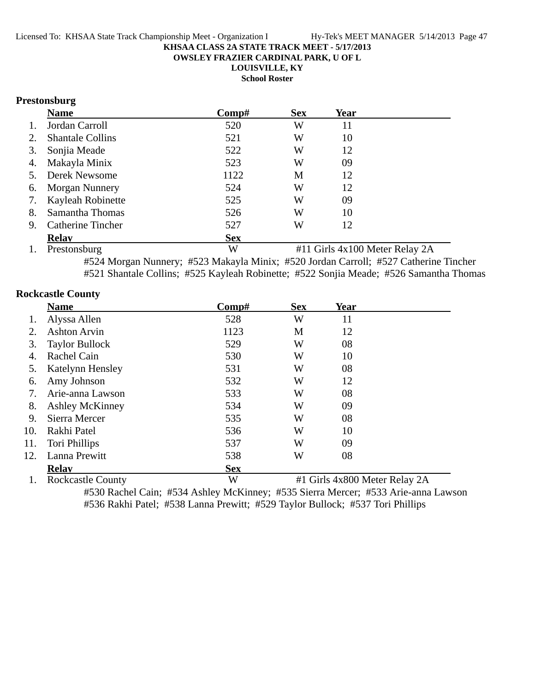**OWSLEY FRAZIER CARDINAL PARK, U OF L**

**LOUISVILLE, KY**

**School Roster**

# **Prestonsburg**

|    | <b>Name</b>              | Comp#      | <b>Sex</b> | Year |  |
|----|--------------------------|------------|------------|------|--|
| 1. | Jordan Carroll           | 520        | W          | 11   |  |
| 2. | <b>Shantale Collins</b>  | 521        | W          | 10   |  |
| 3. | Sonjia Meade             | 522        | W          | 12   |  |
|    | 4. Makayla Minix         | 523        | W          | 09   |  |
|    | 5. Derek Newsome         | 1122       | M          | 12   |  |
|    | 6. Morgan Nunnery        | 524        | W          | 12   |  |
| 7. | Kayleah Robinette        | 525        | W          | 09   |  |
| 8. | Samantha Thomas          | 526        | W          | 10   |  |
| 9. | <b>Catherine Tincher</b> | 527        | W          | 12   |  |
|    | <b>Relav</b>             | <b>Sex</b> |            |      |  |

1. Prestonsburg W #11 Girls 4x100 Meter Relay 2A #524 Morgan Nunnery; #523 Makayla Minix; #520 Jordan Carroll; #527 Catherine Tincher #521 Shantale Collins; #525 Kayleah Robinette; #522 Sonjia Meade; #526 Samantha Thomas

### **Rockcastle County**

|     | <b>Name</b>              | Comp#      | <b>Sex</b> | Year                          |
|-----|--------------------------|------------|------------|-------------------------------|
|     | Alyssa Allen             | 528        | W          | 11                            |
| 2.  | <b>Ashton Arvin</b>      | 1123       | M          | 12                            |
| 3.  | <b>Taylor Bullock</b>    | 529        | W          | 08                            |
| 4.  | Rachel Cain              | 530        | W          | 10                            |
| 5.  | Katelynn Hensley         | 531        | W          | 08                            |
| 6.  | Amy Johnson              | 532        | W          | 12                            |
| 7.  | Arie-anna Lawson         | 533        | W          | 08                            |
| 8.  | <b>Ashley McKinney</b>   | 534        | W          | 09                            |
| 9.  | Sierra Mercer            | 535        | W          | 08                            |
| 10. | Rakhi Patel              | 536        | W          | 10                            |
| 11. | Tori Phillips            | 537        | W          | 09                            |
| 12. | Lanna Prewitt            | 538        | W          | 08                            |
|     | <b>Relav</b>             | <b>Sex</b> |            |                               |
|     | <b>Rockcastle County</b> | W          |            | #1 Girls 4x800 Meter Relay 2A |

#530 Rachel Cain; #534 Ashley McKinney; #535 Sierra Mercer; #533 Arie-anna Lawson #536 Rakhi Patel; #538 Lanna Prewitt; #529 Taylor Bullock; #537 Tori Phillips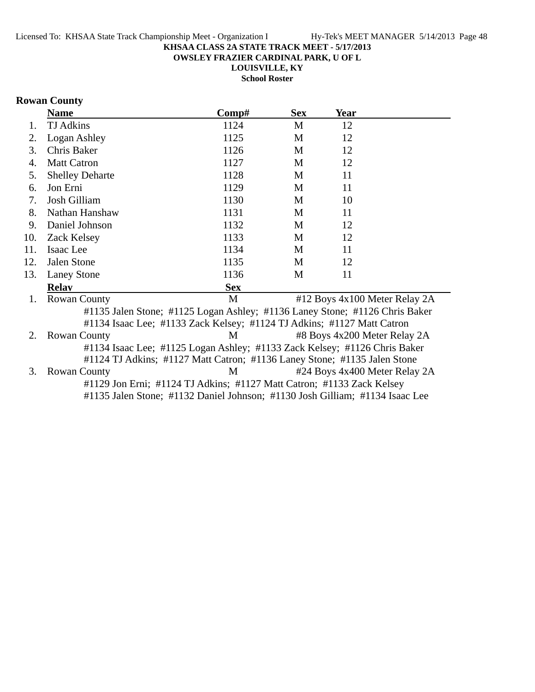**OWSLEY FRAZIER CARDINAL PARK, U OF L**

**LOUISVILLE, KY**

**School Roster**

# **Rowan County**

|     | <b>Name</b>                                                                 | Comp#      | <b>Sex</b> | Year                          |  |
|-----|-----------------------------------------------------------------------------|------------|------------|-------------------------------|--|
| 1.  | <b>TJ</b> Adkins                                                            | 1124       | M          | 12                            |  |
| 2.  | Logan Ashley                                                                | 1125       | M          | 12                            |  |
| 3.  | Chris Baker                                                                 | 1126       | M          | 12                            |  |
| 4.  | <b>Matt Catron</b>                                                          | 1127       | M          | 12                            |  |
| 5.  | <b>Shelley Deharte</b>                                                      | 1128       | M          | 11                            |  |
| 6.  | Jon Erni                                                                    | 1129       | M          | 11                            |  |
| 7.  | Josh Gilliam                                                                | 1130       | M          | 10                            |  |
| 8.  | Nathan Hanshaw                                                              | 1131       | M          | 11                            |  |
| 9.  | Daniel Johnson                                                              | 1132       | M          | 12                            |  |
| 10. | <b>Zack Kelsey</b>                                                          | 1133       | M          | 12                            |  |
| 11. | Isaac Lee                                                                   | 1134       | M          | 11                            |  |
| 12. | Jalen Stone                                                                 | 1135       | M          | 12                            |  |
| 13. | <b>Laney Stone</b>                                                          | 1136       | M          | 11                            |  |
|     | <b>Relav</b>                                                                | <b>Sex</b> |            |                               |  |
| 1.  | <b>Rowan County</b>                                                         | M          |            | #12 Boys 4x100 Meter Relay 2A |  |
|     | #1135 Jalen Stone; #1125 Logan Ashley; #1136 Laney Stone; #1126 Chris Baker |            |            |                               |  |
|     | #1134 Isaac Lee; #1133 Zack Kelsey; #1124 TJ Adkins; #1127 Matt Catron      |            |            |                               |  |
| 2.  | <b>Rowan County</b>                                                         | M          |            | #8 Boys 4x200 Meter Relay 2A  |  |
|     | #1134 Isaac Lee; #1125 Logan Ashley; #1133 Zack Kelsey; #1126 Chris Baker   |            |            |                               |  |
|     | #1124 TJ Adkins; #1127 Matt Catron; #1136 Laney Stone; #1135 Jalen Stone    |            |            |                               |  |
| 3.  | <b>Rowan County</b>                                                         | M          |            | #24 Boys 4x400 Meter Relay 2A |  |

#1129 Jon Erni; #1124 TJ Adkins; #1127 Matt Catron; #1133 Zack Kelsey

#1135 Jalen Stone; #1132 Daniel Johnson; #1130 Josh Gilliam; #1134 Isaac Lee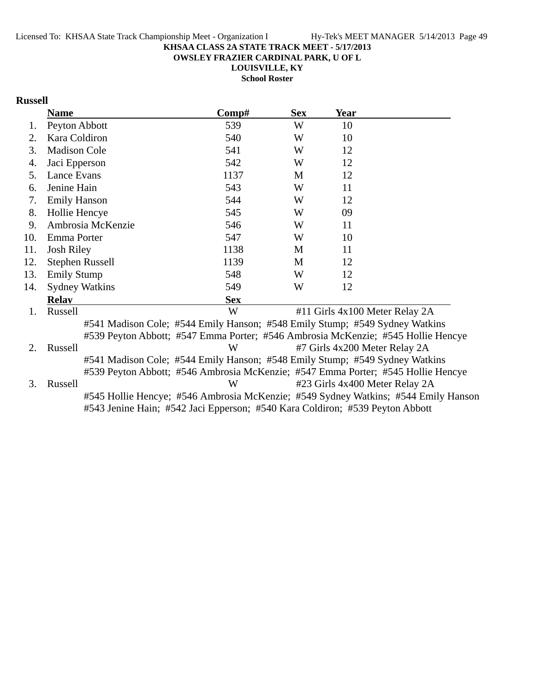**OWSLEY FRAZIER CARDINAL PARK, U OF L**

**LOUISVILLE, KY School Roster**

# **Russell**

|     | <b>Name</b>            | Comp#                                                                            | <b>Sex</b> | Year |                                                                                    |
|-----|------------------------|----------------------------------------------------------------------------------|------------|------|------------------------------------------------------------------------------------|
| 1.  | Peyton Abbott          | 539                                                                              | W          | 10   |                                                                                    |
| 2.  | Kara Coldiron          | 540                                                                              | W          | 10   |                                                                                    |
| 3.  | <b>Madison Cole</b>    | 541                                                                              | W          | 12   |                                                                                    |
| 4.  | Jaci Epperson          | 542                                                                              | W          | 12   |                                                                                    |
| 5.  | Lance Evans            | 1137                                                                             | M          | 12   |                                                                                    |
| 6.  | Jenine Hain            | 543                                                                              | W          | 11   |                                                                                    |
| 7.  | <b>Emily Hanson</b>    | 544                                                                              | W          | 12   |                                                                                    |
| 8.  | Hollie Hencye          | 545                                                                              | W          | 09   |                                                                                    |
| 9.  | Ambrosia McKenzie      | 546                                                                              | W          | 11   |                                                                                    |
| 10. | Emma Porter            | 547                                                                              | W          | 10   |                                                                                    |
| 11. | <b>Josh Riley</b>      | 1138                                                                             | M          | 11   |                                                                                    |
| 12. | <b>Stephen Russell</b> | 1139                                                                             | M          | 12   |                                                                                    |
| 13. | <b>Emily Stump</b>     | 548                                                                              | W          | 12   |                                                                                    |
| 14. | <b>Sydney Watkins</b>  | 549                                                                              | W          | 12   |                                                                                    |
|     | <b>Relay</b>           | <b>Sex</b>                                                                       |            |      |                                                                                    |
| 1.  | Russell                | W                                                                                |            |      | #11 Girls 4x100 Meter Relay 2A                                                     |
|     |                        | #541 Madison Cole; #544 Emily Hanson; #548 Emily Stump; #549 Sydney Watkins      |            |      |                                                                                    |
|     |                        | #539 Peyton Abbott; #547 Emma Porter; #546 Ambrosia McKenzie; #545 Hollie Hencye |            |      |                                                                                    |
| 2.  | Russell                | W                                                                                |            |      | #7 Girls 4x200 Meter Relay 2A                                                      |
|     |                        | #541 Madison Cole; #544 Emily Hanson; #548 Emily Stump; #549 Sydney Watkins      |            |      |                                                                                    |
|     |                        | #539 Peyton Abbott; #546 Ambrosia McKenzie; #547 Emma Porter; #545 Hollie Hencye |            |      |                                                                                    |
| 3.  | Russell                | W                                                                                |            |      | #23 Girls 4x400 Meter Relay 2A                                                     |
|     |                        |                                                                                  |            |      | #545 Hollie Hencye; #546 Ambrosia McKenzie; #549 Sydney Watkins; #544 Emily Hanson |
|     |                        | #543 Jenine Hain; #542 Jaci Epperson; #540 Kara Coldiron; #539 Peyton Abbott     |            |      |                                                                                    |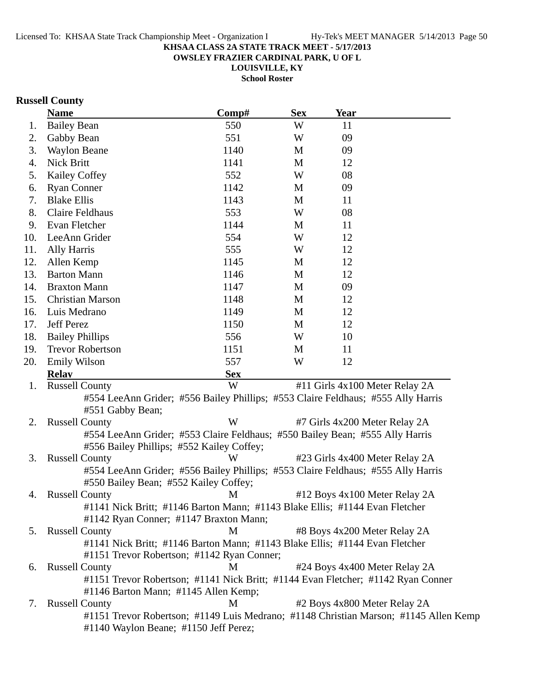**OWSLEY FRAZIER CARDINAL PARK, U OF L**

**LOUISVILLE, KY School Roster**

# **Russell County**

|                 | <b>Name</b>                                                                          | Comp#      | <b>Sex</b> | <b>Year</b>                    |  |
|-----------------|--------------------------------------------------------------------------------------|------------|------------|--------------------------------|--|
| 1.              | <b>Bailey Bean</b>                                                                   | 550        | W          | 11                             |  |
| 2.              | Gabby Bean                                                                           | 551        | W          | 09                             |  |
| 3.              | <b>Waylon Beane</b>                                                                  | 1140       | M          | 09                             |  |
| 4.              | Nick Britt                                                                           | 1141       | M          | 12                             |  |
| 5.              | Kailey Coffey                                                                        | 552        | W          | 08                             |  |
| 6.              | <b>Ryan Conner</b>                                                                   | 1142       | M          | 09                             |  |
| 7.              | <b>Blake Ellis</b>                                                                   | 1143       | M          | 11                             |  |
| 8.              | <b>Claire Feldhaus</b>                                                               | 553        | W          | 08                             |  |
| 9.              | Evan Fletcher                                                                        | 1144       | M          | 11                             |  |
| 10.             | LeeAnn Grider                                                                        | 554        | W          | 12                             |  |
| 11.             | Ally Harris                                                                          | 555        | W          | 12                             |  |
| 12.             | Allen Kemp                                                                           | 1145       | M          | 12                             |  |
| 13.             | <b>Barton Mann</b>                                                                   | 1146       | M          | 12                             |  |
| 14.             | <b>Braxton Mann</b>                                                                  | 1147       | M          | 09                             |  |
| 15.             | Christian Marson                                                                     | 1148       | M          | 12                             |  |
| 16.             | Luis Medrano                                                                         | 1149       | M          | 12                             |  |
| 17.             | <b>Jeff Perez</b>                                                                    | 1150       | M          | 12                             |  |
| 18.             | <b>Bailey Phillips</b>                                                               | 556        | W          | 10                             |  |
| 19.             | <b>Trevor Robertson</b>                                                              | 1151       | M          | 11                             |  |
| 20.             | <b>Emily Wilson</b>                                                                  | 557        | W          | 12                             |  |
|                 | <b>Relay</b>                                                                         | <b>Sex</b> |            |                                |  |
| 1.              | <b>Russell County</b>                                                                | W          |            | #11 Girls 4x100 Meter Relay 2A |  |
|                 | #554 LeeAnn Grider; #556 Bailey Phillips; #553 Claire Feldhaus; #555 Ally Harris     |            |            |                                |  |
|                 | #551 Gabby Bean;                                                                     |            |            |                                |  |
| 2.              | <b>Russell County</b>                                                                | W          |            | #7 Girls 4x200 Meter Relay 2A  |  |
|                 | #554 LeeAnn Grider; #553 Claire Feldhaus; #550 Bailey Bean; #555 Ally Harris         |            |            |                                |  |
|                 | #556 Bailey Phillips; #552 Kailey Coffey;                                            |            |            |                                |  |
| 3.              | <b>Russell County</b>                                                                | W          |            | #23 Girls 4x400 Meter Relay 2A |  |
|                 | #554 LeeAnn Grider; #556 Bailey Phillips; #553 Claire Feldhaus; #555 Ally Harris     |            |            |                                |  |
|                 | #550 Bailey Bean; #552 Kailey Coffey;                                                |            |            |                                |  |
| 4.              | <b>Russell County</b>                                                                | M          |            | #12 Boys 4x100 Meter Relay 2A  |  |
|                 | #1141 Nick Britt; #1146 Barton Mann; #1143 Blake Ellis; #1144 Evan Fletcher          |            |            |                                |  |
|                 | #1142 Ryan Conner; #1147 Braxton Mann;                                               |            |            |                                |  |
| 5.              | <b>Russell County</b>                                                                | M          |            | #8 Boys 4x200 Meter Relay 2A   |  |
|                 | #1141 Nick Britt; #1146 Barton Mann; #1143 Blake Ellis; #1144 Evan Fletcher          |            |            |                                |  |
|                 | #1151 Trevor Robertson; #1142 Ryan Conner;                                           |            |            |                                |  |
| 6.              | <b>Russell County</b>                                                                | M          |            | #24 Boys 4x400 Meter Relay 2A  |  |
|                 | #1151 Trevor Robertson; #1141 Nick Britt; #1144 Evan Fletcher; #1142 Ryan Conner     |            |            |                                |  |
|                 | #1146 Barton Mann; #1145 Allen Kemp;                                                 |            |            |                                |  |
| $\mathcal{L}$ . | <b>Russell County</b>                                                                | М          |            | #2 Boys 4x800 Meter Relay 2A   |  |
|                 | #1151 Trevor Robertson; #1149 Luis Medrano; #1148 Christian Marson; #1145 Allen Kemp |            |            |                                |  |
|                 | #1140 Waylon Beane; #1150 Jeff Perez;                                                |            |            |                                |  |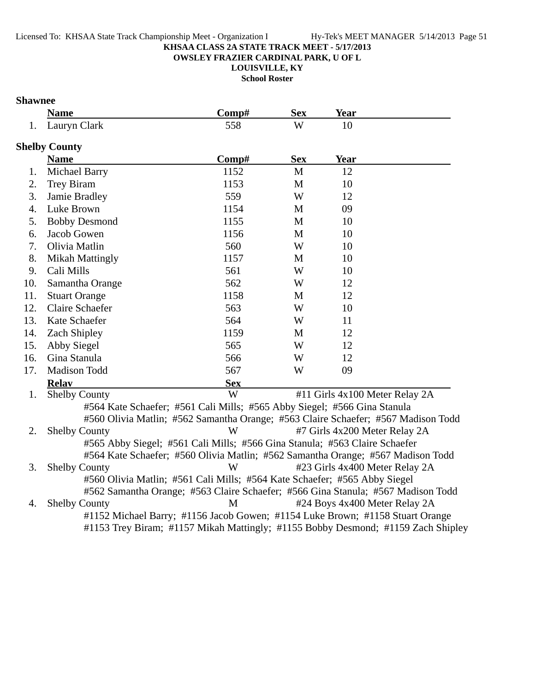**OWSLEY FRAZIER CARDINAL PARK, U OF L**

**LOUISVILLE, KY**

**School Roster**

# **Shawnee**

|     | <b>Name</b>            | Comp#                                                                                                                                                                                                                                                                                                                                                                                                                 | <b>Sex</b> | Year                           |  |
|-----|------------------------|-----------------------------------------------------------------------------------------------------------------------------------------------------------------------------------------------------------------------------------------------------------------------------------------------------------------------------------------------------------------------------------------------------------------------|------------|--------------------------------|--|
| 1.  | Lauryn Clark           | 558                                                                                                                                                                                                                                                                                                                                                                                                                   | W          | 10                             |  |
|     | <b>Shelby County</b>   |                                                                                                                                                                                                                                                                                                                                                                                                                       |            |                                |  |
|     | <b>Name</b>            | Comp#                                                                                                                                                                                                                                                                                                                                                                                                                 | <b>Sex</b> | Year                           |  |
| 1.  | <b>Michael Barry</b>   | 1152                                                                                                                                                                                                                                                                                                                                                                                                                  | M          | 12                             |  |
| 2.  | Trey Biram             | 1153                                                                                                                                                                                                                                                                                                                                                                                                                  | M          | 10                             |  |
| 3.  | Jamie Bradley          | 559                                                                                                                                                                                                                                                                                                                                                                                                                   | W          | 12                             |  |
| 4.  | Luke Brown             | 1154                                                                                                                                                                                                                                                                                                                                                                                                                  | M          | 09                             |  |
| 5.  | <b>Bobby Desmond</b>   | 1155                                                                                                                                                                                                                                                                                                                                                                                                                  | M          | 10                             |  |
| 6.  | Jacob Gowen            | 1156                                                                                                                                                                                                                                                                                                                                                                                                                  | M          | 10                             |  |
| 7.  | Olivia Matlin          | 560                                                                                                                                                                                                                                                                                                                                                                                                                   | W          | 10                             |  |
| 8.  | <b>Mikah Mattingly</b> | 1157                                                                                                                                                                                                                                                                                                                                                                                                                  | M          | 10                             |  |
| 9.  | Cali Mills             | 561                                                                                                                                                                                                                                                                                                                                                                                                                   | W          | 10                             |  |
| 10. | Samantha Orange        | 562                                                                                                                                                                                                                                                                                                                                                                                                                   | W          | 12                             |  |
| 11. | <b>Stuart Orange</b>   | 1158                                                                                                                                                                                                                                                                                                                                                                                                                  | M          | 12                             |  |
| 12. | <b>Claire Schaefer</b> | 563                                                                                                                                                                                                                                                                                                                                                                                                                   | W          | 10                             |  |
| 13. | Kate Schaefer          | 564                                                                                                                                                                                                                                                                                                                                                                                                                   | W          | 11                             |  |
| 14. | Zach Shipley           | 1159                                                                                                                                                                                                                                                                                                                                                                                                                  | M          | 12                             |  |
| 15. | Abby Siegel            | 565                                                                                                                                                                                                                                                                                                                                                                                                                   | W          | 12                             |  |
| 16. | Gina Stanula           | 566                                                                                                                                                                                                                                                                                                                                                                                                                   | W          | 12                             |  |
| 17. | Madison Todd           | 567                                                                                                                                                                                                                                                                                                                                                                                                                   | W          | 09                             |  |
|     | <b>Relav</b>           | <b>Sex</b>                                                                                                                                                                                                                                                                                                                                                                                                            |            |                                |  |
| 1.  | <b>Shelby County</b>   | W                                                                                                                                                                                                                                                                                                                                                                                                                     |            | #11 Girls 4x100 Meter Relay 2A |  |
|     |                        | #564 Kate Schaefer; #561 Cali Mills; #565 Abby Siegel; #566 Gina Stanula                                                                                                                                                                                                                                                                                                                                              |            |                                |  |
|     |                        | #560 Olivia Matlin; #562 Samantha Orange; #563 Claire Schaefer; #567 Madison Todd                                                                                                                                                                                                                                                                                                                                     |            |                                |  |
| 2.  | <b>Shelby County</b>   | W                                                                                                                                                                                                                                                                                                                                                                                                                     |            | #7 Girls 4x200 Meter Relay 2A  |  |
|     |                        | #565 Abby Siegel; #561 Cali Mills; #566 Gina Stanula; #563 Claire Schaefer                                                                                                                                                                                                                                                                                                                                            |            |                                |  |
|     |                        | #564 Kate Schaefer; #560 Olivia Matlin; #562 Samantha Orange; #567 Madison Todd<br>$\mathbf{W}$ $\mathbf{W}$ $\mathbf{W}$ $\mathbf{W}$ $\mathbf{W}$ $\mathbf{W}$ $\mathbf{W}$ $\mathbf{W}$ $\mathbf{W}$ $\mathbf{W}$ $\mathbf{W}$ $\mathbf{W}$ $\mathbf{W}$ $\mathbf{W}$ $\mathbf{W}$ $\mathbf{W}$ $\mathbf{W}$ $\mathbf{W}$ $\mathbf{W}$ $\mathbf{W}$ $\mathbf{W}$ $\mathbf{W}$ $\mathbf{W}$ $\mathbf{W}$ $\mathbf{$ |            |                                |  |
|     |                        |                                                                                                                                                                                                                                                                                                                                                                                                                       |            |                                |  |

3. Shelby County W #23 Girls 4x400 Meter Relay 2A #560 Olivia Matlin; #561 Cali Mills; #564 Kate Schaefer; #565 Abby Siegel #562 Samantha Orange; #563 Claire Schaefer; #566 Gina Stanula; #567 Madison Todd 4. Shelby County M #24 Boys 4x400 Meter Relay 2A #1152 Michael Barry; #1156 Jacob Gowen; #1154 Luke Brown; #1158 Stuart Orange #1153 Trey Biram; #1157 Mikah Mattingly; #1155 Bobby Desmond; #1159 Zach Shipley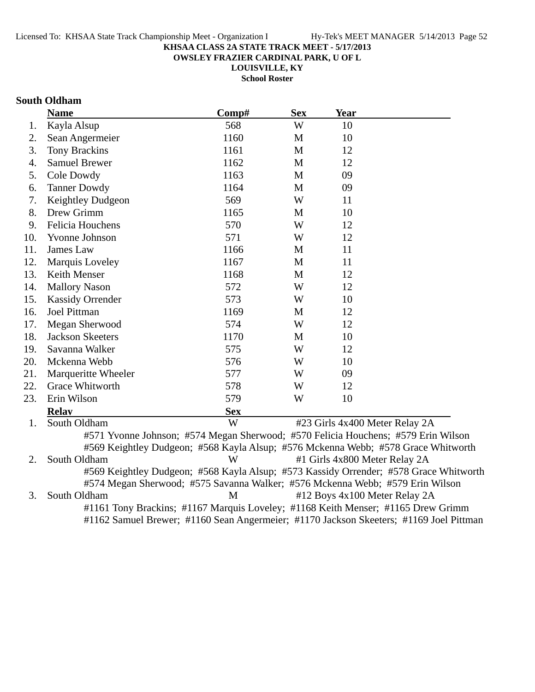**OWSLEY FRAZIER CARDINAL PARK, U OF L**

**LOUISVILLE, KY**

**School Roster**

# **South Oldham**

|     | <b>Name</b>                                                                       | Comp#      | <b>Sex</b>   | <b>Year</b>                   |                                                                                       |
|-----|-----------------------------------------------------------------------------------|------------|--------------|-------------------------------|---------------------------------------------------------------------------------------|
| 1.  | Kayla Alsup                                                                       | 568        | W            | 10                            |                                                                                       |
| 2.  | Sean Angermeier                                                                   | 1160       | M            | 10                            |                                                                                       |
| 3.  | Tony Brackins                                                                     | 1161       | M            | 12                            |                                                                                       |
| 4.  | <b>Samuel Brewer</b>                                                              | 1162       | M            | 12                            |                                                                                       |
| 5.  | Cole Dowdy                                                                        | 1163       | M            | 09                            |                                                                                       |
| 6.  | <b>Tanner Dowdy</b>                                                               | 1164       | M            | 09                            |                                                                                       |
| 7.  | Keightley Dudgeon                                                                 | 569        | W            | 11                            |                                                                                       |
| 8.  | Drew Grimm                                                                        | 1165       | M            | 10                            |                                                                                       |
| 9.  | Felicia Houchens                                                                  | 570        | W            | 12                            |                                                                                       |
| 10. | Yvonne Johnson                                                                    | 571        | W            | 12                            |                                                                                       |
| 11. | James Law                                                                         | 1166       | M            | 11                            |                                                                                       |
| 12. | Marquis Loveley                                                                   | 1167       | $\mathbf{M}$ | 11                            |                                                                                       |
| 13. | <b>Keith Menser</b>                                                               | 1168       | M            | 12                            |                                                                                       |
| 14. | <b>Mallory Nason</b>                                                              | 572        | W            | 12                            |                                                                                       |
| 15. | <b>Kassidy Orrender</b>                                                           | 573        | W            | 10                            |                                                                                       |
| 16. | Joel Pittman                                                                      | 1169       | M            | 12                            |                                                                                       |
| 17. | Megan Sherwood                                                                    | 574        | W            | 12                            |                                                                                       |
| 18. | <b>Jackson Skeeters</b>                                                           | 1170       | M            | 10                            |                                                                                       |
| 19. | Savanna Walker                                                                    | 575        | W            | 12                            |                                                                                       |
| 20. | Mckenna Webb                                                                      | 576        | W            | 10                            |                                                                                       |
| 21. | Marqueritte Wheeler                                                               | 577        | W            | 09                            |                                                                                       |
| 22. | Grace Whitworth                                                                   | 578        | W            | 12                            |                                                                                       |
| 23. | Erin Wilson                                                                       | 579        | W            | 10                            |                                                                                       |
|     | <b>Relav</b>                                                                      | <b>Sex</b> |              |                               |                                                                                       |
| 1.  | South Oldham                                                                      | W          |              |                               | #23 Girls 4x400 Meter Relay 2A                                                        |
|     | #571 Yvonne Johnson; #574 Megan Sherwood; #570 Felicia Houchens; #579 Erin Wilson |            |              |                               |                                                                                       |
|     |                                                                                   |            |              |                               | #569 Keightley Dudgeon; #568 Kayla Alsup; #576 Mckenna Webb; #578 Grace Whitworth     |
| 2.  | South Oldham                                                                      | W          |              | #1 Girls 4x800 Meter Relay 2A |                                                                                       |
|     |                                                                                   |            |              |                               | #569 Keightley Dudgeon; #568 Kayla Alsup; #573 Kassidy Orrender; #578 Grace Whitworth |
|     | #574 Megan Sherwood; #575 Savanna Walker; #576 Mckenna Webb; #579 Erin Wilson     |            |              |                               |                                                                                       |
| 3.  | South Oldham                                                                      | M          |              |                               | #12 Boys 4x100 Meter Relay 2A                                                         |

#1161 Tony Brackins; #1167 Marquis Loveley; #1168 Keith Menser; #1165 Drew Grimm

#1162 Samuel Brewer; #1160 Sean Angermeier; #1170 Jackson Skeeters; #1169 Joel Pittman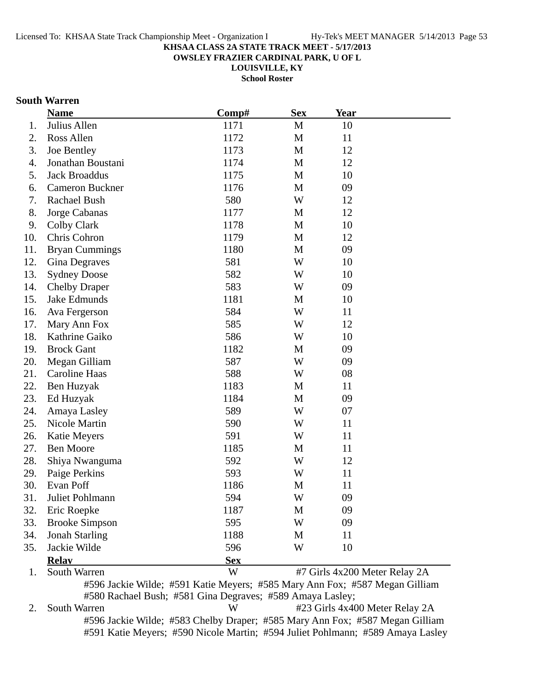**OWSLEY FRAZIER CARDINAL PARK, U OF L**

**LOUISVILLE, KY**

**School Roster**

# **South Warren**

|     | <b>Name</b>            | Comp#      | <b>Sex</b> | Year                          |  |
|-----|------------------------|------------|------------|-------------------------------|--|
| 1.  | Julius Allen           | 1171       | M          | 10                            |  |
| 2.  | Ross Allen             | 1172       | M          | 11                            |  |
| 3.  | Joe Bentley            | 1173       | M          | 12                            |  |
| 4.  | Jonathan Boustani      | 1174       | M          | 12                            |  |
| 5.  | <b>Jack Broaddus</b>   | 1175       | M          | 10                            |  |
| 6.  | <b>Cameron Buckner</b> | 1176       | M          | 09                            |  |
| 7.  | Rachael Bush           | 580        | W          | 12                            |  |
| 8.  | Jorge Cabanas          | 1177       | M          | 12                            |  |
| 9.  | Colby Clark            | 1178       | M          | 10                            |  |
| 10. | Chris Cohron           | 1179       | M          | 12                            |  |
| 11. | <b>Bryan Cummings</b>  | 1180       | M          | 09                            |  |
| 12. | Gina Degraves          | 581        | W          | 10                            |  |
| 13. | <b>Sydney Doose</b>    | 582        | W          | 10                            |  |
| 14. | <b>Chelby Draper</b>   | 583        | W          | 09                            |  |
| 15. | Jake Edmunds           | 1181       | M          | 10                            |  |
| 16. | Ava Fergerson          | 584        | W          | 11                            |  |
| 17. | Mary Ann Fox           | 585        | W          | 12                            |  |
| 18. | Kathrine Gaiko         | 586        | W          | 10                            |  |
| 19. | <b>Brock Gant</b>      | 1182       | M          | 09                            |  |
| 20. | Megan Gilliam          | 587        | W          | 09                            |  |
| 21. | Caroline Haas          | 588        | W          | 08                            |  |
| 22. | Ben Huzyak             | 1183       | M          | 11                            |  |
| 23. | Ed Huzyak              | 1184       | M          | 09                            |  |
| 24. | Amaya Lasley           | 589        | W          | 07                            |  |
| 25. | Nicole Martin          | 590        | W          | 11                            |  |
| 26. | <b>Katie Meyers</b>    | 591        | W          | 11                            |  |
| 27. | <b>Ben Moore</b>       | 1185       | M          | 11                            |  |
| 28. | Shiya Nwanguma         | 592        | W          | 12                            |  |
| 29. | Paige Perkins          | 593        | W          | 11                            |  |
| 30. | Evan Poff              | 1186       | M          | 11                            |  |
| 31  | Juliet Pohlmann        | 594        | W          | 09                            |  |
| 32. | Eric Roepke            | 1187       | M          | 09                            |  |
| 33. | <b>Brooke Simpson</b>  | 595        | W          | 09                            |  |
| 34. | <b>Jonah Starling</b>  | 1188       | M          | 11                            |  |
| 35. | Jackie Wilde           | 596        | W          | 10                            |  |
|     | <b>Relay</b>           | <b>Sex</b> |            |                               |  |
| 1.  | South Warren           | W          |            | #7 Girls 4x200 Meter Relay 2A |  |

#596 Jackie Wilde; #591 Katie Meyers; #585 Mary Ann Fox; #587 Megan Gilliam #580 Rachael Bush; #581 Gina Degraves; #589 Amaya Lasley;

2. South Warren W #23 Girls 4x400 Meter Relay 2A #596 Jackie Wilde; #583 Chelby Draper; #585 Mary Ann Fox; #587 Megan Gilliam #591 Katie Meyers; #590 Nicole Martin; #594 Juliet Pohlmann; #589 Amaya Lasley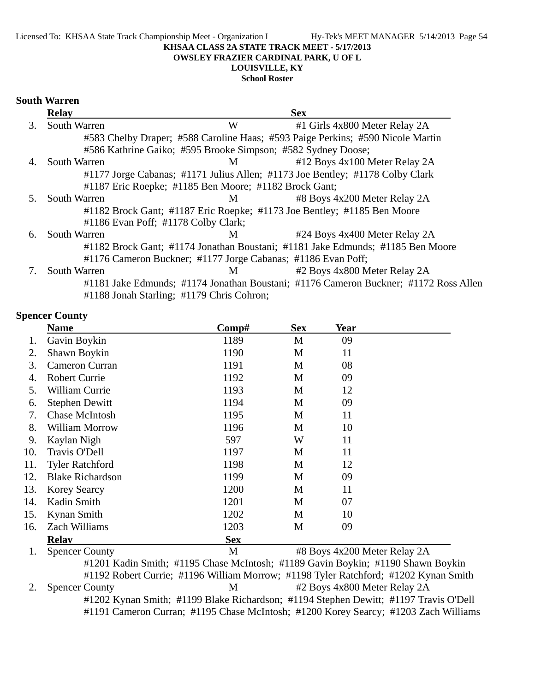#### **OWSLEY FRAZIER CARDINAL PARK, U OF L**

# **LOUISVILLE, KY**

**School Roster**

### **South Warren**

|    | <b>Relay</b>        |                                                              | <b>Sex</b>                                                                           |
|----|---------------------|--------------------------------------------------------------|--------------------------------------------------------------------------------------|
| 3. | South Warren        | W                                                            | #1 Girls 4x800 Meter Relay 2A                                                        |
|    |                     |                                                              | #583 Chelby Draper; #588 Caroline Haas; #593 Paige Perkins; #590 Nicole Martin       |
|    |                     | #586 Kathrine Gaiko; #595 Brooke Simpson; #582 Sydney Doose; |                                                                                      |
| 4. | <b>South Warren</b> | M                                                            | #12 Boys 4x100 Meter Relay 2A                                                        |
|    |                     |                                                              | #1177 Jorge Cabanas; #1171 Julius Allen; #1173 Joe Bentley; #1178 Colby Clark        |
|    |                     | #1187 Eric Roepke; #1185 Ben Moore; #1182 Brock Gant;        |                                                                                      |
| 5. | <b>South Warren</b> | M                                                            | #8 Boys 4x200 Meter Relay 2A                                                         |
|    |                     |                                                              | #1182 Brock Gant; #1187 Eric Roepke; #1173 Joe Bentley; #1185 Ben Moore              |
|    |                     | #1186 Evan Poff; #1178 Colby Clark;                          |                                                                                      |
| 6. | <b>South Warren</b> | M                                                            | #24 Boys 4x400 Meter Relay 2A                                                        |
|    |                     |                                                              | #1182 Brock Gant; #1174 Jonathan Boustani; #1181 Jake Edmunds; #1185 Ben Moore       |
|    |                     | #1176 Cameron Buckner; #1177 Jorge Cabanas; #1186 Evan Poff; |                                                                                      |
|    | <b>South Warren</b> | M                                                            | #2 Boys 4x800 Meter Relay 2A                                                         |
|    |                     |                                                              | #1181 Jake Edmunds; #1174 Jonathan Boustani; #1176 Cameron Buckner; #1172 Ross Allen |
|    |                     | #1188 Jonah Starling; #1179 Chris Cohron;                    |                                                                                      |

#### **Spencer County**

|     | <b>Name</b>             | Comp#      | <b>Sex</b> | Year                         |
|-----|-------------------------|------------|------------|------------------------------|
| 1.  | Gavin Boykin            | 1189       | M          | 09                           |
| 2.  | Shawn Boykin            | 1190       | M          | 11                           |
| 3.  | Cameron Curran          | 1191       | M          | 08                           |
| 4.  | <b>Robert Currie</b>    | 1192       | M          | 09                           |
| 5.  | William Currie          | 1193       | M          | 12                           |
| 6.  | <b>Stephen Dewitt</b>   | 1194       | M          | 09                           |
| 7.  | <b>Chase McIntosh</b>   | 1195       | M          | 11                           |
| 8.  | William Morrow          | 1196       | M          | 10                           |
| 9.  | Kaylan Nigh             | 597        | W          | 11                           |
| 10. | Travis O'Dell           | 1197       | M          | 11                           |
| 11. | <b>Tyler Ratchford</b>  | 1198       | M          | 12                           |
| 12. | <b>Blake Richardson</b> | 1199       | M          | 09                           |
| 13. | <b>Korey Searcy</b>     | 1200       | M          | 11                           |
| 14. | Kadin Smith             | 1201       | M          | 07                           |
| 15. | Kynan Smith             | 1202       | M          | 10                           |
| 16. | Zach Williams           | 1203       | M          | 09                           |
|     | <b>Relav</b>            | <b>Sex</b> |            |                              |
| 1.  | <b>Spencer County</b>   | M          |            | #8 Boys 4x200 Meter Relay 2A |

#1201 Kadin Smith; #1195 Chase McIntosh; #1189 Gavin Boykin; #1190 Shawn Boykin #1192 Robert Currie; #1196 William Morrow; #1198 Tyler Ratchford; #1202 Kynan Smith 2. Spencer County M #2 Boys 4x800 Meter Relay 2A #1202 Kynan Smith; #1199 Blake Richardson; #1194 Stephen Dewitt; #1197 Travis O'Dell #1191 Cameron Curran; #1195 Chase McIntosh; #1200 Korey Searcy; #1203 Zach Williams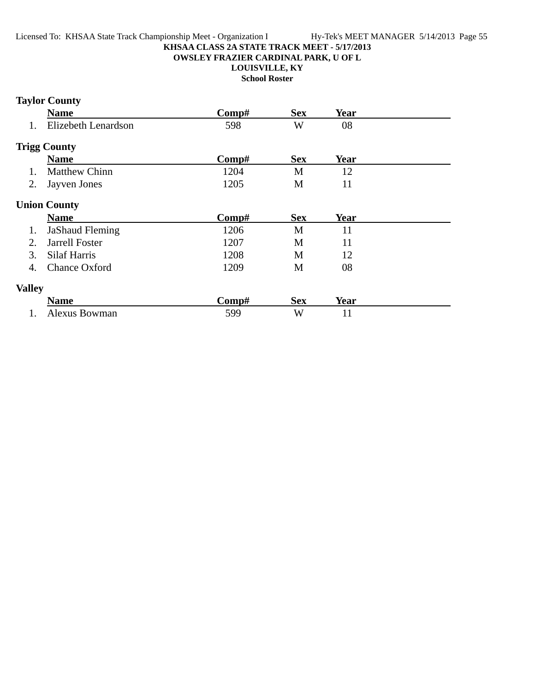### **OWSLEY FRAZIER CARDINAL PARK, U OF L**

**LOUISVILLE, KY**

**School Roster**

# **Taylor County**

|               | <b>Name</b>            | Comp# | <b>Sex</b> | <b>Year</b> |  |
|---------------|------------------------|-------|------------|-------------|--|
| 1.            | Elizebeth Lenardson    | 598   | W          | 08          |  |
|               | <b>Trigg County</b>    |       |            |             |  |
|               | <b>Name</b>            | Comp# | <b>Sex</b> | <b>Year</b> |  |
| 1.            | <b>Matthew Chinn</b>   | 1204  | M          | 12          |  |
| 2.            | Jayven Jones           | 1205  | M          | 11          |  |
|               | <b>Union County</b>    |       |            |             |  |
|               | <b>Name</b>            | Comp# | <b>Sex</b> | <b>Year</b> |  |
| 1.            | <b>JaShaud Fleming</b> | 1206  | M          | 11          |  |
| 2.            | <b>Jarrell Foster</b>  | 1207  | M          | 11          |  |
| 3.            | Silaf Harris           | 1208  | M          | 12          |  |
| 4.            | Chance Oxford          | 1209  | M          | 08          |  |
| <b>Valley</b> |                        |       |            |             |  |
|               | <b>Name</b>            | Comp# | <b>Sex</b> | <b>Year</b> |  |
| 1.            | Alexus Bowman          | 599   | W          | 11          |  |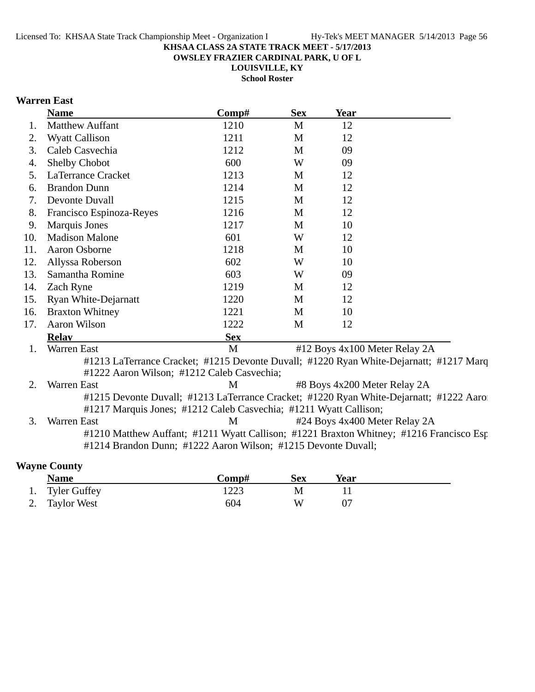**OWSLEY FRAZIER CARDINAL PARK, U OF L**

**LOUISVILLE, KY School Roster**

# **Warren East**

|     | <b>Name</b>                                                                                                                                              | Comp#      | <b>Sex</b> | <b>Year</b>                   |                                                                                        |
|-----|----------------------------------------------------------------------------------------------------------------------------------------------------------|------------|------------|-------------------------------|----------------------------------------------------------------------------------------|
| 1.  | <b>Matthew Auffant</b>                                                                                                                                   | 1210       | M          | 12                            |                                                                                        |
| 2.  | <b>Wyatt Callison</b>                                                                                                                                    | 1211       | M          | 12                            |                                                                                        |
| 3.  | Caleb Casvechia                                                                                                                                          | 1212       | M          | 09                            |                                                                                        |
| 4.  | Shelby Chobot                                                                                                                                            | 600        | W          | 09                            |                                                                                        |
| 5.  | LaTerrance Cracket                                                                                                                                       | 1213       | M          | 12                            |                                                                                        |
| 6.  | <b>Brandon Dunn</b>                                                                                                                                      | 1214       | M          | 12                            |                                                                                        |
| 7.  | Devonte Duvall                                                                                                                                           | 1215       | M          | 12                            |                                                                                        |
| 8.  | Francisco Espinoza-Reyes                                                                                                                                 | 1216       | M          | 12                            |                                                                                        |
| 9.  | <b>Marquis Jones</b>                                                                                                                                     | 1217       | M          | 10                            |                                                                                        |
| 10. | <b>Madison Malone</b>                                                                                                                                    | 601        | W          | 12                            |                                                                                        |
| 11. | Aaron Osborne                                                                                                                                            | 1218       | M          | 10                            |                                                                                        |
| 12. | Allyssa Roberson                                                                                                                                         | 602        | W          | 10                            |                                                                                        |
| 13. | Samantha Romine                                                                                                                                          | 603        | W          | 09                            |                                                                                        |
| 14. | Zach Ryne                                                                                                                                                | 1219       | M          | 12                            |                                                                                        |
| 15. | Ryan White-Dejarnatt                                                                                                                                     | 1220       | M          | 12                            |                                                                                        |
| 16. | <b>Braxton Whitney</b>                                                                                                                                   | 1221       | M          | 10                            |                                                                                        |
| 17. | <b>Aaron Wilson</b>                                                                                                                                      | 1222       | M          | 12                            |                                                                                        |
|     | <b>Relay</b>                                                                                                                                             | <b>Sex</b> |            |                               |                                                                                        |
| 1.  | Warren East                                                                                                                                              | M          |            | #12 Boys 4x100 Meter Relay 2A |                                                                                        |
|     | #1222 Aaron Wilson; #1212 Caleb Casvechia;                                                                                                               |            |            |                               | #1213 LaTerrance Cracket; #1215 Devonte Duvall; #1220 Ryan White-Dejarnatt; #1217 Marq |
| 2.  | Warren East                                                                                                                                              | M          |            | #8 Boys 4x200 Meter Relay 2A  |                                                                                        |
|     |                                                                                                                                                          |            |            |                               | #1215 Devonte Duvall; #1213 LaTerrance Cracket; #1220 Ryan White-Dejarnatt; #1222 Aaro |
|     | #1217 Marquis Jones; #1212 Caleb Casvechia; #1211 Wyatt Callison;                                                                                        |            |            |                               |                                                                                        |
| 3.  | Warren East                                                                                                                                              | M          |            | #24 Boys 4x400 Meter Relay 2A |                                                                                        |
|     | #1210 Matthew Auffant; #1211 Wyatt Callison; #1221 Braxton Whitney; #1216 Francisco Esp<br>#1214 Brandon Dunn; #1222 Aaron Wilson; #1215 Devonte Duvall; |            |            |                               |                                                                                        |

# **Wayne County**

| <b>Name</b>     | Comp# | Sex | Year |  |
|-----------------|-------|-----|------|--|
| 1. Tyler Guffey | 1223  |     |      |  |
| 2. Taylor West  | 604   | w   |      |  |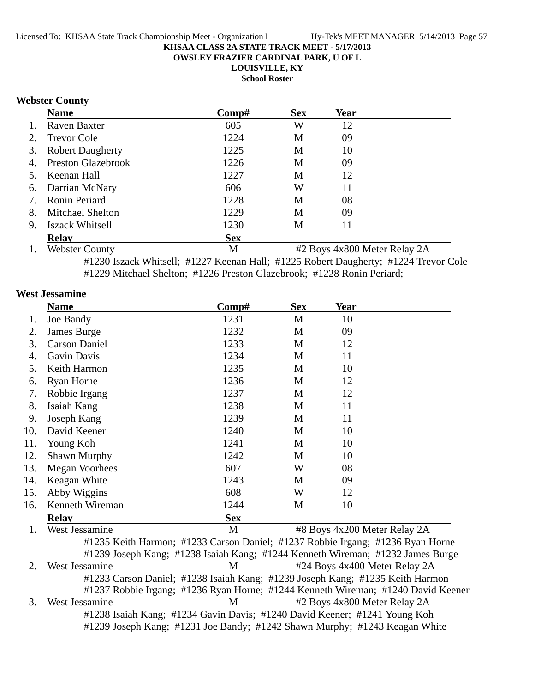**OWSLEY FRAZIER CARDINAL PARK, U OF L**

**LOUISVILLE, KY**

**School Roster**

### **Webster County**

|    | <b>Name</b>             | Comp#      | <b>Sex</b> | Year |  |
|----|-------------------------|------------|------------|------|--|
| 1. | Raven Baxter            | 605        | W          | 12   |  |
| 2. | <b>Trevor Cole</b>      | 1224       | M          | 09   |  |
|    | 3. Robert Daugherty     | 1225       | M          | 10   |  |
|    | 4. Preston Glazebrook   | 1226       | M          | 09   |  |
| 5. | Keenan Hall             | 1227       | M          | 12   |  |
|    | 6. Darrian McNary       | 606        | W          | 11   |  |
| 7. | <b>Ronin Periard</b>    | 1228       | М          | 08   |  |
| 8. | <b>Mitchael Shelton</b> | 1229       | M          | 09   |  |
| 9. | <b>Iszack Whitsell</b>  | 1230       | М          | 11   |  |
|    | <b>Relav</b>            | <b>Sex</b> |            |      |  |

1. Webster County 1. Webster County 1. Webster Relay 2A #1230 Iszack Whitsell; #1227 Keenan Hall; #1225 Robert Daugherty; #1224 Trevor Cole #1229 Mitchael Shelton; #1226 Preston Glazebrook; #1228 Ronin Periard;

### **West Jessamine**

|     | <b>Name</b>           | Comp#      | <b>Sex</b> | <b>Year</b> |  |
|-----|-----------------------|------------|------------|-------------|--|
| 1.  | Joe Bandy             | 1231       | M          | 10          |  |
| 2.  | James Burge           | 1232       | M          | 09          |  |
| 3.  | <b>Carson Daniel</b>  | 1233       | M          | 12          |  |
| 4.  | Gavin Davis           | 1234       | M          | 11          |  |
| 5.  | Keith Harmon          | 1235       | M          | 10          |  |
| 6.  | <b>Ryan Horne</b>     | 1236       | M          | 12          |  |
| 7.  | Robbie Irgang         | 1237       | M          | 12          |  |
| 8.  | Isaiah Kang           | 1238       | M          | 11          |  |
| 9.  | Joseph Kang           | 1239       | M          | 11          |  |
| 10. | David Keener          | 1240       | M          | 10          |  |
| 11. | Young Koh             | 1241       | M          | 10          |  |
| 12. | <b>Shawn Murphy</b>   | 1242       | M          | 10          |  |
| 13. | <b>Megan Voorhees</b> | 607        | W          | 08          |  |
| 14. | Keagan White          | 1243       | M          | 09          |  |
| 15. | Abby Wiggins          | 608        | W          | 12          |  |
| 16. | Kenneth Wireman       | 1244       | M          | 10          |  |
|     | <b>Relav</b>          | <b>Sex</b> |            |             |  |

1. West Jessamine **1. West Jessamine** 1. West Jessamine **1. March 2001** 48 Boys 4x200 Meter Relay 2A #1235 Keith Harmon; #1233 Carson Daniel; #1237 Robbie Irgang; #1236 Ryan Horne #1239 Joseph Kang; #1238 Isaiah Kang; #1244 Kenneth Wireman; #1232 James Burge 2. West Jessamine M #24 Boys 4x400 Meter Relay 2A #1233 Carson Daniel; #1238 Isaiah Kang; #1239 Joseph Kang; #1235 Keith Harmon #1237 Robbie Irgang; #1236 Ryan Horne; #1244 Kenneth Wireman; #1240 David Keener 3. West Jessamine M #2 Boys 4x800 Meter Relay 2A #1238 Isaiah Kang; #1234 Gavin Davis; #1240 David Keener; #1241 Young Koh #1239 Joseph Kang; #1231 Joe Bandy; #1242 Shawn Murphy; #1243 Keagan White